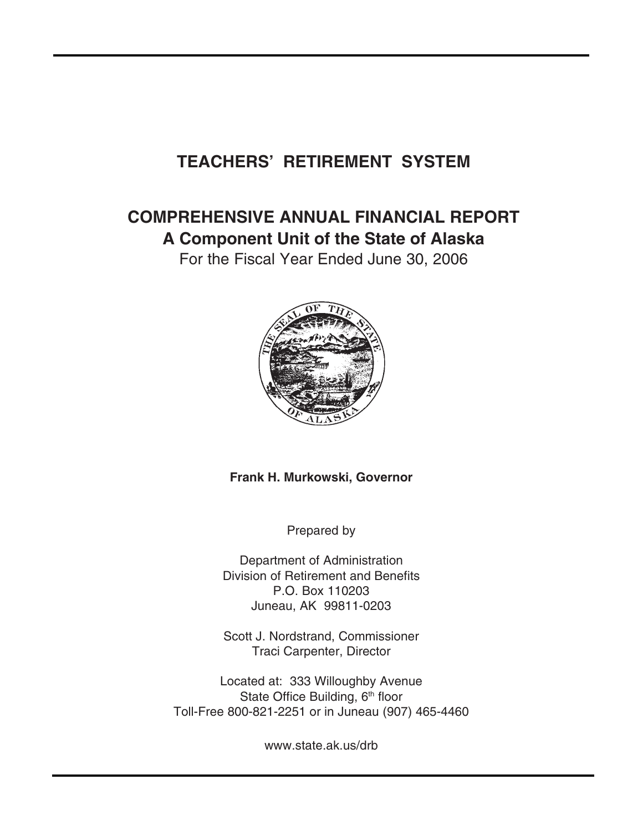## **TEACHERS' RETIREMENT SYSTEM**

## **COMPREHENSIVE ANNUAL FINANCIAL REPORT A Component Unit of the State of Alaska**

For the Fiscal Year Ended June 30, 2006



**Frank H. Murkowski, Governor**

Prepared by

Department of Administration Division of Retirement and Benefits P.O. Box 110203 Juneau, AK 99811-0203

Scott J. Nordstrand, Commissioner Traci Carpenter, Director

Located at: 333 Willoughby Avenue State Office Building, 6<sup>th</sup> floor Toll-Free 800-821-2251 or in Juneau (907) 465-4460

www.state.ak.us/drb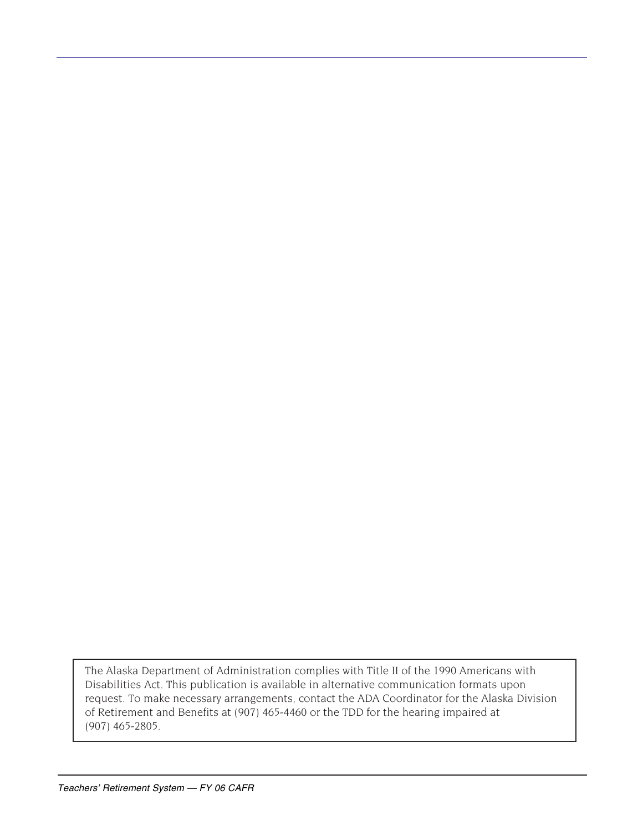The Alaska Department of Administration complies with Title II of the 1990 Americans with Disabilities Act. This publication is available in alternative communication formats upon request. To make necessary arrangements, contact the ADA Coordinator for the Alaska Division of Retirement and Benefits at (907) 465-4460 or the TDD for the hearing impaired at (907) 465-2805.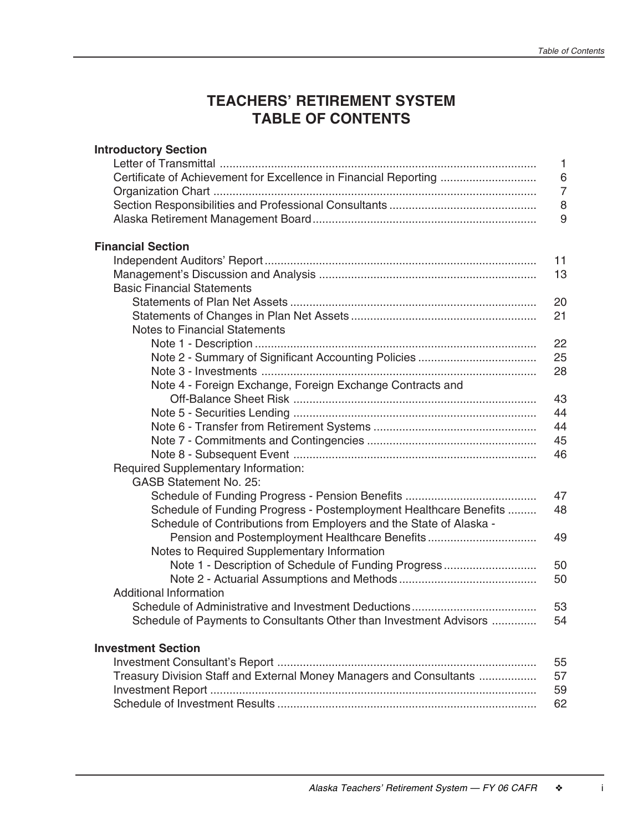### **TEACHERS' RETIREMENT SYSTEM TABLE OF CONTENTS**

| <b>Introductory Section</b>                                         |                |
|---------------------------------------------------------------------|----------------|
|                                                                     | $\mathbf{1}$   |
| Certificate of Achievement for Excellence in Financial Reporting    | 6              |
|                                                                     | $\overline{7}$ |
|                                                                     | 8              |
|                                                                     | 9              |
| <b>Financial Section</b>                                            |                |
|                                                                     | 11             |
|                                                                     | 13             |
| <b>Basic Financial Statements</b>                                   |                |
|                                                                     | 20             |
|                                                                     | 21             |
| <b>Notes to Financial Statements</b>                                |                |
|                                                                     | 22             |
|                                                                     | 25             |
|                                                                     | 28             |
| Note 4 - Foreign Exchange, Foreign Exchange Contracts and           |                |
|                                                                     | 43             |
|                                                                     | 44             |
|                                                                     | 44             |
|                                                                     | 45             |
|                                                                     | 46             |
| <b>Required Supplementary Information:</b>                          |                |
| <b>GASB Statement No. 25:</b>                                       |                |
|                                                                     | 47             |
| Schedule of Funding Progress - Postemployment Healthcare Benefits   | 48             |
| Schedule of Contributions from Employers and the State of Alaska -  |                |
| Pension and Postemployment Healthcare Benefits                      | 49             |
| Notes to Required Supplementary Information                         |                |
| Note 1 - Description of Schedule of Funding Progress                | 50             |
|                                                                     | 50             |
| <b>Additional Information</b>                                       |                |
|                                                                     | 53             |
| Schedule of Payments to Consultants Other than Investment Advisors  | 54             |
| <b>Investment Section</b>                                           |                |
|                                                                     | 55             |
| Treasury Division Staff and External Money Managers and Consultants | 57             |
|                                                                     | 59             |
|                                                                     | 62             |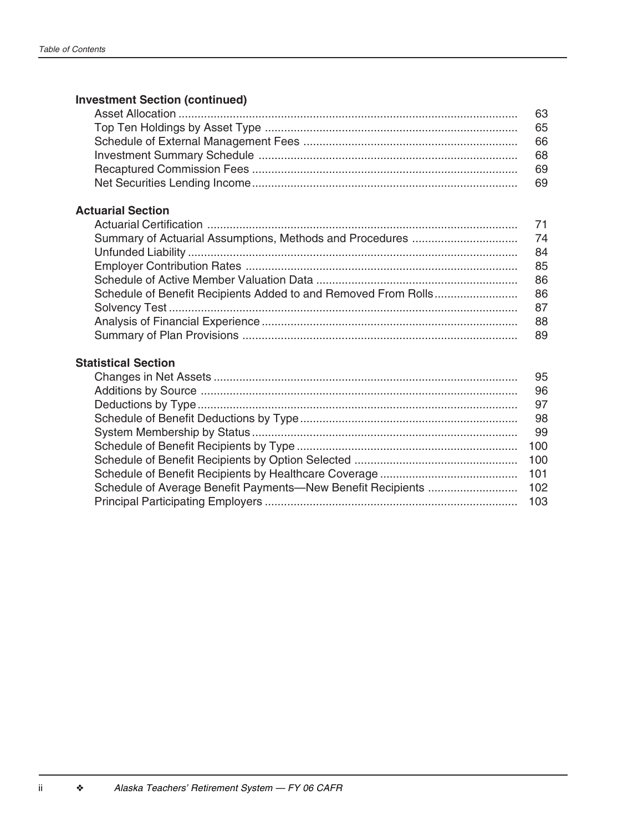| <b>Investment Section (continued)</b> |  |
|---------------------------------------|--|
|---------------------------------------|--|

| 63  |
|-----|
| -65 |
| -66 |
| 68  |
| 69  |
| -69 |

### **Actuarial Section**

| 84  |
|-----|
| 85  |
| -86 |
|     |
|     |
| -88 |
|     |

#### **Statistical Section**

| 95  |
|-----|
| 96  |
| 97  |
| 98  |
| -99 |
| 100 |
|     |
|     |
|     |
| 103 |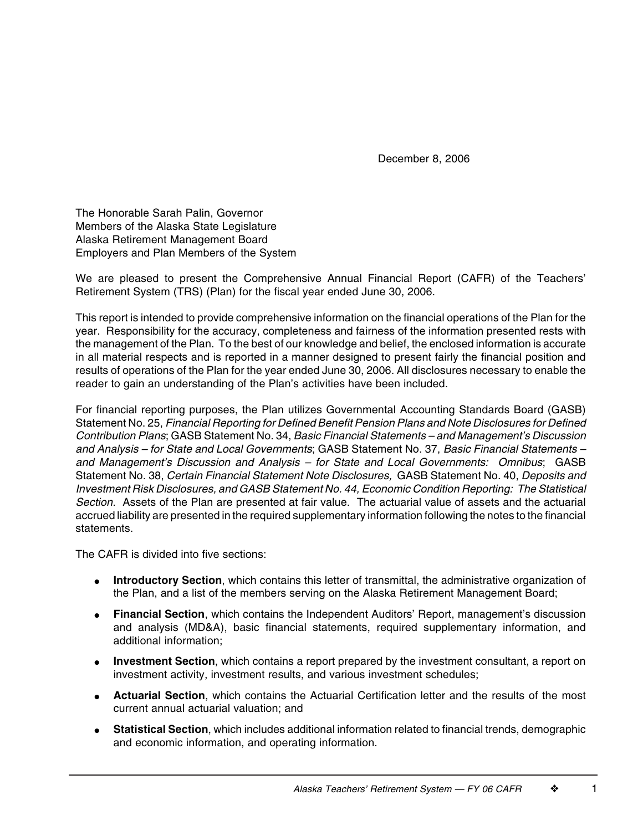December 8, 2006

The Honorable Sarah Palin, Governor Members of the Alaska State Legislature Alaska Retirement Management Board Employers and Plan Members of the System

We are pleased to present the Comprehensive Annual Financial Report (CAFR) of the Teachers' Retirement System (TRS) (Plan) for the fiscal year ended June 30, 2006.

This report is intended to provide comprehensive information on the financial operations of the Plan for the year. Responsibility for the accuracy, completeness and fairness of the information presented rests with the management of the Plan. To the best of our knowledge and belief, the enclosed information is accurate in all material respects and is reported in a manner designed to present fairly the financial position and results of operations of the Plan for the year ended June 30, 2006. All disclosures necessary to enable the reader to gain an understanding of the Plan's activities have been included.

For financial reporting purposes, the Plan utilizes Governmental Accounting Standards Board (GASB) Statement No. 25, Financial Reporting for Defined Benefit Pension Plans and Note Disclosures for Defined Contribution Plans; GASB Statement No. 34, Basic Financial Statements – and Management's Discussion and Analysis – for State and Local Governments; GASB Statement No. 37, Basic Financial Statements – and Management's Discussion and Analysis – for State and Local Governments: Omnibus; GASB Statement No. 38, Certain Financial Statement Note Disclosures, GASB Statement No. 40, Deposits and Investment Risk Disclosures, and GASB Statement No. 44, Economic Condition Reporting: The Statistical Section. Assets of the Plan are presented at fair value. The actuarial value of assets and the actuarial accrued liability are presented in the required supplementary information following the notes to the financial statements.

The CAFR is divided into five sections:

- **Introductory Section**, which contains this letter of transmittal, the administrative organization of the Plan, and a list of the members serving on the Alaska Retirement Management Board;
- **Financial Section**, which contains the Independent Auditors' Report, management's discussion and analysis (MD&A), basic financial statements, required supplementary information, and additional information;
- **Investment Section**, which contains a report prepared by the investment consultant, a report on investment activity, investment results, and various investment schedules;
- **Actuarial Section**, which contains the Actuarial Certification letter and the results of the most current annual actuarial valuation; and
- **Statistical Section**, which includes additional information related to financial trends, demographic and economic information, and operating information.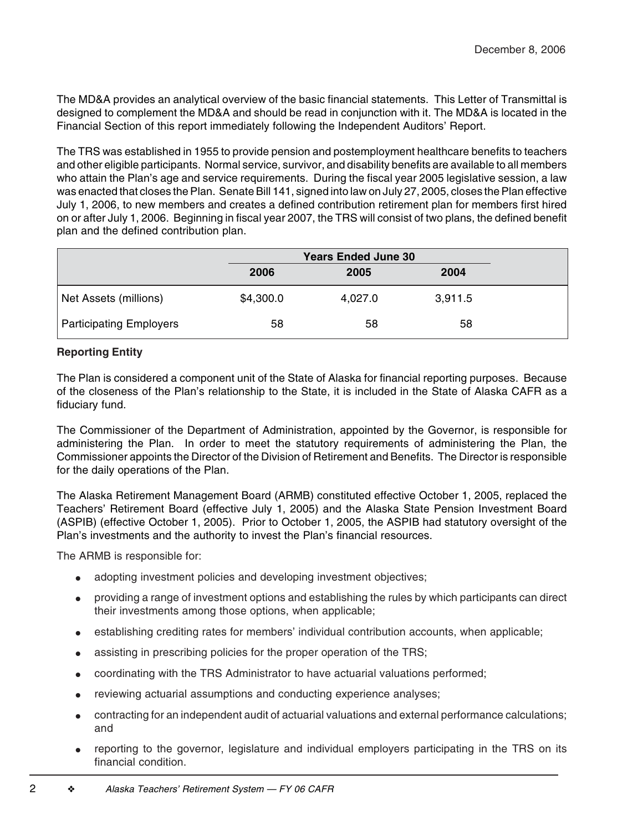The MD&A provides an analytical overview of the basic financial statements. This Letter of Transmittal is designed to complement the MD&A and should be read in conjunction with it. The MD&A is located in the Financial Section of this report immediately following the Independent Auditors' Report.

The TRS was established in 1955 to provide pension and postemployment healthcare benefits to teachers and other eligible participants. Normal service, survivor, and disability benefits are available to all members who attain the Plan's age and service requirements.During the fiscal year 2005 legislative session, a law was enacted that closes the Plan. Senate Bill 141, signed into law on July 27, 2005, closes the Plan effective July 1, 2006, to new members and creates a defined contribution retirement plan for members first hired on or after July 1, 2006. Beginning in fiscal year 2007, the TRS will consist of two plans, the defined benefit plan and the defined contribution plan.

|                                |           | <b>Years Ended June 30</b> |         |  |  |
|--------------------------------|-----------|----------------------------|---------|--|--|
|                                | 2006      | 2005                       | 2004    |  |  |
| Net Assets (millions)          | \$4,300.0 | 4,027.0                    | 3,911.5 |  |  |
| <b>Participating Employers</b> | 58        | 58                         | 58      |  |  |

#### **Reporting Entity**

The Plan is considered a component unit of the State of Alaska for financial reporting purposes. Because of the closeness of the Plan's relationship to the State, it is included in the State of Alaska CAFR as a fiduciary fund.

The Commissioner of the Department of Administration, appointed by the Governor, is responsible for administering the Plan. In order to meet the statutory requirements of administering the Plan, the Commissioner appoints the Director of the Division of Retirement and Benefits. The Director is responsible for the daily operations of the Plan.

The Alaska Retirement Management Board (ARMB) constituted effective October 1, 2005, replaced the Teachers' Retirement Board (effective July 1, 2005) and the Alaska State Pension Investment Board (ASPIB) (effective October 1, 2005). Prior to October 1, 2005, the ASPIB had statutory oversight of the Plan's investments and the authority to invest the Plan's financial resources.

The ARMB is responsible for:

- adopting investment policies and developing investment objectives;
- providing a range of investment options and establishing the rules by which participants can direct their investments among those options, when applicable;
- establishing crediting rates for members' individual contribution accounts, when applicable;
- assisting in prescribing policies for the proper operation of the TRS;
- coordinating with the TRS Administrator to have actuarial valuations performed;
- reviewing actuarial assumptions and conducting experience analyses;
- contracting for an independent audit of actuarial valuations and external performance calculations; and
- reporting to the governor, legislature and individual employers participating in the TRS on its financial condition.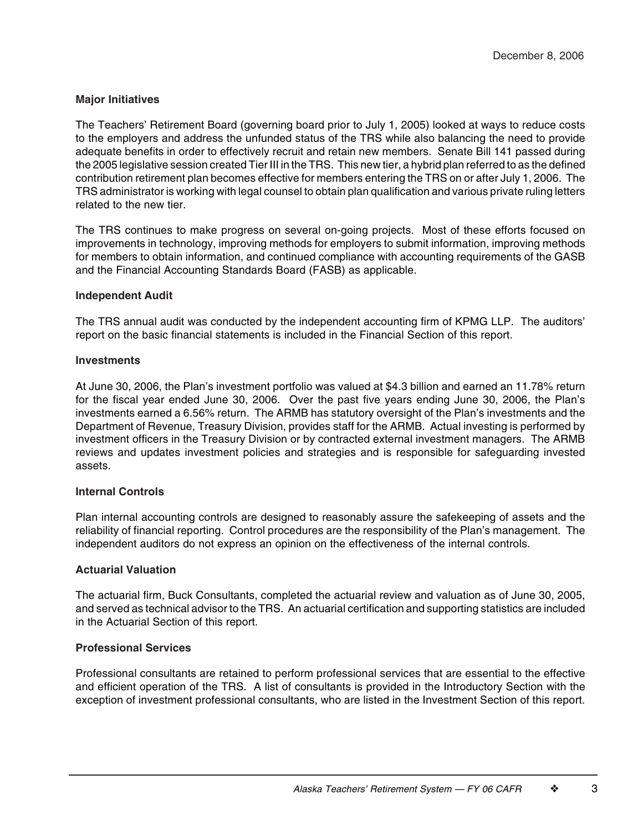#### **Major Initiatives**

The Teachers' Retirement Board (governing board prior to July 1, 2005) looked at ways to reduce costs to the employers and address the unfunded status of the TRS while also balancing the need to provide adequate benefits in order to effectively recruit and retain new members. Senate Bill 141 passed during the 2005 legislative session created Tier III in the TRS. This new tier, a hybrid plan referred to as the defined contribution retirement plan becomes effective for members entering the TRS on or after July 1, 2006. The TRS administrator is working with legal counsel to obtain plan qualification and various private ruling letters related to the new tier.

The TRS continues to make progress on several on-going projects. Most of these efforts focused on improvements in technology, improving methods for employers to submit information, improving methods for members to obtain information, and continued compliance with accounting requirements of the GASB and the Financial Accounting Standards Board (FASB) as applicable.

#### **Independent Audit**

The TRS annual audit was conducted by the independent accounting firm of KPMG LLP. The auditors' report on the basic financial statements is included in the Financial Section of this report.

#### **Investments**

At June 30, 2006, the Plan's investment portfolio was valued at \$4.3 billion and earned an 11.78% return for the fiscal year ended June 30, 2006. Over the past five years ending June 30, 2006, the Plan's investments earned a 6.56% return. The ARMB has statutory oversight of the Plan's investments and the Department of Revenue, Treasury Division, provides staff for the ARMB. Actual investing is performed by investment officers in the Treasury Division or by contracted external investment managers. The ARMB reviews and updates investment policies and strategies and is responsible for safeguarding invested assets.

#### **Internal Controls**

Plan internal accounting controls are designed to reasonably assure the safekeeping of assets and the reliability of financial reporting. Control procedures are the responsibility of the Plan's management. The independent auditors do not express an opinion on the effectiveness of the internal controls.

#### **Actuarial Valuation**

The actuarial firm, Buck Consultants, completed the actuarial review and valuation as of June 30, 2005, and served as technical advisor to the TRS. An actuarial certification and supporting statistics are included in the Actuarial Section of this report.

#### **Professional Services**

Professional consultants are retained to perform professional services that are essential to the effective and efficient operation of the TRS. A list of consultants is provided in the Introductory Section with the exception of investment professional consultants, who are listed in the Investment Section of this report.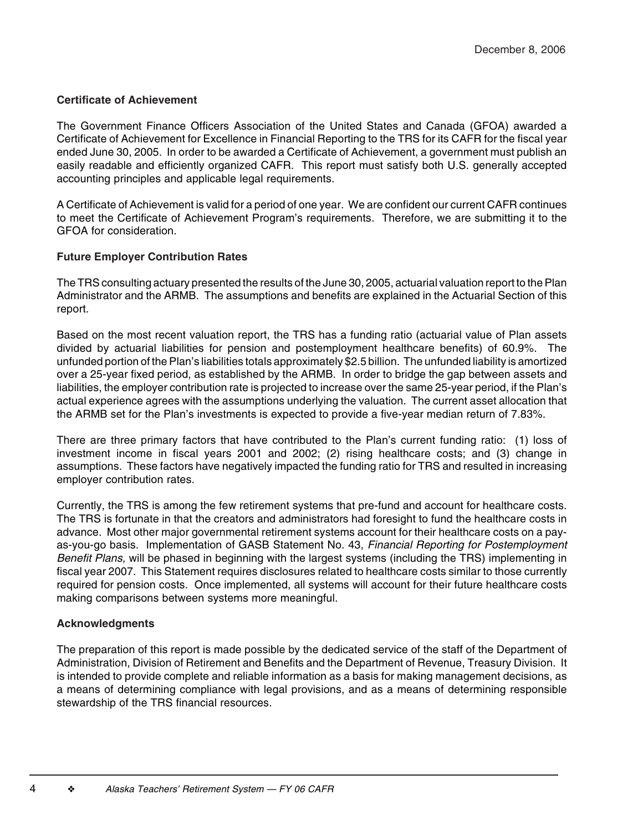#### **Certificate of Achievement**

The Government Finance Officers Association of the United States and Canada (GFOA) awarded a Certificate of Achievement for Excellence in Financial Reporting to the TRS for its CAFR for the fiscal year ended June 30, 2005. In order to be awarded a Certificate of Achievement, a government must publish an easily readable and efficiently organized CAFR. This report must satisfy both U.S. generally accepted accounting principles and applicable legal requirements.

A Certificate of Achievement is valid for a period of one year. We are confident our current CAFR continues to meet the Certificate of Achievement Program's requirements. Therefore, we are submitting it to the GFOA for consideration.

#### **Future Employer Contribution Rates**

The TRS consulting actuary presented the results of the June 30, 2005, actuarial valuation report to the Plan Administrator and the ARMB. The assumptions and benefits are explained in the Actuarial Section of this report.

Based on the most recent valuation report, the TRS has a funding ratio (actuarial value of Plan assets divided by actuarial liabilities for pension and postemployment healthcare benefits) of 60.9%. The unfunded portion of the Plan's liabilities totals approximately \$2.5 billion. The unfunded liability is amortized over a 25-year fixed period, as established by the ARMB. In order to bridge the gap between assets and liabilities, the employer contribution rate is projected to increase over the same 25-year period, if the Plan's actual experience agrees with the assumptions underlying the valuation. The current asset allocation that the ARMB set for the Plan's investments is expected to provide a five-year median return of 7.83%.

There are three primary factors that have contributed to the Plan's current funding ratio: (1) loss of investment income in fiscal years 2001 and 2002; (2) rising healthcare costs; and (3) change in assumptions. These factors have negatively impacted the funding ratio for TRS and resulted in increasing employer contribution rates.

Currently, the TRS is among the few retirement systems that pre-fund and account for healthcare costs. The TRS is fortunate in that the creators and administrators had foresight to fund the healthcare costs in advance. Most other major governmental retirement systems account for their healthcare costs on a payas-you-go basis. Implementation of GASB Statement No. 43, Financial Reporting for Postemployment Benefit Plans, will be phased in beginning with the largest systems (including the TRS) implementing in fiscal year 2007. This Statement requires disclosures related to healthcare costs similar to those currently required for pension costs. Once implemented, all systems will account for their future healthcare costs making comparisons between systems more meaningful.

#### **Acknowledgments**

The preparation of this report is made possible by the dedicated service of the staff of the Department of Administration, Division of Retirement and Benefits and the Department of Revenue, Treasury Division. It is intended to provide complete and reliable information as a basis for making management decisions, as a means of determining compliance with legal provisions, and as a means of determining responsible stewardship of the TRS financial resources.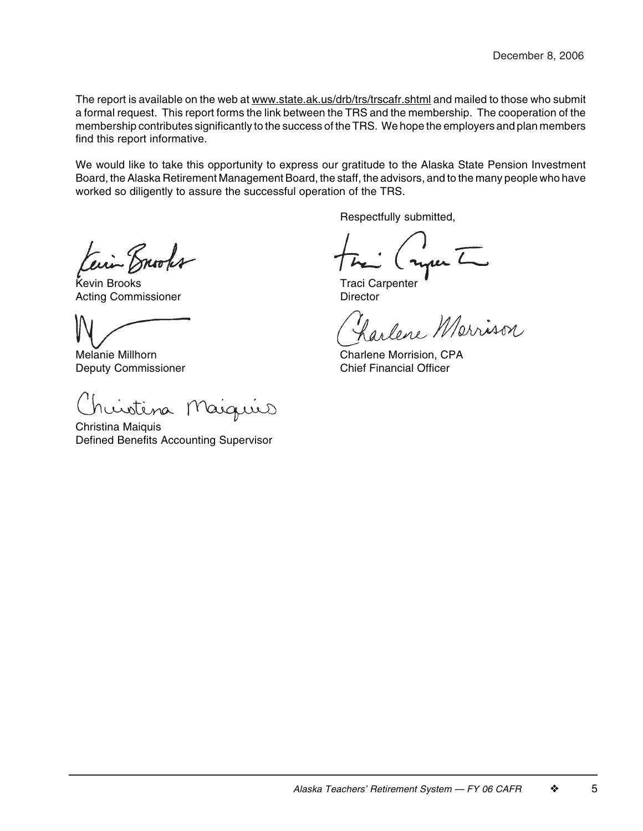The report is available on the web at www.state.ak.us/drb/trs/trscafr.shtml and mailed to those who submit a formal request. This report forms the link between the TRS and the membership. The cooperation of the membership contributes significantly to the success of the TRS. We hope the employers and plan members find this report informative.

We would like to take this opportunity to express our gratitude to the Alaska State Pension Investment Board, the Alaska Retirement Management Board, the staff, the advisors, and to the many people who have worked so diligently to assure the successful operation of the TRS.

· Brooks

Kevin Brooks **Traci Carpenter** 

wistina Ma

Christina Maiquis Defined Benefits Accounting Supervisor

Respectfully submitted,

Acting Commissioner<br>
Web Marchan Marrison

Melanie Millhorn **Charlene Morrision, CPA** Deputy Commissioner Chief Financial Officer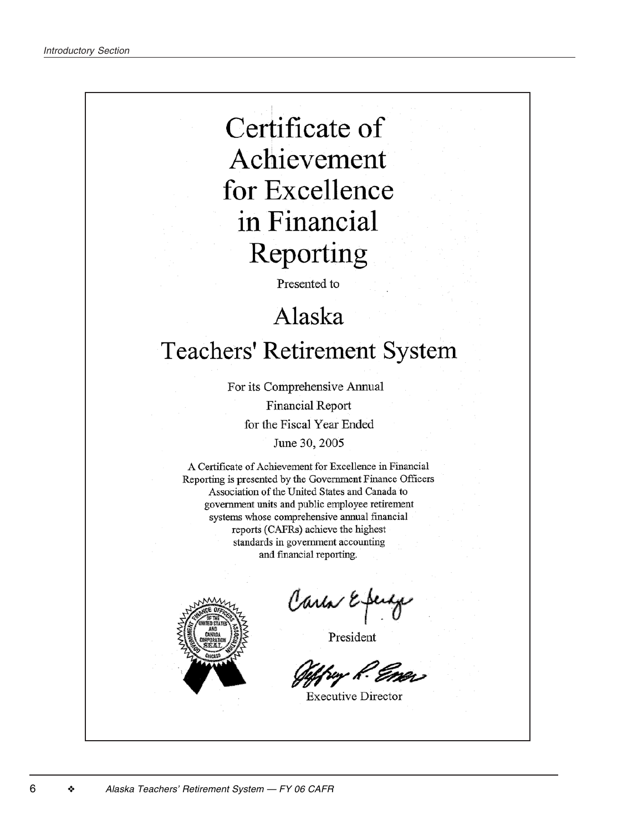# Certificate of Achievement for Excellence in Financial Reporting

Presented to

# Alaska **Teachers' Retirement System**

For its Comprehensive Annual **Financial Report** for the Fiscal Year Ended June 30, 2005

A Certificate of Achievement for Excellence in Financial Reporting is presented by the Government Finance Officers Association of the United States and Canada to government units and public employee retirement systems whose comprehensive annual financial reports (CAFRs) achieve the highest standards in government accounting and financial reporting.



Carla Escrita

President

Kuy k. Emer

**Executive Director**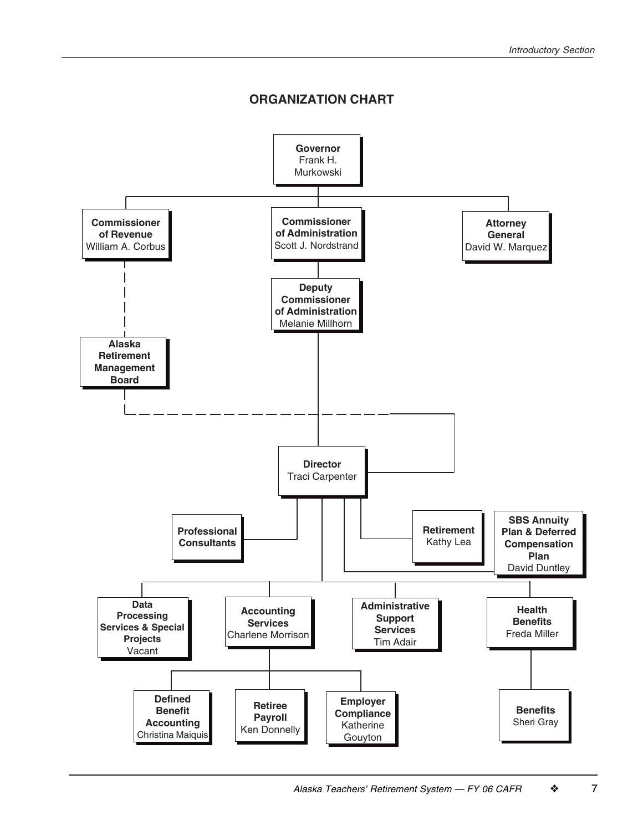### **ORGANIZATION CHART**

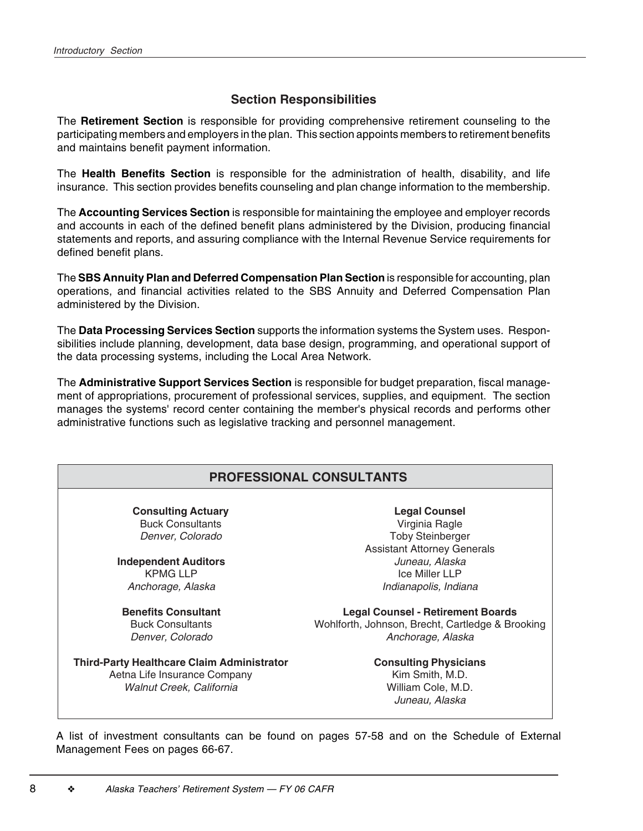### **Section Responsibilities**

The **Retirement Section** is responsible for providing comprehensive retirement counseling to the participating members and employers in the plan. This section appoints members to retirement benefits and maintains benefit payment information.

The **Health Benefits Section** is responsible for the administration of health, disability, and life insurance. This section provides benefits counseling and plan change information to the membership.

The **Accounting Services Section** is responsible for maintaining the employee and employer records and accounts in each of the defined benefit plans administered by the Division, producing financial statements and reports, and assuring compliance with the Internal Revenue Service requirements for defined benefit plans.

The **SBS Annuity Plan and Deferred Compensation Plan Section** is responsible for accounting, plan operations, and financial activities related to the SBS Annuity and Deferred Compensation Plan administered by the Division.

The **Data Processing Services Section** supports the information systems the System uses. Responsibilities include planning, development, data base design, programming, and operational support of the data processing systems, including the Local Area Network.

The **Administrative Support Services Section** is responsible for budget preparation, fiscal management of appropriations, procurement of professional services, supplies, and equipment. The section manages the systems' record center containing the member's physical records and performs other administrative functions such as legislative tracking and personnel management.

### **PROFESSIONAL CONSULTANTS**

**Consulting Actuary** Buck Consultants Denver, Colorado

**Independent Auditors** KPMG LLP Anchorage, Alaska

**Benefits Consultant** Buck Consultants Denver, Colorado

**Legal Counsel** Virginia Ragle Toby Steinberger Assistant Attorney Generals Juneau, Alaska Ice Miller LLP Indianapolis, Indiana

**Legal Counsel - Retirement Boards** Wohlforth, Johnson, Brecht, Cartledge & Brooking Anchorage, Alaska

**Third-Party Healthcare Claim Administrator** Aetna Life Insurance Company Walnut Creek, California

**Consulting Physicians** Kim Smith, M.D. William Cole, M.D. Juneau, Alaska

A list of investment consultants can be found on pages 57-58 and on the Schedule of External Management Fees on pages 66-67.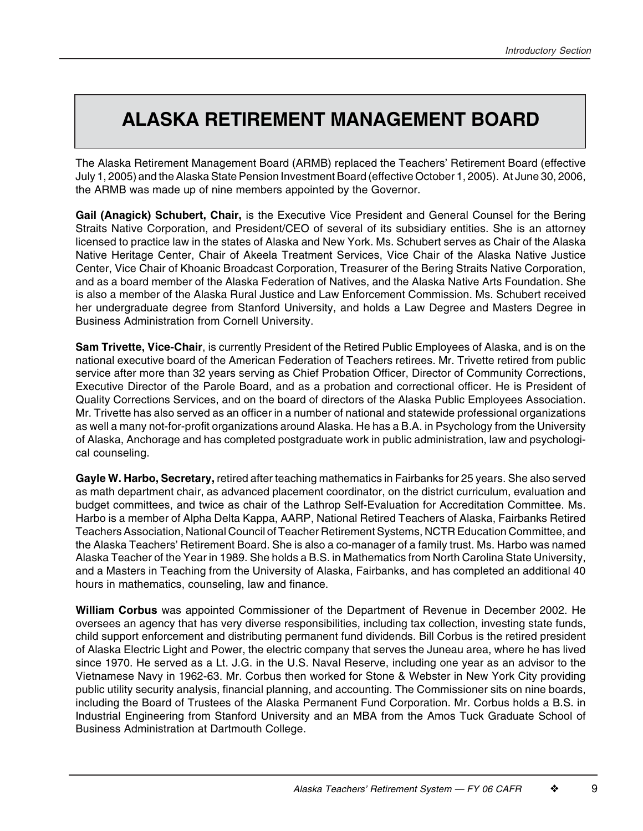# **ALASKA RETIREMENT MANAGEMENT BOARD**

The Alaska Retirement Management Board (ARMB) replaced the Teachers' Retirement Board (effective July 1, 2005) and the Alaska State Pension Investment Board (effective October 1, 2005). At June 30, 2006, the ARMB was made up of nine members appointed by the Governor.

**Gail (Anagick) Schubert, Chair,** is the Executive Vice President and General Counsel for the Bering Straits Native Corporation, and President/CEO of several of its subsidiary entities. She is an attorney licensed to practice law in the states of Alaska and New York. Ms. Schubert serves as Chair of the Alaska Native Heritage Center, Chair of Akeela Treatment Services, Vice Chair of the Alaska Native Justice Center, Vice Chair of Khoanic Broadcast Corporation, Treasurer of the Bering Straits Native Corporation, and as a board member of the Alaska Federation of Natives, and the Alaska Native Arts Foundation. She is also a member of the Alaska Rural Justice and Law Enforcement Commission. Ms. Schubert received her undergraduate degree from Stanford University, and holds a Law Degree and Masters Degree in Business Administration from Cornell University.

**Sam Trivette, Vice-Chair**, is currently President of the Retired Public Employees of Alaska, and is on the national executive board of the American Federation of Teachers retirees. Mr. Trivette retired from public service after more than 32 years serving as Chief Probation Officer, Director of Community Corrections, Executive Director of the Parole Board, and as a probation and correctional officer. He is President of Quality Corrections Services, and on the board of directors of the Alaska Public Employees Association. Mr. Trivette has also served as an officer in a number of national and statewide professional organizations as well a many not-for-profit organizations around Alaska. He has a B.A. in Psychology from the University of Alaska, Anchorage and has completed postgraduate work in public administration, law and psychological counseling.

**Gayle W. Harbo, Secretary,** retired after teaching mathematics in Fairbanks for 25 years. She also served as math department chair, as advanced placement coordinator, on the district curriculum, evaluation and budget committees, and twice as chair of the Lathrop Self-Evaluation for Accreditation Committee. Ms. Harbo is a member of Alpha Delta Kappa, AARP, National Retired Teachers of Alaska, Fairbanks Retired Teachers Association, National Council of Teacher Retirement Systems, NCTR Education Committee, and the Alaska Teachers' Retirement Board. She is also a co-manager of a family trust. Ms. Harbo was named Alaska Teacher of the Year in 1989. She holds a B.S. in Mathematics from North Carolina State University, and a Masters in Teaching from the University of Alaska, Fairbanks, and has completed an additional 40 hours in mathematics, counseling, law and finance.

**William Corbus** was appointed Commissioner of the Department of Revenue in December 2002. He oversees an agency that has very diverse responsibilities, including tax collection, investing state funds, child support enforcement and distributing permanent fund dividends. Bill Corbus is the retired president of Alaska Electric Light and Power, the electric company that serves the Juneau area, where he has lived since 1970. He served as a Lt. J.G. in the U.S. Naval Reserve, including one year as an advisor to the Vietnamese Navy in 1962-63. Mr. Corbus then worked for Stone & Webster in New York City providing public utility security analysis, financial planning, and accounting. The Commissioner sits on nine boards, including the Board of Trustees of the Alaska Permanent Fund Corporation. Mr. Corbus holds a B.S. in Industrial Engineering from Stanford University and an MBA from the Amos Tuck Graduate School of Business Administration at Dartmouth College.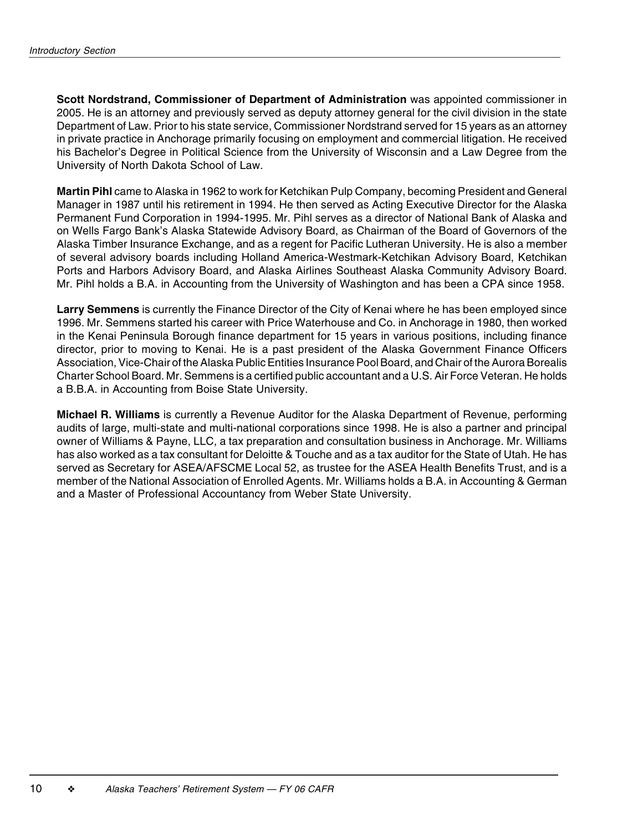**Scott Nordstrand, Commissioner of Department of Administration** was appointed commissioner in 2005. He is an attorney and previously served as deputy attorney general for the civil division in the state Department of Law. Prior to his state service, Commissioner Nordstrand served for 15 years as an attorney in private practice in Anchorage primarily focusing on employment and commercial litigation. He received his Bachelor's Degree in Political Science from the University of Wisconsin and a Law Degree from the University of North Dakota School of Law.

**Martin Pihl** came to Alaska in 1962 to work for Ketchikan Pulp Company, becoming President and General Manager in 1987 until his retirement in 1994. He then served as Acting Executive Director for the Alaska Permanent Fund Corporation in 1994-1995. Mr. Pihl serves as a director of National Bank of Alaska and on Wells Fargo Bank's Alaska Statewide Advisory Board, as Chairman of the Board of Governors of the Alaska Timber Insurance Exchange, and as a regent for Pacific Lutheran University. He is also a member of several advisory boards including Holland America-Westmark-Ketchikan Advisory Board, Ketchikan Ports and Harbors Advisory Board, and Alaska Airlines Southeast Alaska Community Advisory Board. Mr. Pihl holds a B.A. in Accounting from the University of Washington and has been a CPA since 1958.

**Larry Semmens** is currently the Finance Director of the City of Kenai where he has been employed since 1996. Mr. Semmens started his career with Price Waterhouse and Co. in Anchorage in 1980, then worked in the Kenai Peninsula Borough finance department for 15 years in various positions, including finance director, prior to moving to Kenai. He is a past president of the Alaska Government Finance Officers Association, Vice-Chair of the Alaska Public Entities Insurance Pool Board, and Chair of the Aurora Borealis Charter School Board. Mr. Semmens is a certified public accountant and a U.S. Air Force Veteran. He holds a B.B.A. in Accounting from Boise State University.

**Michael R. Williams** is currently a Revenue Auditor for the Alaska Department of Revenue, performing audits of large, multi-state and multi-national corporations since 1998. He is also a partner and principal owner of Williams & Payne, LLC, a tax preparation and consultation business in Anchorage. Mr. Williams has also worked as a tax consultant for Deloitte & Touche and as a tax auditor for the State of Utah. He has served as Secretary for ASEA/AFSCME Local 52, as trustee for the ASEA Health Benefits Trust, and is a member of the National Association of Enrolled Agents. Mr. Williams holds a B.A. in Accounting & German and a Master of Professional Accountancy from Weber State University.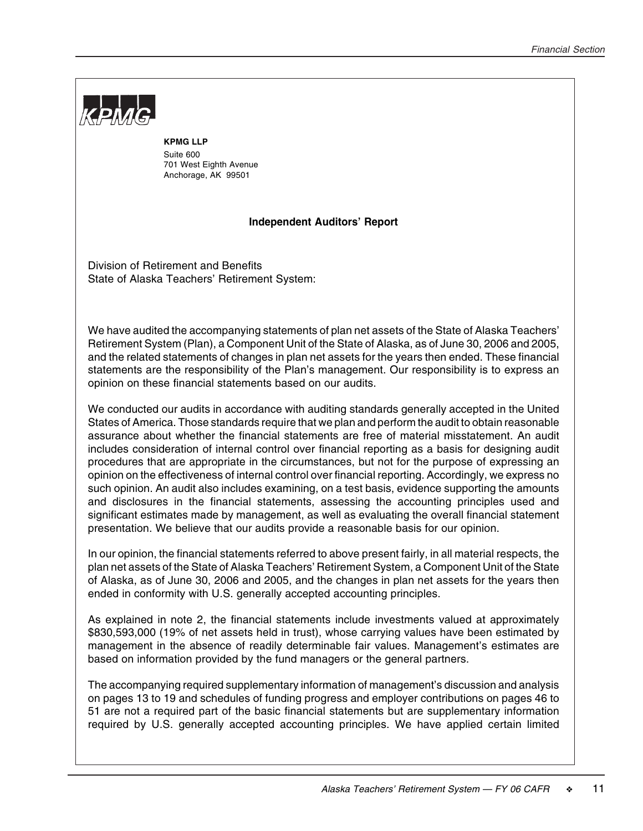

#### **KPMG LLP**

Suite 600 701 West Eighth Avenue Anchorage, AK 99501

#### **Independent Auditors' Report**

Division of Retirement and Benefits State of Alaska Teachers' Retirement System:

We have audited the accompanying statements of plan net assets of the State of Alaska Teachers' Retirement System (Plan), a Component Unit of the State of Alaska, as of June 30, 2006 and 2005, and the related statements of changes in plan net assets for the years then ended. These financial statements are the responsibility of the Plan's management. Our responsibility is to express an opinion on these financial statements based on our audits.

We conducted our audits in accordance with auditing standards generally accepted in the United States of America. Those standards require that we plan and perform the audit to obtain reasonable assurance about whether the financial statements are free of material misstatement. An audit includes consideration of internal control over financial reporting as a basis for designing audit procedures that are appropriate in the circumstances, but not for the purpose of expressing an opinion on the effectiveness of internal control over financial reporting. Accordingly, we express no such opinion. An audit also includes examining, on a test basis, evidence supporting the amounts and disclosures in the financial statements, assessing the accounting principles used and significant estimates made by management, as well as evaluating the overall financial statement presentation. We believe that our audits provide a reasonable basis for our opinion.

In our opinion, the financial statements referred to above present fairly, in all material respects, the plan net assets of the State of Alaska Teachers' Retirement System, a Component Unit of the State of Alaska, as of June 30, 2006 and 2005, and the changes in plan net assets for the years then ended in conformity with U.S. generally accepted accounting principles.

As explained in note 2, the financial statements include investments valued at approximately \$830,593,000 (19% of net assets held in trust), whose carrying values have been estimated by management in the absence of readily determinable fair values. Management's estimates are based on information provided by the fund managers or the general partners.

The accompanying required supplementary information of management's discussion and analysis on pages 13 to 19 and schedules of funding progress and employer contributions on pages 46 to 51 are not a required part of the basic financial statements but are supplementary information required by U.S. generally accepted accounting principles. We have applied certain limited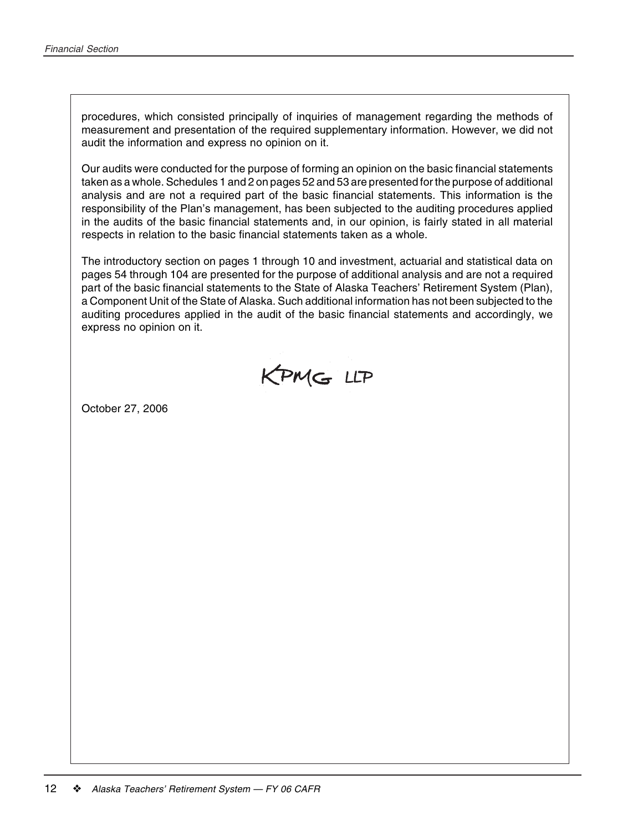procedures, which consisted principally of inquiries of management regarding the methods of measurement and presentation of the required supplementary information. However, we did not audit the information and express no opinion on it.

Our audits were conducted for the purpose of forming an opinion on the basic financial statements taken as a whole. Schedules 1 and 2 on pages 52 and 53 are presented for the purpose of additional analysis and are not a required part of the basic financial statements. This information is the responsibility of the Plan's management, has been subjected to the auditing procedures applied in the audits of the basic financial statements and, in our opinion, is fairly stated in all material respects in relation to the basic financial statements taken as a whole.

The introductory section on pages 1 through 10 and investment, actuarial and statistical data on pages 54 through 104 are presented for the purpose of additional analysis and are not a required part of the basic financial statements to the State of Alaska Teachers' Retirement System (Plan), a Component Unit of the State of Alaska. Such additional information has not been subjected to the auditing procedures applied in the audit of the basic financial statements and accordingly, we express no opinion on it.

KPMG LLP

October 27, 2006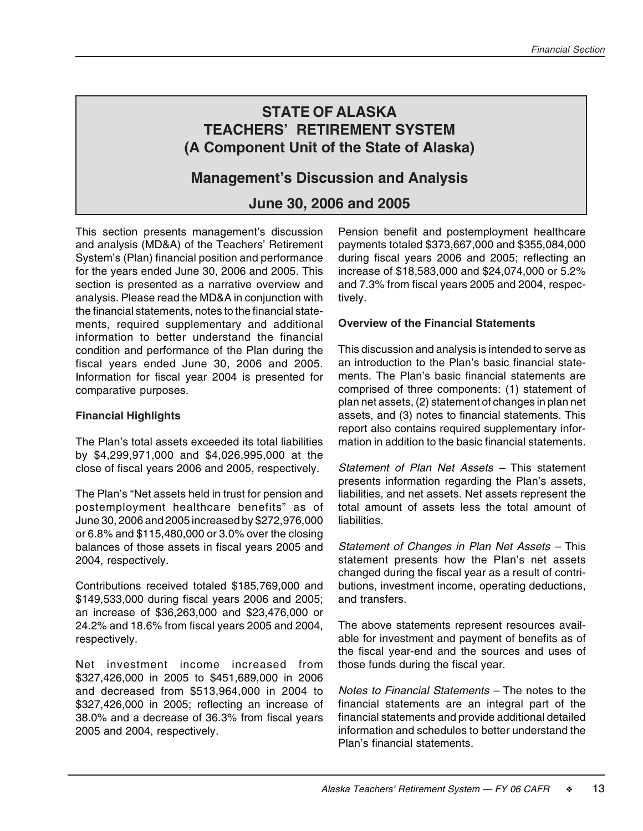### **Management's Discussion and Analysis**

### **June 30, 2006 and 2005**

This section presents management's discussion and analysis (MD&A) of the Teachers' Retirement System's (Plan) financial position and performance for the years ended June 30, 2006 and 2005. This section is presented as a narrative overview and analysis. Please read the MD&A in conjunction with the financial statements, notes to the financial statements, required supplementary and additional information to better understand the financial condition and performance of the Plan during the fiscal years ended June 30, 2006 and 2005. Information for fiscal year 2004 is presented for comparative purposes.

#### **Financial Highlights**

The Plan's total assets exceeded its total liabilities by \$4,299,971,000 and \$4,026,995,000 at the close of fiscal years 2006 and 2005, respectively.

The Plan's "Net assets held in trust for pension and postemployment healthcare benefits" as of June 30, 2006 and 2005 increased by \$272,976,000 or 6.8% and \$115,480,000 or 3.0% over the closing balances of those assets in fiscal years 2005 and 2004, respectively.

Contributions received totaled \$185,769,000 and \$149,533,000 during fiscal years 2006 and 2005; an increase of \$36,263,000 and \$23,476,000 or 24.2% and 18.6% from fiscal years 2005 and 2004, respectively.

Net investment income increased from \$327,426,000 in 2005 to \$451,689,000 in 2006 and decreased from \$513,964,000 in 2004 to \$327,426,000 in 2005; reflecting an increase of 38.0% and a decrease of 36.3% from fiscal years 2005 and 2004, respectively.

Pension benefit and postemployment healthcare payments totaled \$373,667,000 and \$355,084,000 during fiscal years 2006 and 2005; reflecting an increase of \$18,583,000 and \$24,074,000 or 5.2% and 7.3% from fiscal years 2005 and 2004, respectively.

#### **Overview of the Financial Statements**

This discussion and analysis is intended to serve as an introduction to the Plan's basic financial statements. The Plan's basic financial statements are comprised of three components: (1) statement of plan net assets, (2) statement of changes in plan net assets, and (3) notes to financial statements. This report also contains required supplementary information in addition to the basic financial statements.

Statement of Plan Net Assets – This statement presents information regarding the Plan's assets, liabilities, and net assets. Net assets represent the total amount of assets less the total amount of liabilities.

Statement of Changes in Plan Net Assets – This statement presents how the Plan's net assets changed during the fiscal year as a result of contributions, investment income, operating deductions, and transfers.

The above statements represent resources available for investment and payment of benefits as of the fiscal year-end and the sources and uses of those funds during the fiscal year.

Notes to Financial Statements – The notes to the financial statements are an integral part of the financial statements and provide additional detailed information and schedules to better understand the Plan's financial statements.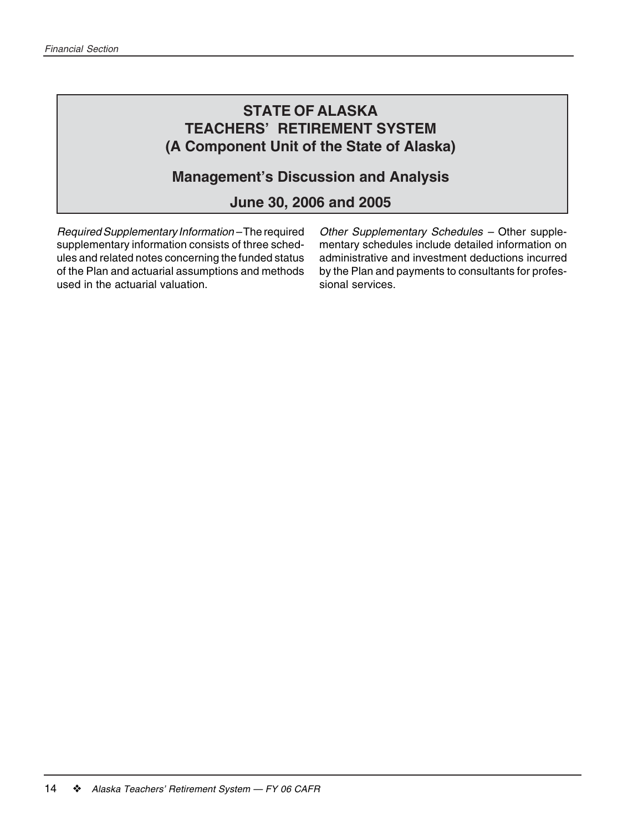### **Management's Discussion and Analysis**

### **June 30, 2006 and 2005**

Required Supplementary Information – The required supplementary information consists of three schedules and related notes concerning the funded status of the Plan and actuarial assumptions and methods used in the actuarial valuation.

Other Supplementary Schedules – Other supplementary schedules include detailed information on administrative and investment deductions incurred by the Plan and payments to consultants for professional services.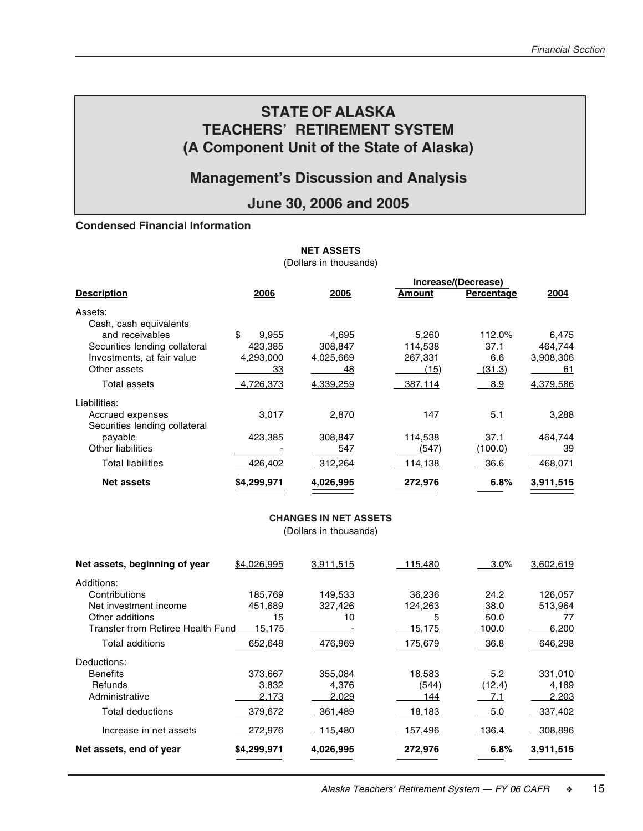### **Management's Discussion and Analysis**

### **June 30, 2006 and 2005**

#### **Condensed Financial Information**

#### **NET ASSETS**

(Dollars in thousands)

|                               |             |           |         | Increase/(Decrease) |           |  |
|-------------------------------|-------------|-----------|---------|---------------------|-----------|--|
| <b>Description</b>            | 2006        | 2005      | Amount  | Percentage          | 2004      |  |
| Assets:                       |             |           |         |                     |           |  |
| Cash, cash equivalents        |             |           |         |                     |           |  |
| and receivables               | \$<br>9,955 | 4,695     | 5,260   | 112.0%              | 6,475     |  |
| Securities lending collateral | 423,385     | 308,847   | 114,538 | 37.1                | 464,744   |  |
| Investments, at fair value    | 4,293,000   | 4,025,669 | 267,331 | 6.6                 | 3,908,306 |  |
| Other assets                  | 33          | 48        | (15)    | (31.3)              | 61        |  |
| Total assets                  | 4,726,373   | 4,339,259 | 387,114 | 8.9                 | 4,379,586 |  |
| Liabilities:                  |             |           |         |                     |           |  |
| Accrued expenses              | 3.017       | 2.870     | 147     | 5.1                 | 3.288     |  |
| Securities lending collateral |             |           |         |                     |           |  |
| payable                       | 423,385     | 308,847   | 114,538 | 37.1                | 464,744   |  |
| Other liabilities             |             | 547       | (547)   | (100.0)             | 39        |  |
| <b>Total liabilities</b>      | 426,402     | 312,264   | 114,138 | 36.6                | 468,071   |  |
| <b>Net assets</b>             | \$4,299,971 | 4,026,995 | 272,976 | 6.8%                | 3,911,515 |  |

#### **CHANGES IN NET ASSETS**

(Dollars in thousands)

| Net assets, beginning of year     | \$4,026,995 | 3,911,515 | 115,480 | 3.0%   | 3,602,619 |
|-----------------------------------|-------------|-----------|---------|--------|-----------|
| Additions:                        |             |           |         |        |           |
| Contributions                     | 185,769     | 149,533   | 36,236  | 24.2   | 126,057   |
| Net investment income             | 451,689     | 327,426   | 124,263 | 38.0   | 513,964   |
| Other additions                   | 15          | 10        | 5       | 50.0   | 77        |
| Transfer from Retiree Health Fund | 15,175      |           | 15,175  | 100.0  | 6,200     |
| Total additions                   | 652,648     | 476,969   | 175,679 | 36.8   | 646,298   |
| Deductions:                       |             |           |         |        |           |
| <b>Benefits</b>                   | 373,667     | 355.084   | 18,583  | 5.2    | 331,010   |
| Refunds                           | 3,832       | 4,376     | (544)   | (12.4) | 4,189     |
| Administrative                    | 2,173       | 2,029     | 144     | 7.1    | 2.203     |
| Total deductions                  | 379,672     | 361,489   | 18,183  | 5.0    | 337,402   |
| Increase in net assets            | 272,976     | 115,480   | 157,496 | 136.4  | 308,896   |
| Net assets, end of year           | \$4,299,971 | 4,026,995 | 272,976 | 6.8%   | 3,911,515 |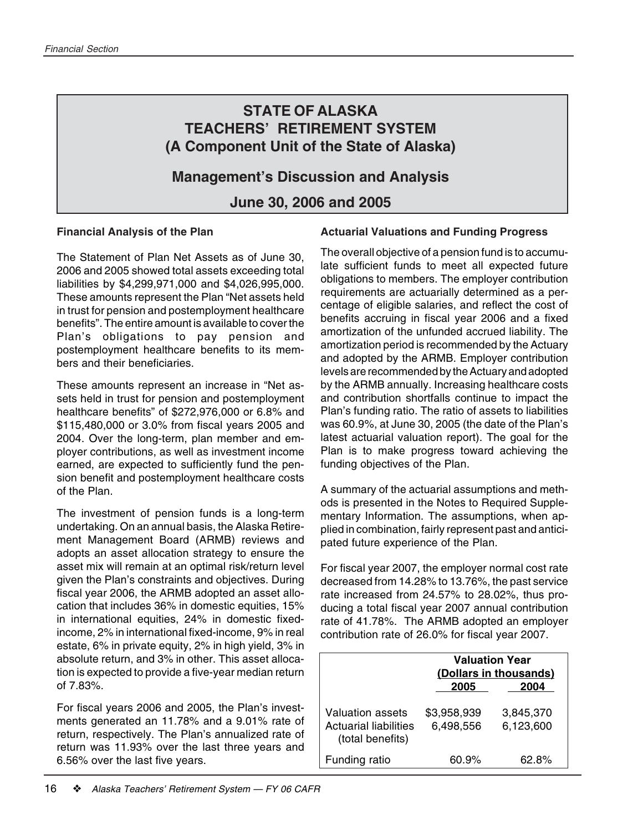### **Management's Discussion and Analysis**

### **June 30, 2006 and 2005**

#### **Financial Analysis of the Plan**

The Statement of Plan Net Assets as of June 30, 2006 and 2005 showed total assets exceeding total liabilities by \$4,299,971,000 and \$4,026,995,000. These amounts represent the Plan "Net assets held in trust for pension and postemployment healthcare benefits". The entire amount is available to cover the Plan's obligations to pay pension and postemployment healthcare benefits to its members and their beneficiaries.

These amounts represent an increase in "Net assets held in trust for pension and postemployment healthcare benefits" of \$272,976,000 or 6.8% and \$115,480,000 or 3.0% from fiscal years 2005 and 2004. Over the long-term, plan member and employer contributions, as well as investment income earned, are expected to sufficiently fund the pension benefit and postemployment healthcare costs of the Plan.

The investment of pension funds is a long-term undertaking. On an annual basis, the Alaska Retirement Management Board (ARMB) reviews and adopts an asset allocation strategy to ensure the asset mix will remain at an optimal risk/return level given the Plan's constraints and objectives. During fiscal year 2006, the ARMB adopted an asset allocation that includes 36% in domestic equities, 15% in international equities, 24% in domestic fixedincome, 2% in international fixed-income, 9% in real estate, 6% in private equity, 2% in high yield, 3% in absolute return, and 3% in other. This asset allocation is expected to provide a five-year median return of 7.83%.

For fiscal years 2006 and 2005, the Plan's investments generated an 11.78% and a 9.01% rate of return, respectively. The Plan's annualized rate of return was 11.93% over the last three years and 6.56% over the last five years.

#### **Actuarial Valuations and Funding Progress**

The overall objective of a pension fund is to accumulate sufficient funds to meet all expected future obligations to members. The employer contribution requirements are actuarially determined as a percentage of eligible salaries, and reflect the cost of benefits accruing in fiscal year 2006 and a fixed amortization of the unfunded accrued liability. The amortization period is recommended by the Actuary and adopted by the ARMB. Employer contribution levels are recommended by the Actuary and adopted by the ARMB annually. Increasing healthcare costs and contribution shortfalls continue to impact the Plan's funding ratio. The ratio of assets to liabilities was 60.9%, at June 30, 2005 (the date of the Plan's latest actuarial valuation report). The goal for the Plan is to make progress toward achieving the funding objectives of the Plan.

A summary of the actuarial assumptions and methods is presented in the Notes to Required Supplementary Information. The assumptions, when applied in combination, fairly represent past and anticipated future experience of the Plan.

For fiscal year 2007, the employer normal cost rate decreased from 14.28% to 13.76%, the past service rate increased from 24.57% to 28.02%, thus producing a total fiscal year 2007 annual contribution rate of 41.78%. The ARMB adopted an employer contribution rate of 26.0% for fiscal year 2007.

|                                                                             | <b>Valuation Year</b><br>(Dollars in thousands) |                        |  |  |  |  |
|-----------------------------------------------------------------------------|-------------------------------------------------|------------------------|--|--|--|--|
|                                                                             | 2005<br>2004                                    |                        |  |  |  |  |
| <b>Valuation assets</b><br><b>Actuarial liabilities</b><br>(total benefits) | \$3,958,939<br>6,498,556                        | 3,845,370<br>6,123,600 |  |  |  |  |
| Funding ratio                                                               | 60.9%                                           | 62 ጸ%                  |  |  |  |  |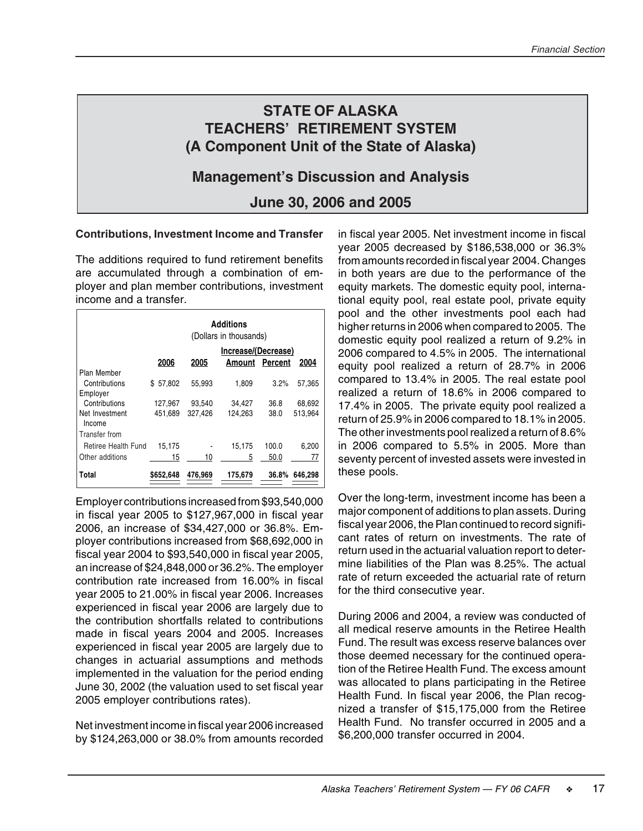### **Management's Discussion and Analysis**

### **June 30, 2006 and 2005**

#### **Contributions, Investment Income and Transfer**

The additions required to fund retirement benefits are accumulated through a combination of employer and plan member contributions, investment income and a transfer.

|                          | <b>Additions</b><br>(Dollars in thousands) |         |                     |         |         |
|--------------------------|--------------------------------------------|---------|---------------------|---------|---------|
|                          |                                            |         | Increase/(Decrease) |         |         |
|                          | 2006                                       | 2005    | Amount              | Percent | 2004    |
| Plan Member              |                                            |         |                     |         |         |
| Contributions            | 57.802<br>S.                               | 55.993  | 1.809               | 3.2%    | 57.365  |
| Employer                 |                                            |         |                     |         |         |
| Contributions            | 127,967                                    | 93,540  | 34,427              | 36.8    | 68,692  |
| Net Investment<br>Income | 451.689                                    | 327.426 | 124.263             | 38.0    | 513.964 |
| Transfer from            |                                            |         |                     |         |         |
| Retiree Health Fund      | 15,175                                     |         | 15,175              | 100.0   | 6,200   |
| Other additions          | 15                                         | 10      | 5                   | 50.0    | 77      |
| Total                    | \$652.648                                  | 476.969 | 175,679             | 36.8%   | 646.298 |

Employer contributions increased from \$93,540,000 in fiscal year 2005 to \$127,967,000 in fiscal year 2006, an increase of \$34,427,000 or 36.8%. Employer contributions increased from \$68,692,000 in fiscal year 2004 to \$93,540,000 in fiscal year 2005, an increase of \$24,848,000 or 36.2%. The employer contribution rate increased from 16.00% in fiscal year 2005 to 21.00% in fiscal year 2006. Increases experienced in fiscal year 2006 are largely due to the contribution shortfalls related to contributions made in fiscal years 2004 and 2005. Increases experienced in fiscal year 2005 are largely due to changes in actuarial assumptions and methods implemented in the valuation for the period ending June 30, 2002 (the valuation used to set fiscal year 2005 employer contributions rates).

Net investment income in fiscal year 2006 increased by \$124,263,000 or 38.0% from amounts recorded

in fiscal year 2005. Net investment income in fiscal year 2005 decreased by \$186,538,000 or 36.3% from amounts recorded in fiscal year 2004. Changes in both years are due to the performance of the equity markets. The domestic equity pool, international equity pool, real estate pool, private equity pool and the other investments pool each had higher returns in 2006 when compared to 2005. The domestic equity pool realized a return of 9.2% in 2006 compared to 4.5% in 2005. The international equity pool realized a return of 28.7% in 2006 compared to 13.4% in 2005. The real estate pool realized a return of 18.6% in 2006 compared to 17.4% in 2005. The private equity pool realized a return of 25.9% in 2006 compared to 18.1% in 2005. The other investments pool realized a return of 8.6% in 2006 compared to 5.5% in 2005. More than seventy percent of invested assets were invested in these pools.

Over the long-term, investment income has been a major component of additions to plan assets. During fiscal year 2006, the Plan continued to record significant rates of return on investments. The rate of return used in the actuarial valuation report to determine liabilities of the Plan was 8.25%. The actual rate of return exceeded the actuarial rate of return for the third consecutive year.

During 2006 and 2004, a review was conducted of all medical reserve amounts in the Retiree Health Fund. The result was excess reserve balances over those deemed necessary for the continued operation of the Retiree Health Fund. The excess amount was allocated to plans participating in the Retiree Health Fund. In fiscal year 2006, the Plan recognized a transfer of \$15,175,000 from the Retiree Health Fund. No transfer occurred in 2005 and a \$6,200,000 transfer occurred in 2004.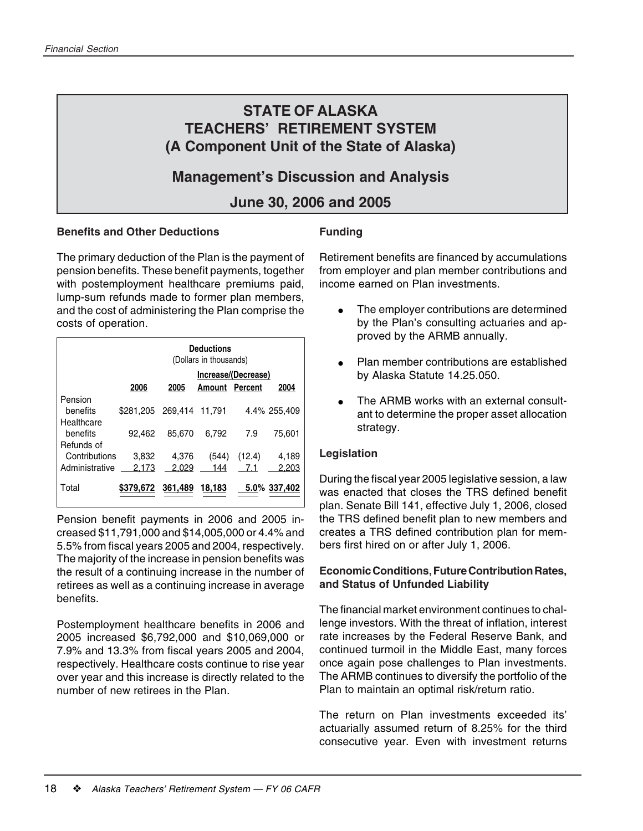### **Management's Discussion and Analysis**

### **June 30, 2006 and 2005**

#### **Benefits and Other Deductions**

#### **Funding**

The primary deduction of the Plan is the payment of pension benefits. These benefit payments, together with postemployment healthcare premiums paid, lump-sum refunds made to former plan members, and the cost of administering the Plan comprise the costs of operation.

|                | <b>Deductions</b><br>(Dollars in thousands) |         |                       |                     |              |  |
|----------------|---------------------------------------------|---------|-----------------------|---------------------|--------------|--|
|                |                                             |         |                       | Increase/(Decrease) |              |  |
|                | 2006                                        | 2005    | <b>Amount Percent</b> |                     | 2004         |  |
| Pension        |                                             |         |                       |                     |              |  |
| benefits       | \$281,205 269,414                           |         | 11.791                |                     | 4.4% 255,409 |  |
| Healthcare     |                                             |         |                       |                     |              |  |
| benefits       | 92.462                                      | 85.670  | 6.792                 | 7.9                 | 75.601       |  |
| Refunds of     |                                             |         |                       |                     |              |  |
| Contributions  | 3,832                                       | 4.376   | (544)                 | (12.4)              | 4,189        |  |
| Administrative | 2.173                                       | 2.029   | 144                   | 7.1                 | 2.203        |  |
| Total          | \$379.672                                   | 361,489 | 18,183                |                     | 5.0% 337,402 |  |

Pension benefit payments in 2006 and 2005 increased \$11,791,000 and \$14,005,000 or 4.4% and 5.5% from fiscal years 2005 and 2004, respectively. The majority of the increase in pension benefits was the result of a continuing increase in the number of retirees as well as a continuing increase in average benefits.

Postemployment healthcare benefits in 2006 and 2005 increased \$6,792,000 and \$10,069,000 or 7.9% and 13.3% from fiscal years 2005 and 2004, respectively. Healthcare costs continue to rise year over year and this increase is directly related to the number of new retirees in the Plan.

Retirement benefits are financed by accumulations from employer and plan member contributions and income earned on Plan investments.

- The employer contributions are determined by the Plan's consulting actuaries and approved by the ARMB annually.
- Plan member contributions are established by Alaska Statute 14.25.050.
- The ARMB works with an external consultant to determine the proper asset allocation strategy.

#### **Legislation**

During the fiscal year 2005 legislative session, a law was enacted that closes the TRS defined benefit plan. Senate Bill 141, effective July 1, 2006, closed the TRS defined benefit plan to new members and creates a TRS defined contribution plan for members first hired on or after July 1, 2006.

#### **Economic Conditions, Future Contribution Rates, and Status of Unfunded Liability**

The financial market environment continues to challenge investors. With the threat of inflation, interest rate increases by the Federal Reserve Bank, and continued turmoil in the Middle East, many forces once again pose challenges to Plan investments. The ARMB continues to diversify the portfolio of the Plan to maintain an optimal risk/return ratio.

The return on Plan investments exceeded its' actuarially assumed return of 8.25% for the third consecutive year. Even with investment returns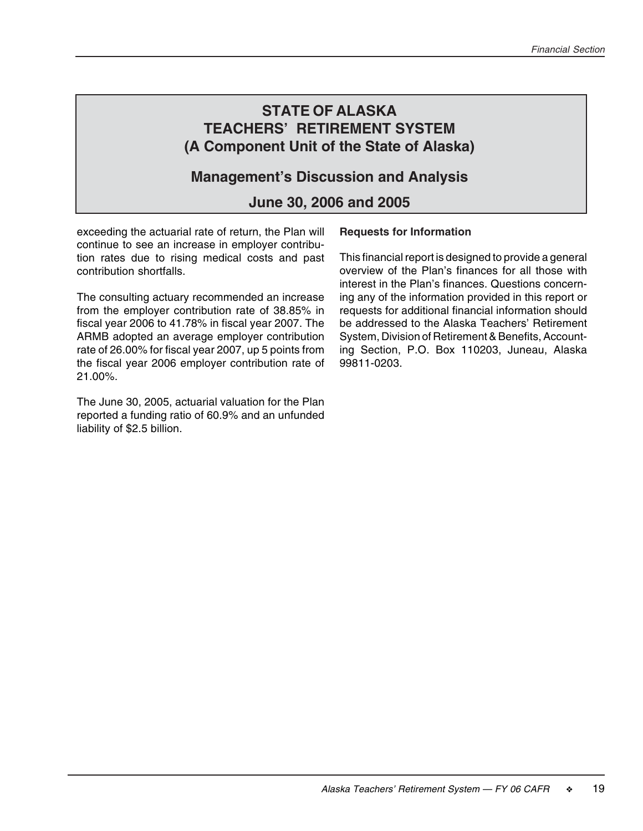### **Management's Discussion and Analysis**

### **June 30, 2006 and 2005**

exceeding the actuarial rate of return, the Plan will continue to see an increase in employer contribution rates due to rising medical costs and past contribution shortfalls.

The consulting actuary recommended an increase from the employer contribution rate of 38.85% in fiscal year 2006 to 41.78% in fiscal year 2007. The ARMB adopted an average employer contribution rate of 26.00% for fiscal year 2007, up 5 points from the fiscal year 2006 employer contribution rate of 21.00%.

The June 30, 2005, actuarial valuation for the Plan reported a funding ratio of 60.9% and an unfunded liability of \$2.5 billion.

**Requests for Information**

This financial report is designed to provide a general overview of the Plan's finances for all those with interest in the Plan's finances. Questions concerning any of the information provided in this report or requests for additional financial information should be addressed to the Alaska Teachers' Retirement System, Division of Retirement & Benefits, Accounting Section, P.O. Box 110203, Juneau, Alaska 99811-0203.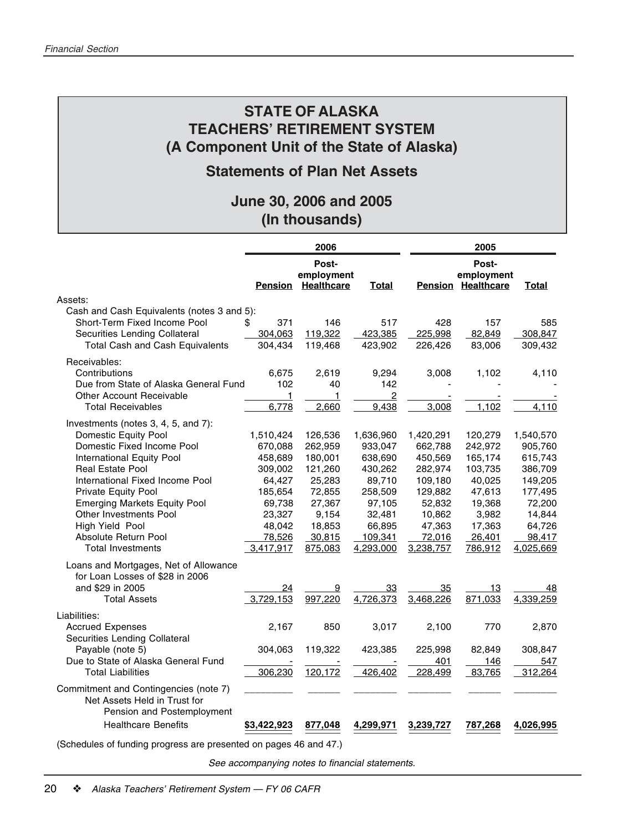### **Statements of Plan Net Assets**

**June 30, 2006 and 2005 (In thousands)**

|                                                                                                                                                                                                                                                                                                                                                                   | 2006                                                                                                                 |                                                                                                                |                                                                                                                       |                                                                                                                       | 2005                                                                                                           |                                                                                                                       |  |  |
|-------------------------------------------------------------------------------------------------------------------------------------------------------------------------------------------------------------------------------------------------------------------------------------------------------------------------------------------------------------------|----------------------------------------------------------------------------------------------------------------------|----------------------------------------------------------------------------------------------------------------|-----------------------------------------------------------------------------------------------------------------------|-----------------------------------------------------------------------------------------------------------------------|----------------------------------------------------------------------------------------------------------------|-----------------------------------------------------------------------------------------------------------------------|--|--|
|                                                                                                                                                                                                                                                                                                                                                                   | <b>Pension</b>                                                                                                       | Post-<br>employment<br>Healthcare                                                                              | Total                                                                                                                 |                                                                                                                       | Post-<br>employment<br><b>Pension Healthcare</b>                                                               | Total                                                                                                                 |  |  |
| Assets:                                                                                                                                                                                                                                                                                                                                                           |                                                                                                                      |                                                                                                                |                                                                                                                       |                                                                                                                       |                                                                                                                |                                                                                                                       |  |  |
| Cash and Cash Equivalents (notes 3 and 5):<br>Short-Term Fixed Income Pool<br>\$<br>Securities Lending Collateral<br><b>Total Cash and Cash Equivalents</b>                                                                                                                                                                                                       | 371<br>304,063<br>304,434                                                                                            | 146<br>119,322<br>119,468                                                                                      | 517<br>423,385<br>423,902                                                                                             | 428<br>225,998<br>226,426                                                                                             | 157<br>82,849<br>83,006                                                                                        | 585<br>308,847<br>309,432                                                                                             |  |  |
| Receivables:<br>Contributions<br>Due from State of Alaska General Fund<br>Other Account Receivable<br><b>Total Receivables</b>                                                                                                                                                                                                                                    | 6,675<br>102<br>1<br>6,778                                                                                           | 2,619<br>40<br>$\mathbf{1}$<br>2,660                                                                           | 9,294<br>142<br>2<br>9,438                                                                                            | 3,008<br>3,008                                                                                                        | 1,102<br>$\overline{\phantom{a}}$<br>1,102                                                                     | 4,110<br>4,110                                                                                                        |  |  |
| Investments (notes 3, 4, 5, and 7):<br>Domestic Equity Pool<br>Domestic Fixed Income Pool<br><b>International Equity Pool</b><br><b>Real Estate Pool</b><br>International Fixed Income Pool<br>Private Equity Pool<br><b>Emerging Markets Equity Pool</b><br><b>Other Investments Pool</b><br>High Yield Pool<br>Absolute Return Pool<br><b>Total Investments</b> | 1,510,424<br>670,088<br>458,689<br>309,002<br>64,427<br>185,654<br>69,738<br>23,327<br>48,042<br>78,526<br>3,417,917 | 126,536<br>262,959<br>180,001<br>121,260<br>25,283<br>72,855<br>27,367<br>9,154<br>18,853<br>30,815<br>875,083 | 1,636,960<br>933,047<br>638,690<br>430,262<br>89,710<br>258,509<br>97,105<br>32,481<br>66,895<br>109,341<br>4,293,000 | 1,420,291<br>662,788<br>450,569<br>282,974<br>109,180<br>129,882<br>52,832<br>10,862<br>47,363<br>72,016<br>3,238,757 | 120,279<br>242,972<br>165,174<br>103,735<br>40,025<br>47,613<br>19,368<br>3,982<br>17,363<br>26,401<br>786,912 | 1,540,570<br>905,760<br>615,743<br>386,709<br>149,205<br>177,495<br>72,200<br>14,844<br>64,726<br>98,417<br>4,025,669 |  |  |
| Loans and Mortgages, Net of Allowance<br>for Loan Losses of \$28 in 2006<br>and \$29 in 2005<br><b>Total Assets</b>                                                                                                                                                                                                                                               | 24<br>3,729,153                                                                                                      | 9<br>997,220                                                                                                   | 33<br>4,726,373                                                                                                       | 35<br>3,468,226                                                                                                       | 13<br>871,033                                                                                                  | 48<br>4,339,259                                                                                                       |  |  |
| Liabilities:<br><b>Accrued Expenses</b><br>Securities Lending Collateral                                                                                                                                                                                                                                                                                          | 2,167                                                                                                                | 850                                                                                                            | 3,017                                                                                                                 | 2,100                                                                                                                 | 770                                                                                                            | 2,870                                                                                                                 |  |  |
| Payable (note 5)<br>Due to State of Alaska General Fund<br><b>Total Liabilities</b>                                                                                                                                                                                                                                                                               | 304,063<br>306,230                                                                                                   | 119,322<br>120,172                                                                                             | 423,385<br>426,402                                                                                                    | 225,998<br>401<br>228,499                                                                                             | 82,849<br>146<br>83,765                                                                                        | 308,847<br>547<br>312,264                                                                                             |  |  |
| Commitment and Contingencies (note 7)<br>Net Assets Held in Trust for<br>Pension and Postemployment<br><b>Healthcare Benefits</b>                                                                                                                                                                                                                                 | \$3,422,923                                                                                                          | 877,048                                                                                                        | 4,299,971                                                                                                             | 3,239,727                                                                                                             | 787,268                                                                                                        | 4,026,995                                                                                                             |  |  |

(Schedules of funding progress are presented on pages 46 and 47.)

See accompanying notes to financial statements.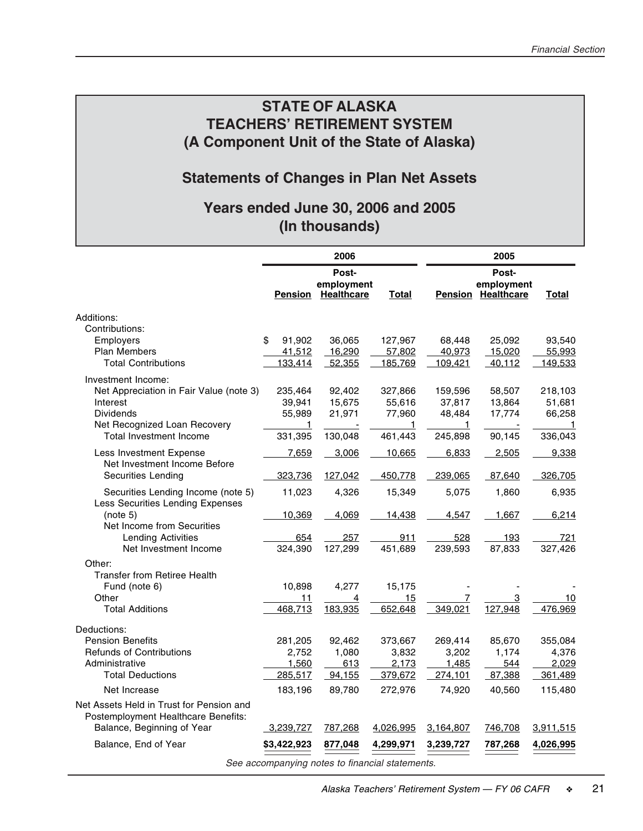### **Statements of Changes in Plan Net Assets**

### **Years ended June 30, 2006 and 2005 (In thousands)**

|                                                                                 | 2006         |                                                 | 2005         |           |                                                  |              |
|---------------------------------------------------------------------------------|--------------|-------------------------------------------------|--------------|-----------|--------------------------------------------------|--------------|
|                                                                                 | Pension      | Post-<br>employment<br><b>Healthcare</b>        | <b>Total</b> |           | Post-<br>employment<br><b>Pension Healthcare</b> | <b>Total</b> |
| Additions:                                                                      |              |                                                 |              |           |                                                  |              |
| Contributions:<br>Employers                                                     | \$<br>91,902 | 36,065                                          | 127,967      | 68,448    | 25,092                                           | 93,540       |
| <b>Plan Members</b>                                                             | 41,512       | 16,290                                          | 57,802       | 40,973    | 15,020                                           | 55,993       |
| <b>Total Contributions</b>                                                      | 133,414      | 52,355                                          | 185,769      | 109,421   | 40,112                                           | 149,533      |
| Investment Income:                                                              |              |                                                 |              |           |                                                  |              |
| Net Appreciation in Fair Value (note 3)                                         | 235,464      | 92,402                                          | 327,866      | 159,596   | 58,507                                           | 218,103      |
| Interest                                                                        | 39,941       | 15,675                                          | 55,616       | 37,817    | 13,864                                           | 51,681       |
| <b>Dividends</b>                                                                | 55,989       | 21,971                                          | 77,960       | 48,484    | 17,774                                           | 66,258       |
| Net Recognized Loan Recovery                                                    | 1.           |                                                 | 1            | 1         |                                                  |              |
| <b>Total Investment Income</b>                                                  | 331,395      | 130,048                                         | 461,443      | 245,898   | 90,145                                           | 336,043      |
| Less Investment Expense<br>Net Investment Income Before                         | 7,659        | 3,006                                           | 10,665       | 6,833     | 2,505                                            | 9,338        |
| <b>Securities Lending</b>                                                       | 323,736      | 127,042                                         | 450,778      | 239,065   | 87,640                                           | 326,705      |
| Securities Lending Income (note 5)<br>Less Securities Lending Expenses          | 11,023       | 4,326                                           | 15,349       | 5,075     | 1,860                                            | 6,935        |
| (note 5)                                                                        | 10,369       | 4,069                                           | 14,438       | 4,547     | 1,667                                            | 6,214        |
| Net Income from Securities                                                      |              |                                                 |              |           |                                                  |              |
| Lending Activities                                                              | 654          | 257                                             | 911          | 528       | 193                                              | 721          |
| Net Investment Income                                                           | 324,390      | 127,299                                         | 451,689      | 239,593   | 87,833                                           | 327,426      |
| Other:                                                                          |              |                                                 |              |           |                                                  |              |
| <b>Transfer from Retiree Health</b>                                             |              |                                                 |              |           |                                                  |              |
| Fund (note 6)                                                                   | 10,898       | 4,277                                           | 15,175       |           |                                                  |              |
| Other                                                                           | 11           | 4                                               | 15           | 7         | 3                                                | 10           |
| <b>Total Additions</b>                                                          | 468,713      | 183,935                                         | 652,648      | 349,021   | 127,948                                          | 476,969      |
| Deductions:                                                                     |              |                                                 |              |           |                                                  |              |
| <b>Pension Benefits</b>                                                         | 281,205      | 92,462                                          | 373,667      | 269,414   | 85,670                                           | 355,084      |
| <b>Refunds of Contributions</b>                                                 | 2,752        | 1,080                                           | 3,832        | 3,202     | 1.174                                            | 4,376        |
| Administrative                                                                  | 1,560        | 613                                             | 2,173        | 1,485     | 544                                              | 2,029        |
| <b>Total Deductions</b>                                                         | 285,517      | 94,155                                          | 379,672      | 274,101   | 87,388                                           | 361,489      |
| Net Increase                                                                    | 183,196      | 89,780                                          | 272,976      | 74,920    | 40,560                                           | 115,480      |
| Net Assets Held in Trust for Pension and<br>Postemployment Healthcare Benefits: |              |                                                 |              |           |                                                  |              |
| Balance, Beginning of Year                                                      | 3,239,727    | 787,268                                         | 4,026,995    | 3,164,807 | 746,708                                          | 3,911,515    |
| Balance, End of Year                                                            | \$3,422,923  | 877,048                                         | 4,299,971    | 3,239,727 | 787,268                                          | 4,026,995    |
|                                                                                 |              | See accompanying notes to financial statements. |              |           |                                                  |              |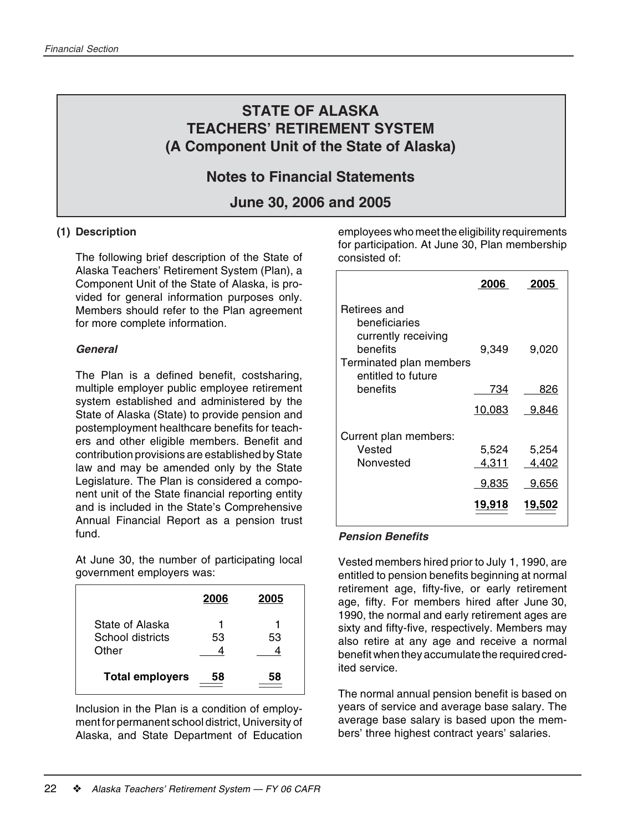### **Notes to Financial Statements**

### **June 30, 2006 and 2005**

#### **(1) Description**

The following brief description of the State of Alaska Teachers' Retirement System (Plan), a Component Unit of the State of Alaska, is provided for general information purposes only. Members should refer to the Plan agreement for more complete information.

#### **General**

The Plan is a defined benefit, costsharing, multiple employer public employee retirement system established and administered by the State of Alaska (State) to provide pension and postemployment healthcare benefits for teachers and other eligible members. Benefit and contribution provisions are established by State law and may be amended only by the State Legislature. The Plan is considered a component unit of the State financial reporting entity and is included in the State's Comprehensive Annual Financial Report as a pension trust fund.

At June 30, the number of participating local government employers was:

|                                              | 2006 | 2005 |
|----------------------------------------------|------|------|
| State of Alaska<br>School districts<br>Other | 53   | 53   |
| <b>Total employers</b>                       | 58   |      |

Inclusion in the Plan is a condition of employment for permanent school district, University of Alaska, and State Department of Education

employees who meet the eligibility requirements for participation. At June 30, Plan membership consisted of:

|                                                                                                                   | 2006           | 2005           |
|-------------------------------------------------------------------------------------------------------------------|----------------|----------------|
| Retirees and<br>beneficiaries<br>currently receiving<br>benefits<br>Terminated plan members<br>entitled to future | 9,349          | 9,020          |
| benefits                                                                                                          | 734            | 826            |
|                                                                                                                   | 10,083         | 9,846          |
| Current plan members:                                                                                             |                |                |
| Vested<br>Nonvested                                                                                               | 5,524<br>4,311 | 5,254<br>4,402 |
|                                                                                                                   | 9,835          | 9,656          |
|                                                                                                                   | 19,918         | 19,502         |

#### **Pension Benefits**

Vested members hired prior to July 1, 1990, are entitled to pension benefits beginning at normal retirement age, fifty-five, or early retirement age, fifty. For members hired after June 30, 1990, the normal and early retirement ages are sixty and fifty-five, respectively. Members may also retire at any age and receive a normal benefit when they accumulate the required credited service.

The normal annual pension benefit is based on years of service and average base salary. The average base salary is based upon the members' three highest contract years' salaries.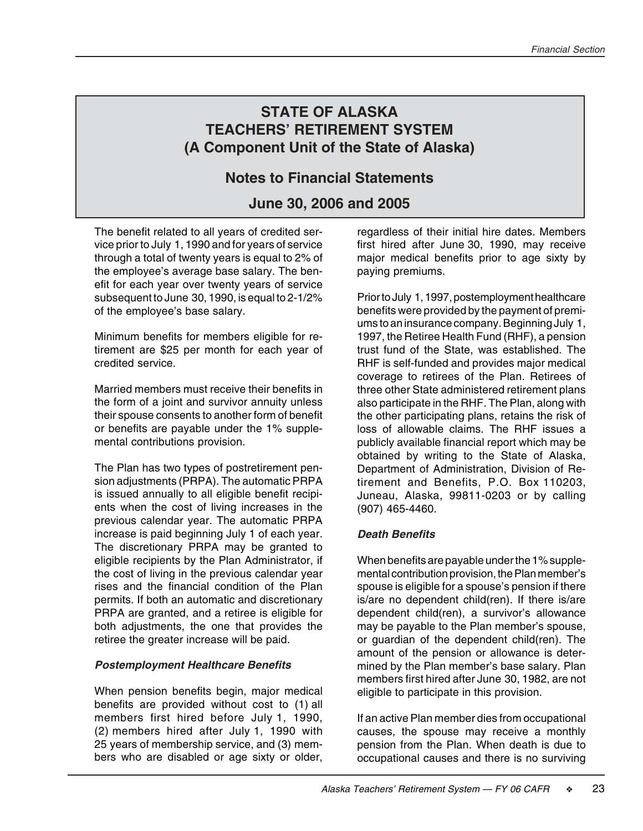### **Notes to Financial Statements**

**June 30, 2006 and 2005**

The benefit related to all years of credited service prior to July 1, 1990 and for years of service through a total of twenty years is equal to 2% of the employee's average base salary. The benefit for each year over twenty years of service subsequent to June 30, 1990, is equal to 2-1/2% of the employee's base salary.

Minimum benefits for members eligible for retirement are \$25 per month for each year of credited service.

Married members must receive their benefits in the form of a joint and survivor annuity unless their spouse consents to another form of benefit or benefits are payable under the 1% supplemental contributions provision.

The Plan has two types of postretirement pension adjustments (PRPA). The automatic PRPA is issued annually to all eligible benefit recipients when the cost of living increases in the previous calendar year. The automatic PRPA increase is paid beginning July 1 of each year. The discretionary PRPA may be granted to eligible recipients by the Plan Administrator, if the cost of living in the previous calendar year rises and the financial condition of the Plan permits. If both an automatic and discretionary PRPA are granted, and a retiree is eligible for both adjustments, the one that provides the retiree the greater increase will be paid.

#### **Postemployment Healthcare Benefits**

When pension benefits begin, major medical benefits are provided without cost to (1) all members first hired before July 1, 1990, (2) members hired after July 1, 1990 with 25 years of membership service, and (3) members who are disabled or age sixty or older,

regardless of their initial hire dates. Members first hired after June 30, 1990, may receive major medical benefits prior to age sixty by paying premiums.

Prior to July 1, 1997, postemployment healthcare benefits were provided by the payment of premiums to an insurance company. Beginning July 1, 1997, the Retiree Health Fund (RHF), a pension trust fund of the State, was established. The RHF is self-funded and provides major medical coverage to retirees of the Plan. Retirees of three other State administered retirement plans also participate in the RHF. The Plan, along with the other participating plans, retains the risk of loss of allowable claims. The RHF issues a publicly available financial report which may be obtained by writing to the State of Alaska, Department of Administration, Division of Retirement and Benefits, P.O. Box 110203, Juneau, Alaska, 99811-0203 or by calling (907) 465-4460.

### **Death Benefits**

When benefits are payable under the 1% supplemental contribution provision, the Plan member's spouse is eligible for a spouse's pension if there is/are no dependent child(ren). If there is/are dependent child(ren), a survivor's allowance may be payable to the Plan member's spouse, or guardian of the dependent child(ren). The amount of the pension or allowance is determined by the Plan member's base salary. Plan members first hired after June 30, 1982, are not eligible to participate in this provision.

If an active Plan member dies from occupational causes, the spouse may receive a monthly pension from the Plan. When death is due to occupational causes and there is no surviving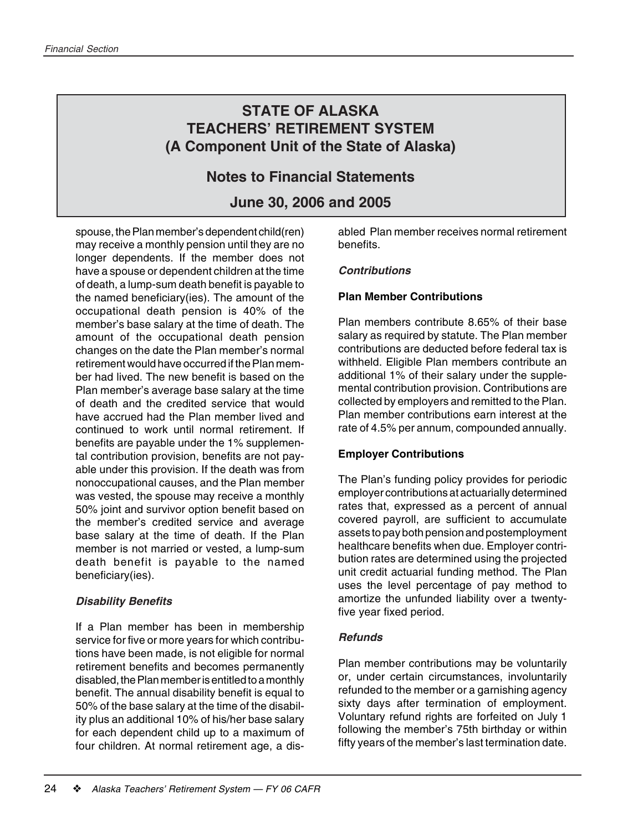### **Notes to Financial Statements**

### **June 30, 2006 and 2005**

spouse, the Plan member's dependent child(ren) may receive a monthly pension until they are no longer dependents. If the member does not have a spouse or dependent children at the time of death, a lump-sum death benefit is payable to the named beneficiary(ies). The amount of the occupational death pension is 40% of the member's base salary at the time of death. The amount of the occupational death pension changes on the date the Plan member's normal retirement would have occurred if the Plan member had lived. The new benefit is based on the Plan member's average base salary at the time of death and the credited service that would have accrued had the Plan member lived and continued to work until normal retirement. If benefits are payable under the 1% supplemental contribution provision, benefits are not payable under this provision. If the death was from nonoccupational causes, and the Plan member was vested, the spouse may receive a monthly 50% joint and survivor option benefit based on the member's credited service and average base salary at the time of death. If the Plan member is not married or vested, a lump-sum death benefit is payable to the named beneficiary(ies).

#### **Disability Benefits**

If a Plan member has been in membership service for five or more years for which contributions have been made, is not eligible for normal retirement benefits and becomes permanently disabled, the Plan member is entitled to a monthly benefit. The annual disability benefit is equal to 50% of the base salary at the time of the disability plus an additional 10% of his/her base salary for each dependent child up to a maximum of four children. At normal retirement age, a disabled Plan member receives normal retirement benefits.

#### **Contributions**

#### **Plan Member Contributions**

Plan members contribute 8.65% of their base salary as required by statute. The Plan member contributions are deducted before federal tax is withheld. Eligible Plan members contribute an additional 1% of their salary under the supplemental contribution provision. Contributions are collected by employers and remitted to the Plan. Plan member contributions earn interest at the rate of 4.5% per annum, compounded annually.

#### **Employer Contributions**

The Plan's funding policy provides for periodic employer contributions at actuarially determined rates that, expressed as a percent of annual covered payroll, are sufficient to accumulate assets to pay both pension and postemployment healthcare benefits when due. Employer contribution rates are determined using the projected unit credit actuarial funding method. The Plan uses the level percentage of pay method to amortize the unfunded liability over a twentyfive year fixed period.

#### **Refunds**

Plan member contributions may be voluntarily or, under certain circumstances, involuntarily refunded to the member or a garnishing agency sixty days after termination of employment. Voluntary refund rights are forfeited on July 1 following the member's 75th birthday or within fifty years of the member's last termination date.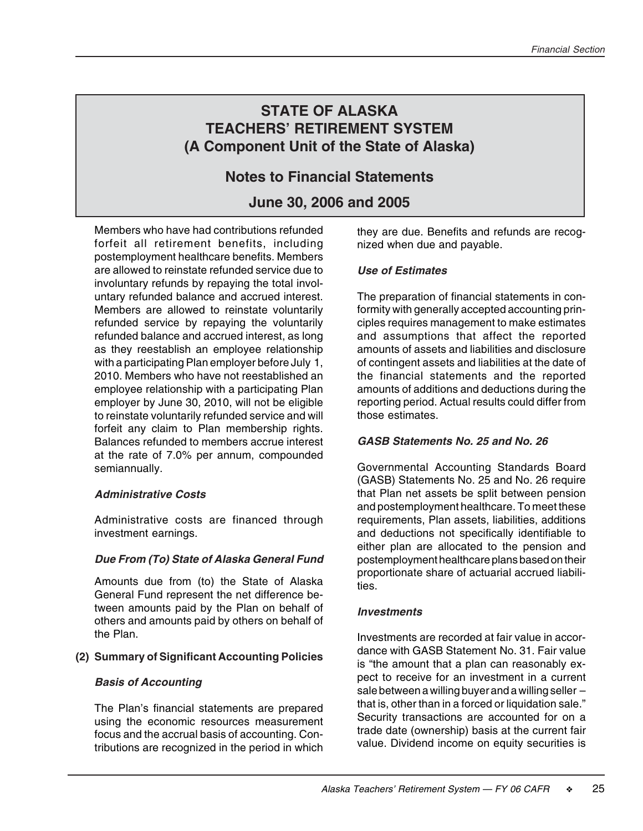### **Notes to Financial Statements**

### **June 30, 2006 and 2005**

Members who have had contributions refunded forfeit all retirement benefits, including postemployment healthcare benefits. Members are allowed to reinstate refunded service due to involuntary refunds by repaying the total involuntary refunded balance and accrued interest. Members are allowed to reinstate voluntarily refunded service by repaying the voluntarily refunded balance and accrued interest, as long as they reestablish an employee relationship with a participating Plan employer before July 1, 2010. Members who have not reestablished an employee relationship with a participating Plan employer by June 30, 2010, will not be eligible to reinstate voluntarily refunded service and will forfeit any claim to Plan membership rights. Balances refunded to members accrue interest at the rate of 7.0% per annum, compounded semiannually.

### **Administrative Costs**

Administrative costs are financed through investment earnings.

### **Due From (To) State of Alaska General Fund**

Amounts due from (to) the State of Alaska General Fund represent the net difference between amounts paid by the Plan on behalf of others and amounts paid by others on behalf of the Plan.

### **(2) Summary of Significant Accounting Policies**

### **Basis of Accounting**

The Plan's financial statements are prepared using the economic resources measurement focus and the accrual basis of accounting. Contributions are recognized in the period in which

they are due. Benefits and refunds are recognized when due and payable.

### **Use of Estimates**

The preparation of financial statements in conformity with generally accepted accounting principles requires management to make estimates and assumptions that affect the reported amounts of assets and liabilities and disclosure of contingent assets and liabilities at the date of the financial statements and the reported amounts of additions and deductions during the reporting period. Actual results could differ from those estimates.

### **GASB Statements No. 25 and No. 26**

Governmental Accounting Standards Board (GASB) Statements No. 25 and No. 26 require that Plan net assets be split between pension and postemployment healthcare. To meet these requirements, Plan assets, liabilities, additions and deductions not specifically identifiable to either plan are allocated to the pension and postemployment healthcare plans based on their proportionate share of actuarial accrued liabilities.

### **Investments**

Investments are recorded at fair value in accordance with GASB Statement No. 31. Fair value is "the amount that a plan can reasonably expect to receive for an investment in a current sale between a willing buyer and a willing seller – that is, other than in a forced or liquidation sale." Security transactions are accounted for on a trade date (ownership) basis at the current fair value. Dividend income on equity securities is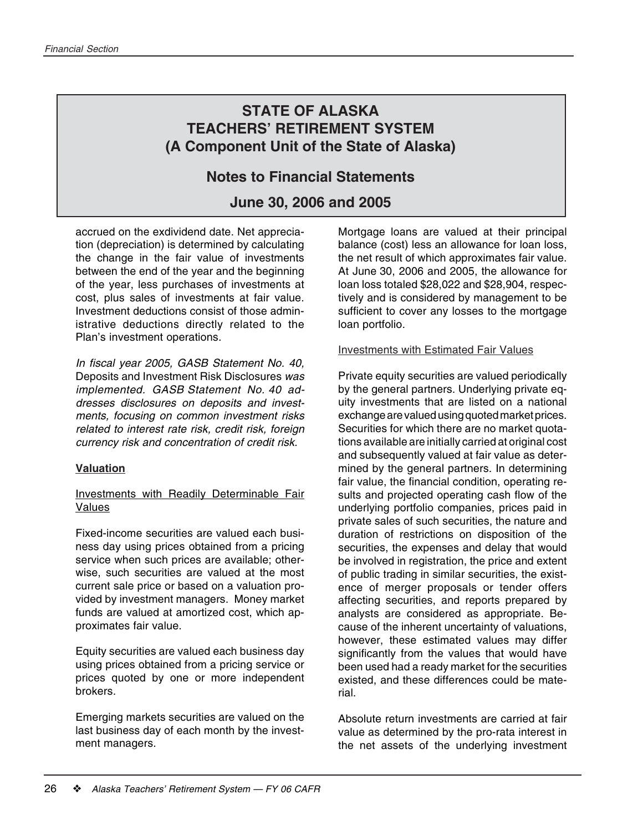### **Notes to Financial Statements**

### **June 30, 2006 and 2005**

accrued on the exdividend date. Net appreciation (depreciation) is determined by calculating the change in the fair value of investments between the end of the year and the beginning of the year, less purchases of investments at cost, plus sales of investments at fair value. Investment deductions consist of those administrative deductions directly related to the Plan's investment operations.

In fiscal year 2005, GASB Statement No. 40, Deposits and Investment Risk Disclosures was implemented. GASB Statement No. 40 addresses disclosures on deposits and investments, focusing on common investment risks related to interest rate risk, credit risk, foreign currency risk and concentration of credit risk.

#### **Valuation**

#### Investments with Readily Determinable Fair Values

Fixed-income securities are valued each business day using prices obtained from a pricing service when such prices are available; otherwise, such securities are valued at the most current sale price or based on a valuation provided by investment managers. Money market funds are valued at amortized cost, which approximates fair value.

Equity securities are valued each business day using prices obtained from a pricing service or prices quoted by one or more independent brokers.

Emerging markets securities are valued on the last business day of each month by the investment managers.

Mortgage loans are valued at their principal balance (cost) less an allowance for loan loss, the net result of which approximates fair value. At June 30, 2006 and 2005, the allowance for loan loss totaled \$28,022 and \$28,904, respectively and is considered by management to be sufficient to cover any losses to the mortgage loan portfolio.

#### Investments with Estimated Fair Values

Private equity securities are valued periodically by the general partners. Underlying private equity investments that are listed on a national exchange are valued using quoted market prices. Securities for which there are no market quotations available are initially carried at original cost and subsequently valued at fair value as determined by the general partners. In determining fair value, the financial condition, operating results and projected operating cash flow of the underlying portfolio companies, prices paid in private sales of such securities, the nature and duration of restrictions on disposition of the securities, the expenses and delay that would be involved in registration, the price and extent of public trading in similar securities, the existence of merger proposals or tender offers affecting securities, and reports prepared by analysts are considered as appropriate. Because of the inherent uncertainty of valuations, however, these estimated values may differ significantly from the values that would have been used had a ready market for the securities existed, and these differences could be material.

Absolute return investments are carried at fair value as determined by the pro-rata interest in the net assets of the underlying investment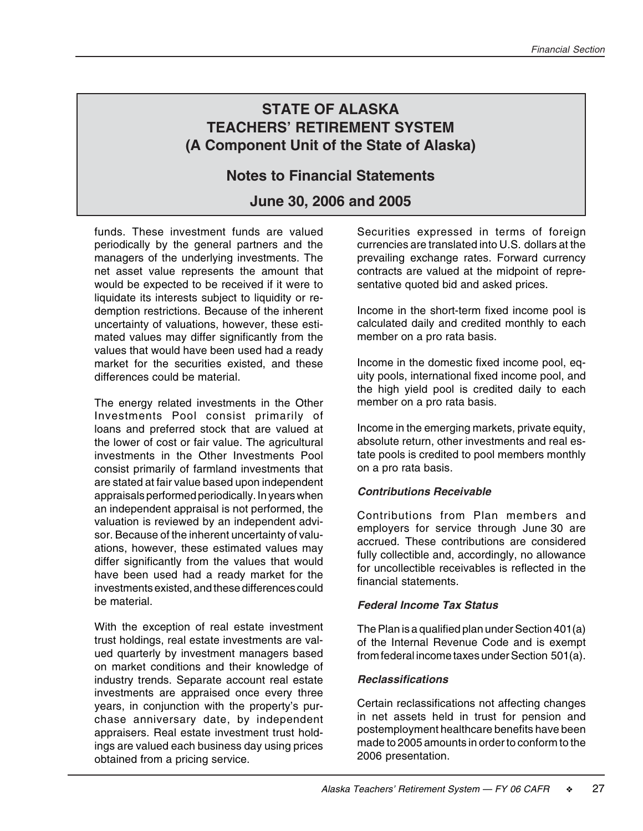### **Notes to Financial Statements**

### **June 30, 2006 and 2005**

funds. These investment funds are valued periodically by the general partners and the managers of the underlying investments. The net asset value represents the amount that would be expected to be received if it were to liquidate its interests subject to liquidity or redemption restrictions. Because of the inherent uncertainty of valuations, however, these estimated values may differ significantly from the values that would have been used had a ready market for the securities existed, and these differences could be material.

The energy related investments in the Other Investments Pool consist primarily of loans and preferred stock that are valued at the lower of cost or fair value. The agricultural investments in the Other Investments Pool consist primarily of farmland investments that are stated at fair value based upon independent appraisals performed periodically. In years when an independent appraisal is not performed, the valuation is reviewed by an independent advisor. Because of the inherent uncertainty of valuations, however, these estimated values may differ significantly from the values that would have been used had a ready market for the investments existed, and these differences could be material.

With the exception of real estate investment trust holdings, real estate investments are valued quarterly by investment managers based on market conditions and their knowledge of industry trends. Separate account real estate investments are appraised once every three years, in conjunction with the property's purchase anniversary date, by independent appraisers. Real estate investment trust holdings are valued each business day using prices obtained from a pricing service.

Securities expressed in terms of foreign currencies are translated into U.S. dollars at the prevailing exchange rates. Forward currency contracts are valued at the midpoint of representative quoted bid and asked prices.

Income in the short-term fixed income pool is calculated daily and credited monthly to each member on a pro rata basis.

Income in the domestic fixed income pool, equity pools, international fixed income pool, and the high yield pool is credited daily to each member on a pro rata basis.

Income in the emerging markets, private equity, absolute return, other investments and real estate pools is credited to pool members monthly on a pro rata basis.

#### **Contributions Receivable**

Contributions from Plan members and employers for service through June 30 are accrued. These contributions are considered fully collectible and, accordingly, no allowance for uncollectible receivables is reflected in the financial statements.

#### **Federal Income Tax Status**

The Plan is a qualified plan under Section 401(a) of the Internal Revenue Code and is exempt from federal income taxes under Section 501(a).

#### **Reclassifications**

Certain reclassifications not affecting changes in net assets held in trust for pension and postemployment healthcare benefits have been made to 2005 amounts in order to conform to the 2006 presentation.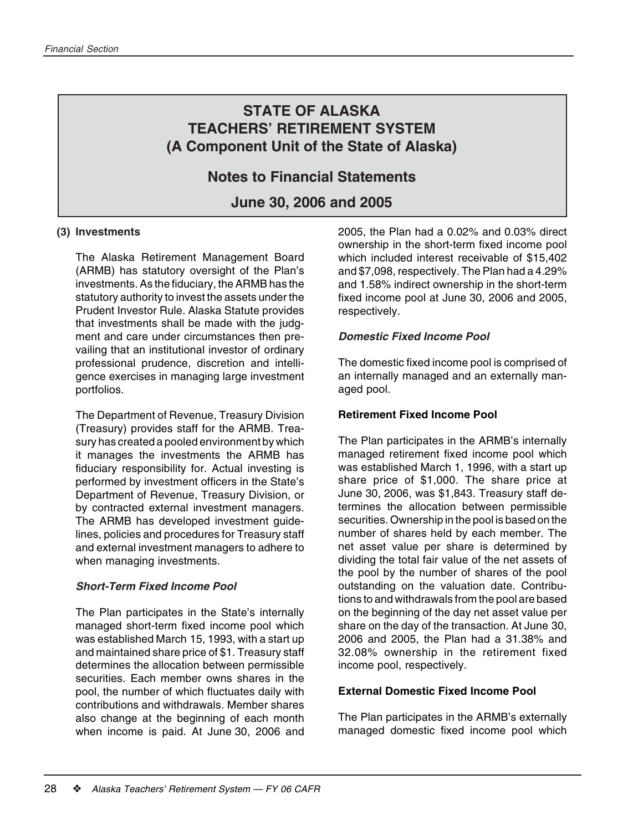### **Notes to Financial Statements**

### **June 30, 2006 and 2005**

#### **(3) Investments**

The Alaska Retirement Management Board (ARMB) has statutory oversight of the Plan's investments. As the fiduciary, the ARMB has the statutory authority to invest the assets under the Prudent Investor Rule. Alaska Statute provides that investments shall be made with the judgment and care under circumstances then prevailing that an institutional investor of ordinary professional prudence, discretion and intelligence exercises in managing large investment portfolios.

The Department of Revenue, Treasury Division (Treasury) provides staff for the ARMB. Treasury has created a pooled environment by which it manages the investments the ARMB has fiduciary responsibility for. Actual investing is performed by investment officers in the State's Department of Revenue, Treasury Division, or by contracted external investment managers. The ARMB has developed investment guidelines, policies and procedures for Treasury staff and external investment managers to adhere to when managing investments.

#### **Short-Term Fixed Income Pool**

The Plan participates in the State's internally managed short-term fixed income pool which was established March 15, 1993, with a start up and maintained share price of \$1. Treasury staff determines the allocation between permissible securities. Each member owns shares in the pool, the number of which fluctuates daily with contributions and withdrawals. Member shares also change at the beginning of each month when income is paid. At June 30, 2006 and

2005, the Plan had a 0.02% and 0.03% direct ownership in the short-term fixed income pool which included interest receivable of \$15,402 and \$7,098, respectively. The Plan had a 4.29% and 1.58% indirect ownership in the short-term fixed income pool at June 30, 2006 and 2005, respectively.

#### **Domestic Fixed Income Pool**

The domestic fixed income pool is comprised of an internally managed and an externally managed pool.

#### **Retirement Fixed Income Pool**

The Plan participates in the ARMB's internally managed retirement fixed income pool which was established March 1, 1996, with a start up share price of \$1,000. The share price at June 30, 2006, was \$1,843. Treasury staff determines the allocation between permissible securities. Ownership in the pool is based on the number of shares held by each member. The net asset value per share is determined by dividing the total fair value of the net assets of the pool by the number of shares of the pool outstanding on the valuation date. Contributions to and withdrawals from the pool are based on the beginning of the day net asset value per share on the day of the transaction. At June 30, 2006 and 2005, the Plan had a 31.38% and 32.08% ownership in the retirement fixed income pool, respectively.

#### **External Domestic Fixed Income Pool**

The Plan participates in the ARMB's externally managed domestic fixed income pool which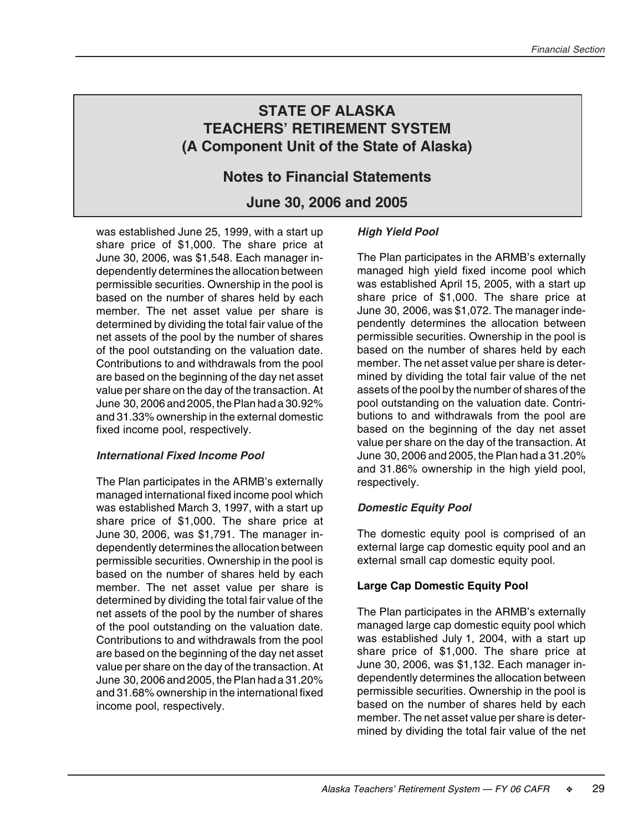### **Notes to Financial Statements**

### **June 30, 2006 and 2005**

was established June 25, 1999, with a start up share price of \$1,000. The share price at June 30, 2006, was \$1,548. Each manager independently determines the allocation between permissible securities. Ownership in the pool is based on the number of shares held by each member. The net asset value per share is determined by dividing the total fair value of the net assets of the pool by the number of shares of the pool outstanding on the valuation date. Contributions to and withdrawals from the pool are based on the beginning of the day net asset value per share on the day of the transaction. At June 30, 2006 and 2005, the Plan had a 30.92% and 31.33% ownership in the external domestic fixed income pool, respectively.

#### **International Fixed Income Pool**

The Plan participates in the ARMB's externally managed international fixed income pool which was established March 3, 1997, with a start up share price of \$1,000. The share price at June 30, 2006, was \$1,791. The manager independently determines the allocation between permissible securities. Ownership in the pool is based on the number of shares held by each member. The net asset value per share is determined by dividing the total fair value of the net assets of the pool by the number of shares of the pool outstanding on the valuation date. Contributions to and withdrawals from the pool are based on the beginning of the day net asset value per share on the day of the transaction. At June 30, 2006 and 2005, the Plan had a 31.20% and 31.68% ownership in the international fixed income pool, respectively.

#### **High Yield Pool**

The Plan participates in the ARMB's externally managed high yield fixed income pool which was established April 15, 2005, with a start up share price of \$1,000. The share price at June 30, 2006, was \$1,072. The manager independently determines the allocation between permissible securities. Ownership in the pool is based on the number of shares held by each member. The net asset value per share is determined by dividing the total fair value of the net assets of the pool by the number of shares of the pool outstanding on the valuation date. Contributions to and withdrawals from the pool are based on the beginning of the day net asset value per share on the day of the transaction. At June 30, 2006 and 2005, the Plan had a 31.20% and 31.86% ownership in the high yield pool, respectively.

### **Domestic Equity Pool**

The domestic equity pool is comprised of an external large cap domestic equity pool and an external small cap domestic equity pool.

### **Large Cap Domestic Equity Pool**

The Plan participates in the ARMB's externally managed large cap domestic equity pool which was established July 1, 2004, with a start up share price of \$1,000. The share price at June 30, 2006, was \$1,132. Each manager independently determines the allocation between permissible securities. Ownership in the pool is based on the number of shares held by each member. The net asset value per share is determined by dividing the total fair value of the net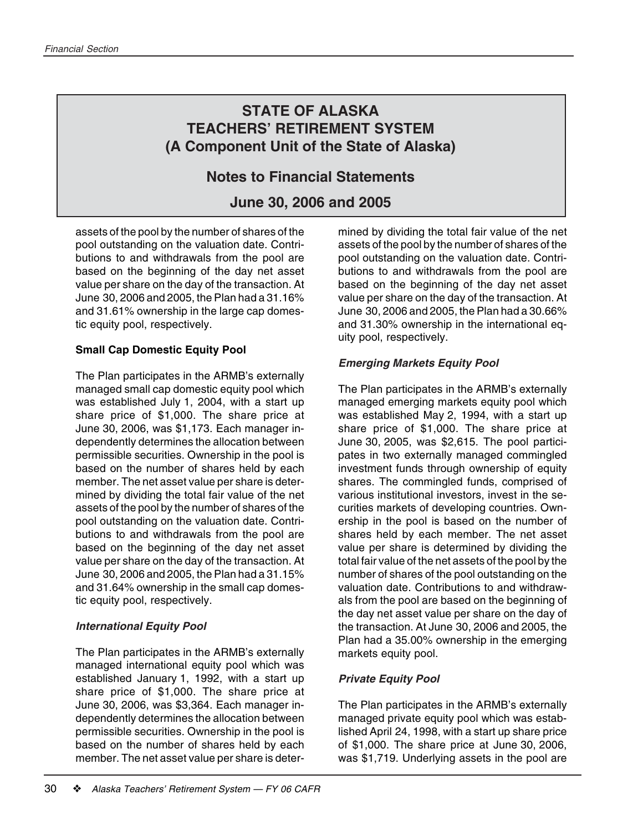### **Notes to Financial Statements**

### **June 30, 2006 and 2005**

assets of the pool by the number of shares of the pool outstanding on the valuation date. Contributions to and withdrawals from the pool are based on the beginning of the day net asset value per share on the day of the transaction. At June 30, 2006 and 2005, the Plan had a 31.16% and 31.61% ownership in the large cap domestic equity pool, respectively.

#### **Small Cap Domestic Equity Pool**

The Plan participates in the ARMB's externally managed small cap domestic equity pool which was established July 1, 2004, with a start up share price of \$1,000. The share price at June 30, 2006, was \$1,173. Each manager independently determines the allocation between permissible securities. Ownership in the pool is based on the number of shares held by each member. The net asset value per share is determined by dividing the total fair value of the net assets of the pool by the number of shares of the pool outstanding on the valuation date. Contributions to and withdrawals from the pool are based on the beginning of the day net asset value per share on the day of the transaction. At June 30, 2006 and 2005, the Plan had a 31.15% and 31.64% ownership in the small cap domestic equity pool, respectively.

#### **International Equity Pool**

The Plan participates in the ARMB's externally managed international equity pool which was established January 1, 1992, with a start up share price of \$1,000. The share price at June 30, 2006, was \$3,364. Each manager independently determines the allocation between permissible securities. Ownership in the pool is based on the number of shares held by each member. The net asset value per share is deter-

mined by dividing the total fair value of the net assets of the pool by the number of shares of the pool outstanding on the valuation date. Contributions to and withdrawals from the pool are based on the beginning of the day net asset value per share on the day of the transaction. At June 30, 2006 and 2005, the Plan had a 30.66% and 31.30% ownership in the international equity pool, respectively.

### **Emerging Markets Equity Pool**

The Plan participates in the ARMB's externally managed emerging markets equity pool which was established May 2, 1994, with a start up share price of \$1,000. The share price at June 30, 2005, was \$2,615. The pool participates in two externally managed commingled investment funds through ownership of equity shares. The commingled funds, comprised of various institutional investors, invest in the securities markets of developing countries. Ownership in the pool is based on the number of shares held by each member. The net asset value per share is determined by dividing the total fair value of the net assets of the pool by the number of shares of the pool outstanding on the valuation date. Contributions to and withdrawals from the pool are based on the beginning of the day net asset value per share on the day of the transaction. At June 30, 2006 and 2005, the Plan had a 35.00% ownership in the emerging markets equity pool.

### **Private Equity Pool**

The Plan participates in the ARMB's externally managed private equity pool which was established April 24, 1998, with a start up share price of \$1,000. The share price at June 30, 2006, was \$1,719. Underlying assets in the pool are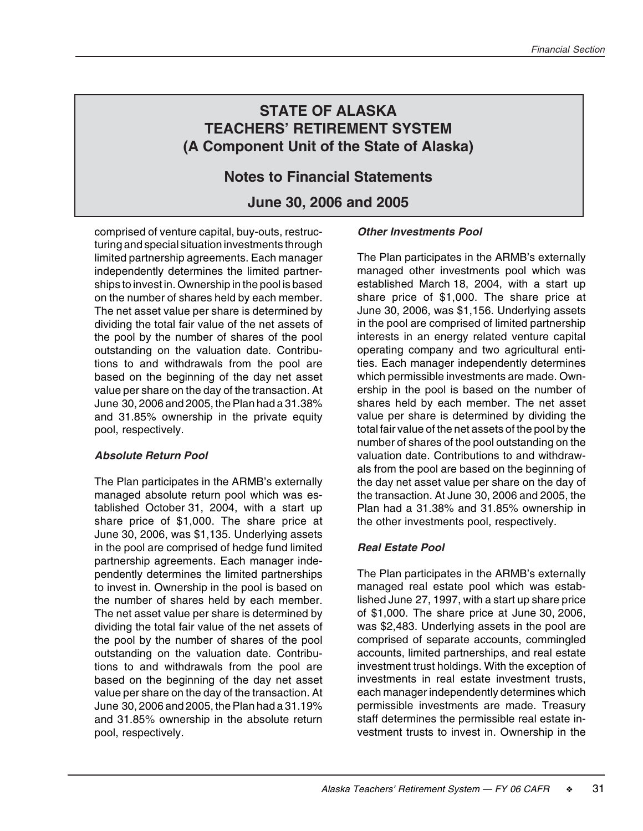### **Notes to Financial Statements**

### **June 30, 2006 and 2005**

comprised of venture capital, buy-outs, restructuring and special situation investments through limited partnership agreements. Each manager independently determines the limited partnerships to invest in. Ownership in the pool is based on the number of shares held by each member. The net asset value per share is determined by dividing the total fair value of the net assets of the pool by the number of shares of the pool outstanding on the valuation date. Contributions to and withdrawals from the pool are based on the beginning of the day net asset value per share on the day of the transaction. At June 30, 2006 and 2005, the Plan had a 31.38% and 31.85% ownership in the private equity pool, respectively.

### **Absolute Return Pool**

The Plan participates in the ARMB's externally managed absolute return pool which was established October 31, 2004, with a start up share price of \$1,000. The share price at June 30, 2006, was \$1,135. Underlying assets in the pool are comprised of hedge fund limited partnership agreements. Each manager independently determines the limited partnerships to invest in. Ownership in the pool is based on the number of shares held by each member. The net asset value per share is determined by dividing the total fair value of the net assets of the pool by the number of shares of the pool outstanding on the valuation date. Contributions to and withdrawals from the pool are based on the beginning of the day net asset value per share on the day of the transaction. At June 30, 2006 and 2005, the Plan had a 31.19% and 31.85% ownership in the absolute return pool, respectively.

#### **Other Investments Pool**

The Plan participates in the ARMB's externally managed other investments pool which was established March 18, 2004, with a start up share price of \$1,000. The share price at June 30, 2006, was \$1,156. Underlying assets in the pool are comprised of limited partnership interests in an energy related venture capital operating company and two agricultural entities. Each manager independently determines which permissible investments are made. Ownership in the pool is based on the number of shares held by each member. The net asset value per share is determined by dividing the total fair value of the net assets of the pool by the number of shares of the pool outstanding on the valuation date. Contributions to and withdrawals from the pool are based on the beginning of the day net asset value per share on the day of the transaction. At June 30, 2006 and 2005, the Plan had a 31.38% and 31.85% ownership in the other investments pool, respectively.

### **Real Estate Pool**

The Plan participates in the ARMB's externally managed real estate pool which was established June 27, 1997, with a start up share price of \$1,000. The share price at June 30, 2006, was \$2,483. Underlying assets in the pool are comprised of separate accounts, commingled accounts, limited partnerships, and real estate investment trust holdings. With the exception of investments in real estate investment trusts, each manager independently determines which permissible investments are made. Treasury staff determines the permissible real estate investment trusts to invest in. Ownership in the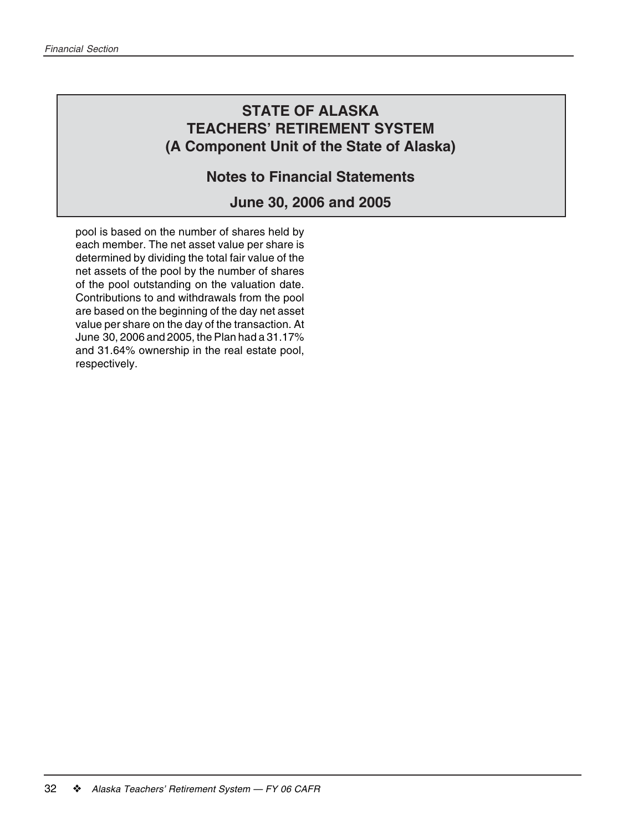### **Notes to Financial Statements**

### **June 30, 2006 and 2005**

pool is based on the number of shares held by each member. The net asset value per share is determined by dividing the total fair value of the net assets of the pool by the number of shares of the pool outstanding on the valuation date. Contributions to and withdrawals from the pool are based on the beginning of the day net asset value per share on the day of the transaction. At June 30, 2006 and 2005, the Plan had a 31.17% and 31.64% ownership in the real estate pool, respectively.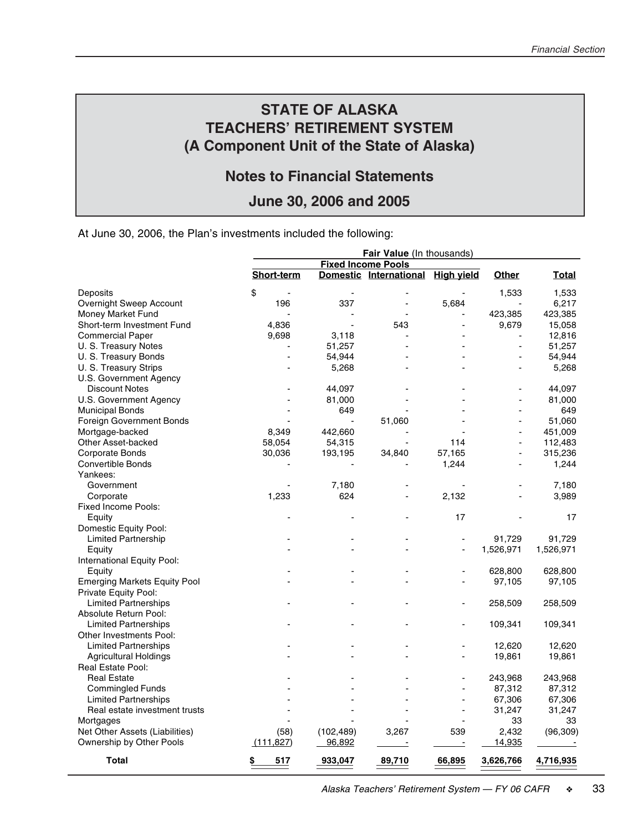# **Notes to Financial Statements**

### **June 30, 2006 and 2005**

At June 30, 2006, the Plan's investments included the following:

|                                     | <b>Fair Value</b> (In thousands) |                           |                          |                          |                |              |
|-------------------------------------|----------------------------------|---------------------------|--------------------------|--------------------------|----------------|--------------|
|                                     |                                  | <b>Fixed Income Pools</b> |                          |                          |                |              |
|                                     | Short-term                       |                           | Domestic International   | <b>High yield</b>        | <b>Other</b>   | <b>Total</b> |
| Deposits                            | \$                               |                           |                          |                          | 1,533          | 1,533        |
| Overnight Sweep Account             | 196                              | 337                       | $\overline{a}$           | 5,684                    |                | 6,217        |
| Money Market Fund                   |                                  |                           |                          |                          | 423,385        | 423,385      |
| Short-term Investment Fund          | 4,836                            |                           | 543                      |                          | 9,679          | 15,058       |
| <b>Commercial Paper</b>             | 9,698                            | 3,118                     |                          |                          |                | 12,816       |
| U. S. Treasury Notes                |                                  | 51,257                    |                          |                          |                | 51,257       |
| U. S. Treasury Bonds                |                                  | 54,944                    |                          |                          |                | 54,944       |
| U. S. Treasury Strips               |                                  | 5,268                     |                          |                          |                | 5,268        |
| U.S. Government Agency              |                                  |                           |                          |                          |                |              |
| <b>Discount Notes</b>               |                                  | 44,097                    |                          |                          |                | 44,097       |
| U.S. Government Agency              |                                  | 81,000                    |                          |                          |                | 81,000       |
| <b>Municipal Bonds</b>              |                                  | 649                       |                          |                          |                | 649          |
|                                     |                                  | ÷,                        |                          |                          |                | 51,060       |
| Foreign Government Bonds            |                                  |                           | 51,060<br>$\overline{a}$ |                          |                |              |
| Mortgage-backed                     | 8,349                            | 442,660                   |                          |                          |                | 451,009      |
| Other Asset-backed                  | 58,054                           | 54,315                    | L,                       | 114                      | $\overline{a}$ | 112,483      |
| <b>Corporate Bonds</b>              | 30,036                           | 193,195                   | 34,840                   | 57,165                   | $\overline{a}$ | 315,236      |
| <b>Convertible Bonds</b>            |                                  |                           |                          | 1,244                    |                | 1,244        |
| Yankees:                            |                                  |                           |                          |                          |                |              |
| Government                          |                                  | 7,180                     |                          |                          |                | 7,180        |
| Corporate                           | 1,233                            | 624                       |                          | 2,132                    |                | 3,989        |
| Fixed Income Pools:                 |                                  |                           |                          |                          |                |              |
| Equity                              |                                  |                           |                          | 17                       |                | 17           |
| Domestic Equity Pool:               |                                  |                           |                          |                          |                |              |
| <b>Limited Partnership</b>          |                                  |                           |                          | $\overline{a}$           | 91,729         | 91,729       |
| Equity                              |                                  |                           |                          |                          | 1,526,971      | 1,526,971    |
| International Equity Pool:          |                                  |                           |                          |                          |                |              |
| Equity                              |                                  |                           |                          |                          | 628,800        | 628,800      |
| <b>Emerging Markets Equity Pool</b> |                                  |                           |                          | $\overline{a}$           | 97,105         | 97,105       |
| Private Equity Pool:                |                                  |                           |                          |                          |                |              |
| <b>Limited Partnerships</b>         |                                  |                           |                          | L,                       | 258,509        | 258,509      |
| Absolute Return Pool:               |                                  |                           |                          |                          |                |              |
| <b>Limited Partnerships</b>         |                                  |                           |                          |                          | 109,341        | 109,341      |
| Other Investments Pool:             |                                  |                           |                          |                          |                |              |
| <b>Limited Partnerships</b>         |                                  |                           |                          |                          | 12,620         | 12,620       |
| Agricultural Holdings               |                                  |                           |                          |                          | 19,861         | 19,861       |
| Real Estate Pool:                   |                                  |                           |                          |                          |                |              |
| <b>Real Estate</b>                  |                                  |                           |                          |                          |                |              |
|                                     |                                  |                           |                          |                          | 243,968        | 243,968      |
| <b>Commingled Funds</b>             |                                  |                           |                          |                          | 87,312         | 87,312       |
| <b>Limited Partnerships</b>         |                                  |                           |                          |                          | 67,306         | 67,306       |
| Real estate investment trusts       |                                  |                           |                          |                          | 31,247         | 31,247       |
| Mortgages                           |                                  |                           |                          |                          | 33             | 33           |
| Net Other Assets (Liabilities)      | (58)                             | (102, 489)                | 3,267                    | 539                      | 2,432          | (96, 309)    |
| Ownership by Other Pools            | (111, 827)                       | 96,892                    |                          | $\overline{\phantom{a}}$ | 14,935         |              |
| <b>Total</b>                        | 517<br>\$                        | 933,047                   | 89,710                   | 66,895                   | 3,626,766      | 4,716,935    |
|                                     |                                  |                           |                          |                          |                |              |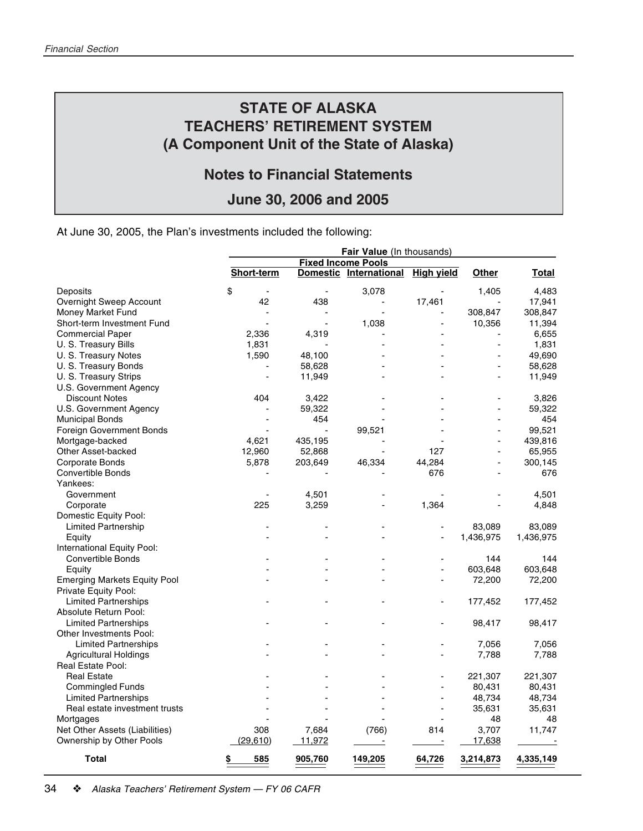### **Notes to Financial Statements**

### **June 30, 2006 and 2005**

At June 30, 2005, the Plan's investments included the following:

|                                     |            |                | <b>Fair Value</b> (In thousands) |                          |           |               |
|-------------------------------------|------------|----------------|----------------------------------|--------------------------|-----------|---------------|
|                                     |            |                | <b>Fixed Income Pools</b>        |                          |           |               |
|                                     | Short-term |                | Domestic International           | <b>High yield</b>        | Other     | Total         |
| Deposits                            | \$         |                | 3,078                            |                          | 1,405     | 4,483         |
| Overnight Sweep Account             | 42         | 438            |                                  | 17,461                   |           | 17,941        |
| Money Market Fund                   |            |                |                                  |                          | 308,847   | 308,847       |
| Short-term Investment Fund          |            |                | 1,038                            |                          | 10,356    | 11,394        |
| <b>Commercial Paper</b>             | 2,336      | 4,319          |                                  |                          |           | 6,655         |
| U. S. Treasury Bills                | 1,831      |                |                                  |                          |           | 1,831         |
| U. S. Treasury Notes                | 1,590      | 48,100         |                                  |                          |           | 49,690        |
| U. S. Treasury Bonds                |            | 58,628         |                                  |                          |           | 58,628        |
| U. S. Treasury Strips               |            | 11,949         |                                  |                          |           | 11,949        |
| U.S. Government Agency              |            |                |                                  |                          |           |               |
| <b>Discount Notes</b>               | 404        | 3,422          |                                  |                          |           | 3,826         |
| U.S. Government Agency              |            |                |                                  |                          |           |               |
|                                     |            | 59,322         |                                  |                          |           | 59,322<br>454 |
| <b>Municipal Bonds</b>              |            | 454            |                                  |                          |           |               |
| Foreign Government Bonds            |            | $\overline{a}$ | 99,521                           |                          |           | 99,521        |
| Mortgage-backed                     | 4,621      | 435,195        |                                  |                          |           | 439,816       |
| Other Asset-backed                  | 12,960     | 52,868         |                                  | 127                      |           | 65,955        |
| Corporate Bonds                     | 5,878      | 203,649        | 46,334                           | 44,284                   |           | 300,145       |
| <b>Convertible Bonds</b>            |            |                |                                  | 676                      |           | 676           |
| Yankees:                            |            |                |                                  |                          |           |               |
| Government                          |            | 4,501          |                                  |                          |           | 4,501         |
| Corporate                           | 225        | 3,259          |                                  | 1,364                    |           | 4,848         |
| Domestic Equity Pool:               |            |                |                                  |                          |           |               |
| <b>Limited Partnership</b>          |            |                |                                  |                          | 83,089    | 83,089        |
| Equity                              |            |                |                                  |                          | 1,436,975 | 1,436,975     |
| International Equity Pool:          |            |                |                                  |                          |           |               |
| Convertible Bonds                   |            |                |                                  | $\blacksquare$           | 144       | 144           |
| Equity                              |            |                |                                  | $\overline{a}$           | 603,648   | 603,648       |
| <b>Emerging Markets Equity Pool</b> |            |                |                                  | $\overline{\phantom{a}}$ | 72,200    | 72,200        |
| Private Equity Pool:                |            |                |                                  |                          |           |               |
| <b>Limited Partnerships</b>         |            |                |                                  |                          | 177,452   | 177,452       |
| Absolute Return Pool:               |            |                |                                  |                          |           |               |
| <b>Limited Partnerships</b>         |            |                |                                  |                          | 98,417    | 98,417        |
| Other Investments Pool:             |            |                |                                  |                          |           |               |
| <b>Limited Partnerships</b>         |            |                |                                  |                          | 7,056     | 7,056         |
|                                     |            |                |                                  |                          |           |               |
| <b>Agricultural Holdings</b>        |            |                |                                  |                          | 7,788     | 7,788         |
| <b>Real Estate Pool:</b>            |            |                |                                  |                          |           |               |
| <b>Real Estate</b>                  |            |                |                                  |                          | 221,307   | 221,307       |
| <b>Commingled Funds</b>             |            |                |                                  |                          | 80,431    | 80,431        |
| <b>Limited Partnerships</b>         |            |                |                                  |                          | 48,734    | 48,734        |
| Real estate investment trusts       |            |                |                                  |                          | 35,631    | 35,631        |
| Mortgages                           |            |                |                                  |                          | 48        | 48            |
| Net Other Assets (Liabilities)      | 308        | 7,684          | (766)                            | 814                      | 3,707     | 11,747        |
| Ownership by Other Pools            | (29, 610)  | 11,972         | $\overline{\phantom{a}}$         | $\overline{\phantom{a}}$ | 17,638    |               |
| <b>Total</b>                        | 585<br>\$  | 905,760        | 149,205                          | 64,726                   | 3,214,873 | 4,335,149     |
|                                     |            |                |                                  |                          |           |               |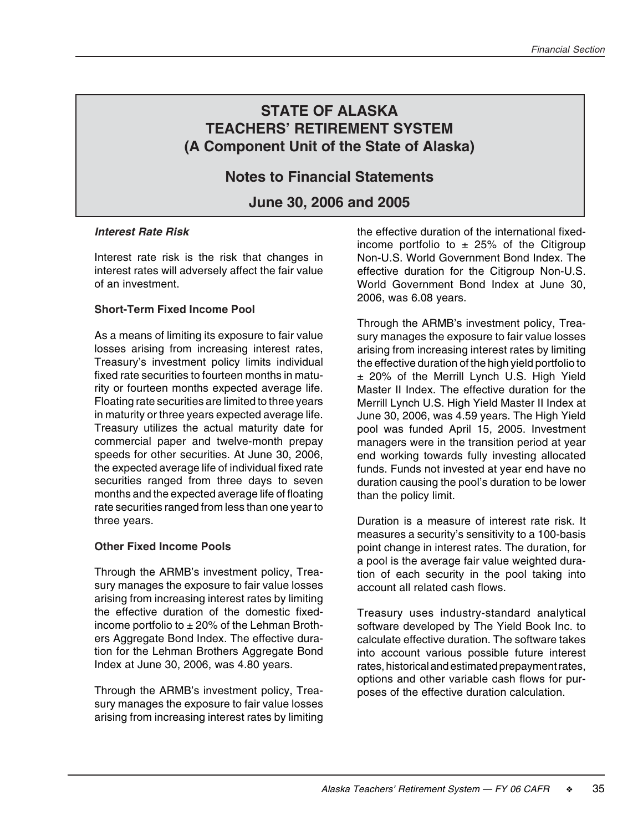### **Notes to Financial Statements**

**June 30, 2006 and 2005**

#### **Interest Rate Risk**

Interest rate risk is the risk that changes in interest rates will adversely affect the fair value of an investment.

#### **Short-Term Fixed Income Pool**

As a means of limiting its exposure to fair value losses arising from increasing interest rates, Treasury's investment policy limits individual fixed rate securities to fourteen months in maturity or fourteen months expected average life. Floating rate securities are limited to three years in maturity or three years expected average life. Treasury utilizes the actual maturity date for commercial paper and twelve-month prepay speeds for other securities. At June 30, 2006, the expected average life of individual fixed rate securities ranged from three days to seven months and the expected average life of floating rate securities ranged from less than one year to three years.

#### **Other Fixed Income Pools**

Through the ARMB's investment policy, Treasury manages the exposure to fair value losses arising from increasing interest rates by limiting the effective duration of the domestic fixedincome portfolio to  $\pm 20\%$  of the Lehman Brothers Aggregate Bond Index. The effective duration for the Lehman Brothers Aggregate Bond Index at June 30, 2006, was 4.80 years.

Through the ARMB's investment policy, Treasury manages the exposure to fair value losses arising from increasing interest rates by limiting the effective duration of the international fixedincome portfolio to  $\pm$  25% of the Citigroup Non-U.S. World Government Bond Index. The effective duration for the Citigroup Non-U.S. World Government Bond Index at June 30, 2006, was 6.08 years.

Through the ARMB's investment policy, Treasury manages the exposure to fair value losses arising from increasing interest rates by limiting the effective duration of the high yield portfolio to ± 20% of the Merrill Lynch U.S. High Yield Master II Index. The effective duration for the Merrill Lynch U.S. High Yield Master II Index at June 30, 2006, was 4.59 years. The High Yield pool was funded April 15, 2005. Investment managers were in the transition period at year end working towards fully investing allocated funds. Funds not invested at year end have no duration causing the pool's duration to be lower than the policy limit.

Duration is a measure of interest rate risk. It measures a security's sensitivity to a 100-basis point change in interest rates. The duration, for a pool is the average fair value weighted duration of each security in the pool taking into account all related cash flows.

Treasury uses industry-standard analytical software developed by The Yield Book Inc. to calculate effective duration. The software takes into account various possible future interest rates, historical and estimated prepayment rates, options and other variable cash flows for purposes of the effective duration calculation.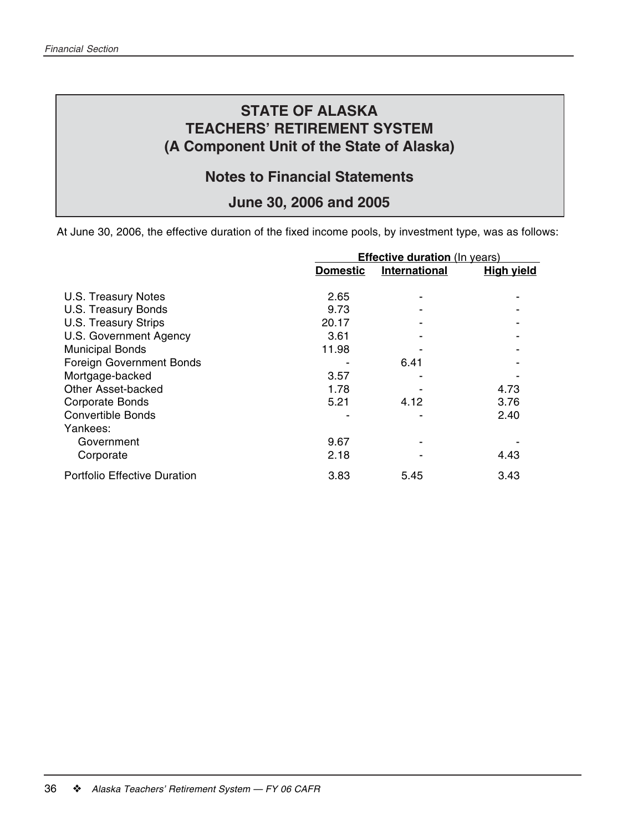# **Notes to Financial Statements**

#### **June 30, 2006 and 2005**

At June 30, 2006, the effective duration of the fixed income pools, by investment type, was as follows:

|                                     | <b>Effective duration (In years)</b> |               |                   |  |  |
|-------------------------------------|--------------------------------------|---------------|-------------------|--|--|
|                                     | <b>Domestic</b>                      | International | <b>High yield</b> |  |  |
| U.S. Treasury Notes                 | 2.65                                 |               |                   |  |  |
| U.S. Treasury Bonds                 | 9.73                                 |               |                   |  |  |
| U.S. Treasury Strips                | 20.17                                |               |                   |  |  |
| U.S. Government Agency              | 3.61                                 |               |                   |  |  |
| <b>Municipal Bonds</b>              | 11.98                                |               |                   |  |  |
| Foreign Government Bonds            |                                      | 6.41          |                   |  |  |
| Mortgage-backed                     | 3.57                                 |               |                   |  |  |
| Other Asset-backed                  | 1.78                                 |               | 4.73              |  |  |
| <b>Corporate Bonds</b>              | 5.21                                 | 4.12          | 3.76              |  |  |
| <b>Convertible Bonds</b>            |                                      |               | 2.40              |  |  |
| Yankees:                            |                                      |               |                   |  |  |
| Government                          | 9.67                                 |               |                   |  |  |
| Corporate                           | 2.18                                 |               | 4.43              |  |  |
| <b>Portfolio Effective Duration</b> | 3.83                                 | 5.45          | 3.43              |  |  |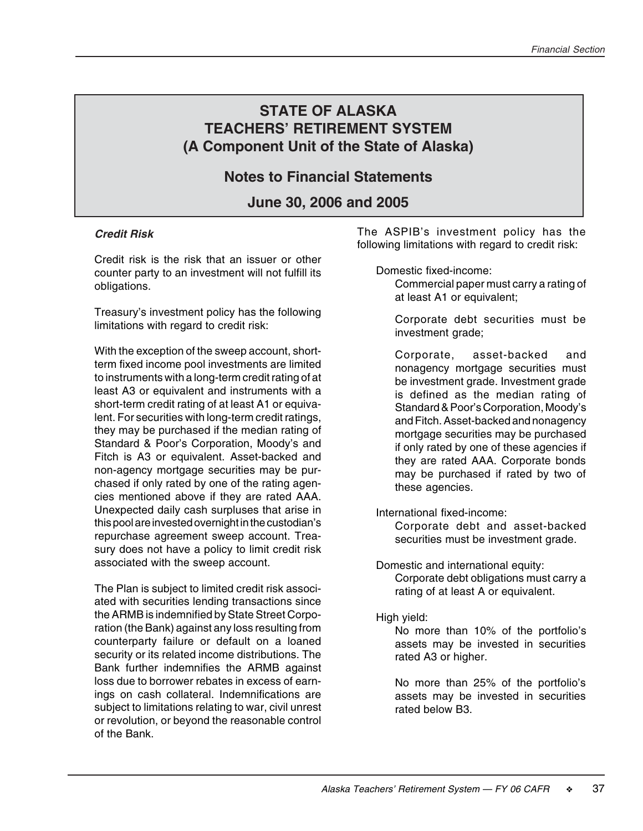#### **Notes to Financial Statements**

#### **June 30, 2006 and 2005**

#### **Credit Risk**

Credit risk is the risk that an issuer or other counter party to an investment will not fulfill its obligations.

Treasury's investment policy has the following limitations with regard to credit risk:

With the exception of the sweep account, shortterm fixed income pool investments are limited to instruments with a long-term credit rating of at least A3 or equivalent and instruments with a short-term credit rating of at least A1 or equivalent. For securities with long-term credit ratings, they may be purchased if the median rating of Standard & Poor's Corporation, Moody's and Fitch is A3 or equivalent. Asset-backed and non-agency mortgage securities may be purchased if only rated by one of the rating agencies mentioned above if they are rated AAA. Unexpected daily cash surpluses that arise in this pool are invested overnight in the custodian's repurchase agreement sweep account. Treasury does not have a policy to limit credit risk associated with the sweep account.

The Plan is subject to limited credit risk associated with securities lending transactions since the ARMB is indemnified by State Street Corporation (the Bank) against any loss resulting from counterparty failure or default on a loaned security or its related income distributions. The Bank further indemnifies the ARMB against loss due to borrower rebates in excess of earnings on cash collateral. Indemnifications are subject to limitations relating to war, civil unrest or revolution, or beyond the reasonable control of the Bank.

The ASPIB's investment policy has the following limitations with regard to credit risk:

Domestic fixed-income:

Commercial paper must carry a rating of at least A1 or equivalent;

Corporate debt securities must be investment grade;

Corporate, asset-backed and nonagency mortgage securities must be investment grade. Investment grade is defined as the median rating of Standard & Poor's Corporation, Moody's and Fitch. Asset-backed and nonagency mortgage securities may be purchased if only rated by one of these agencies if they are rated AAA. Corporate bonds may be purchased if rated by two of these agencies.

International fixed-income:

Corporate debt and asset-backed securities must be investment grade.

Domestic and international equity: Corporate debt obligations must carry a rating of at least A or equivalent.

#### High yield:

No more than 10% of the portfolio's assets may be invested in securities rated A3 or higher.

No more than 25% of the portfolio's assets may be invested in securities rated below B3.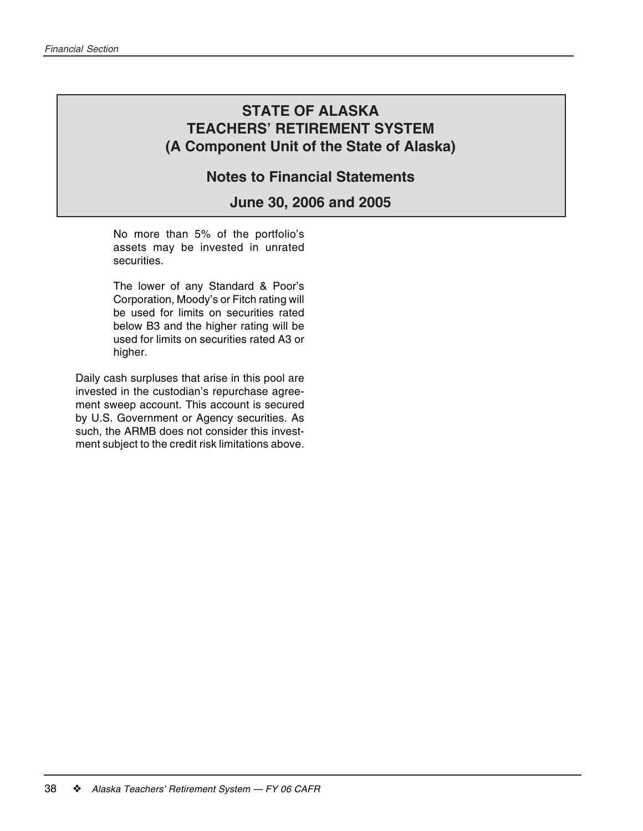### **Notes to Financial Statements**

#### **June 30, 2006 and 2005**

No more than 5% of the portfolio's assets may be invested in unrated securities.

The lower of any Standard & Poor's Corporation, Moody's or Fitch rating will be used for limits on securities rated below B3 and the higher rating will be used for limits on securities rated A3 or higher.

Daily cash surpluses that arise in this pool are invested in the custodian's repurchase agreement sweep account. This account is secured by U.S. Government or Agency securities. As such, the ARMB does not consider this investment subject to the credit risk limitations above.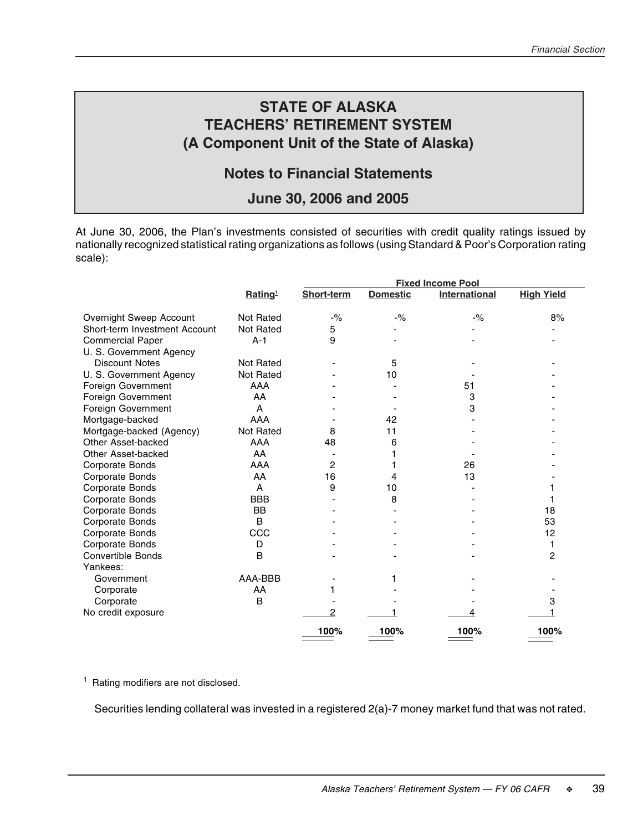#### **Notes to Financial Statements**

### **June 30, 2006 and 2005**

At June 30, 2006, the Plan's investments consisted of securities with credit quality ratings issued by nationally recognized statistical rating organizations as follows (using Standard & Poor's Corporation rating scale):

|                               |                     | <b>Fixed Income Pool</b> |                 |                      |                   |  |
|-------------------------------|---------------------|--------------------------|-----------------|----------------------|-------------------|--|
|                               | Rating <sup>1</sup> | Short-term               | <b>Domestic</b> | <b>International</b> | <b>High Yield</b> |  |
|                               | Not Rated           |                          | $-$ %           | $-$ %                | 8%                |  |
| Overnight Sweep Account       |                     | $-$ %                    |                 |                      |                   |  |
| Short-term Investment Account | Not Rated           | 5                        |                 |                      |                   |  |
| <b>Commercial Paper</b>       | $A-1$               | 9                        |                 |                      |                   |  |
| U. S. Government Agency       |                     |                          |                 |                      |                   |  |
| <b>Discount Notes</b>         | Not Rated           |                          | 5               |                      |                   |  |
| U. S. Government Agency       | Not Rated           |                          | 10              |                      |                   |  |
| Foreign Government            | AAA                 |                          |                 | 51                   |                   |  |
| Foreign Government            | AA                  |                          |                 | 3                    |                   |  |
| Foreign Government            | A                   |                          |                 | 3                    |                   |  |
| Mortgage-backed               | AAA                 |                          | 42              |                      |                   |  |
| Mortgage-backed (Agency)      | Not Rated           | 8                        | 11              |                      |                   |  |
| Other Asset-backed            | AAA                 | 48                       | 6               |                      |                   |  |
| Other Asset-backed            | AA                  |                          |                 |                      |                   |  |
| Corporate Bonds               | AAA                 | 2                        |                 | 26                   |                   |  |
| Corporate Bonds               | AA                  | 16                       | 4               | 13                   |                   |  |
| Corporate Bonds               | A                   | 9                        | 10              |                      |                   |  |
| Corporate Bonds               | <b>BBB</b>          |                          | 8               |                      |                   |  |
| Corporate Bonds               | <b>BB</b>           |                          |                 |                      | 18                |  |
| Corporate Bonds               | B                   |                          |                 |                      | 53                |  |
| Corporate Bonds               | CCC                 |                          |                 |                      | 12                |  |
| Corporate Bonds               | D                   |                          |                 |                      | 1                 |  |
| Convertible Bonds             | B                   |                          |                 |                      | 2                 |  |
| Yankees:                      |                     |                          |                 |                      |                   |  |
| Government                    | AAA-BBB             |                          |                 |                      |                   |  |
| Corporate                     | AA                  |                          |                 |                      |                   |  |
| Corporate                     | B                   |                          |                 |                      | 3                 |  |
| No credit exposure            |                     | 2                        |                 |                      |                   |  |
|                               |                     | 100%                     | 100%            | 100%                 | 100%              |  |

<sup>1</sup> Rating modifiers are not disclosed.

Securities lending collateral was invested in a registered 2(a)-7 money market fund that was not rated.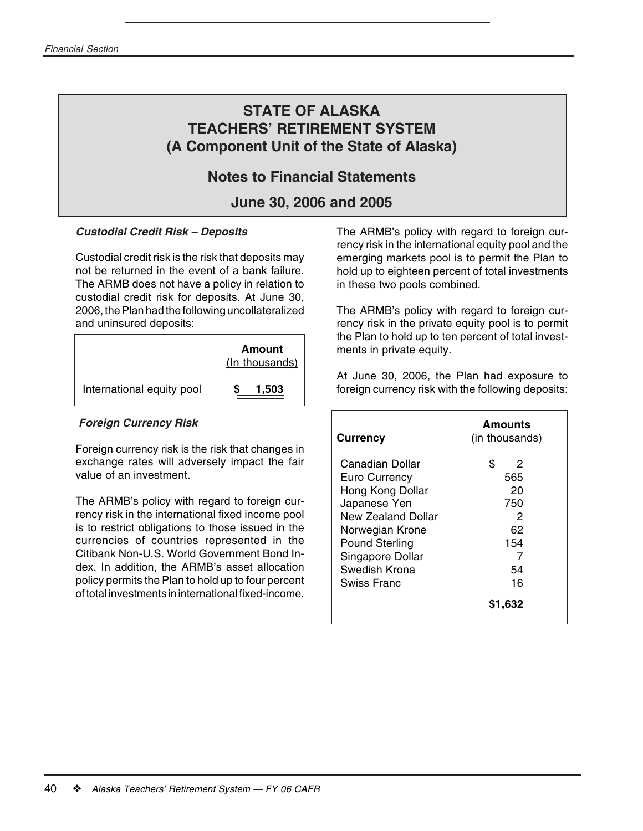# **Notes to Financial Statements**

### **June 30, 2006 and 2005**

#### **Custodial Credit Risk – Deposits**

Custodial credit risk is the risk that deposits may not be returned in the event of a bank failure. The ARMB does not have a policy in relation to custodial credit risk for deposits. At June 30, 2006, the Plan had the following uncollateralized and uninsured deposits:

|                           | <b>Amount</b><br>(In thousands) |
|---------------------------|---------------------------------|
| International equity pool | 1,503                           |

#### **Foreign Currency Risk**

Foreign currency risk is the risk that changes in exchange rates will adversely impact the fair value of an investment.

The ARMB's policy with regard to foreign currency risk in the international fixed income pool is to restrict obligations to those issued in the currencies of countries represented in the Citibank Non-U.S. World Government Bond Index. In addition, the ARMB's asset allocation policy permits the Plan to hold up to four percent of total investments in international fixed-income.

The ARMB's policy with regard to foreign currency risk in the international equity pool and the emerging markets pool is to permit the Plan to hold up to eighteen percent of total investments in these two pools combined.

The ARMB's policy with regard to foreign currency risk in the private equity pool is to permit the Plan to hold up to ten percent of total investments in private equity.

At June 30, 2006, the Plan had exposure to foreign currency risk with the following deposits:

| <b>Currency</b>                                                                              | Amounts<br>(in thousands)        |
|----------------------------------------------------------------------------------------------|----------------------------------|
| Canadian Dollar<br>Euro Currency<br>Hong Kong Dollar<br>Japanese Yen<br>New Zealand Dollar   | \$<br>2<br>565<br>20<br>750<br>2 |
| Norwegian Krone<br><b>Pound Sterling</b><br>Singapore Dollar<br>Swedish Krona<br>Swiss Franc | 62<br>154<br>7<br>54<br>16       |
|                                                                                              | \$1,632                          |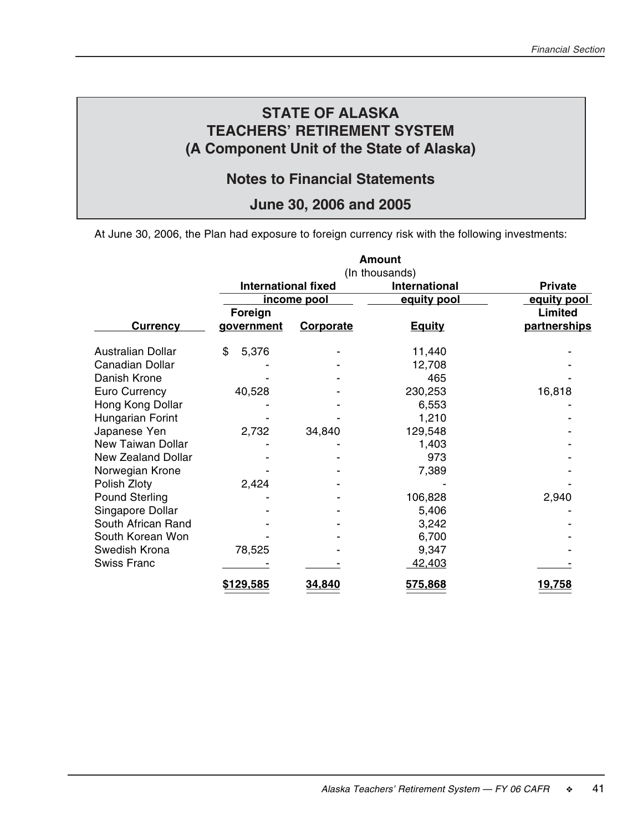### **Notes to Financial Statements**

**June 30, 2006 and 2005**

At June 30, 2006, the Plan had exposure to foreign currency risk with the following investments:

|                          |                            |                    | <b>Amount</b> |                |  |  |  |
|--------------------------|----------------------------|--------------------|---------------|----------------|--|--|--|
|                          |                            | (In thousands)     |               |                |  |  |  |
|                          | <b>International fixed</b> |                    | International | <b>Private</b> |  |  |  |
|                          |                            | <u>income pool</u> | equity pool   | equity pool    |  |  |  |
|                          | Foreign                    |                    |               | <b>Limited</b> |  |  |  |
| <b>Currency</b>          | government                 | <b>Corporate</b>   | <b>Equity</b> | partnerships   |  |  |  |
| <b>Australian Dollar</b> | 5,376<br>\$                |                    | 11,440        |                |  |  |  |
| <b>Canadian Dollar</b>   |                            |                    | 12,708        |                |  |  |  |
| Danish Krone             |                            |                    | 465           |                |  |  |  |
| Euro Currency            | 40,528                     |                    | 230,253       | 16,818         |  |  |  |
| Hong Kong Dollar         |                            |                    | 6,553         |                |  |  |  |
| Hungarian Forint         |                            |                    | 1,210         |                |  |  |  |
| Japanese Yen             | 2,732                      | 34,840             | 129,548       |                |  |  |  |
| <b>New Taiwan Dollar</b> |                            |                    | 1,403         |                |  |  |  |
| New Zealand Dollar       |                            |                    | 973           |                |  |  |  |
| Norwegian Krone          |                            |                    | 7,389         |                |  |  |  |
| Polish Zloty             | 2,424                      |                    |               |                |  |  |  |
| <b>Pound Sterling</b>    |                            |                    | 106,828       | 2,940          |  |  |  |
| Singapore Dollar         |                            |                    | 5,406         |                |  |  |  |
| South African Rand       |                            |                    | 3,242         |                |  |  |  |
| South Korean Won         |                            |                    | 6,700         |                |  |  |  |
| Swedish Krona            | 78,525                     |                    | 9,347         |                |  |  |  |
| <b>Swiss Franc</b>       |                            |                    | 42,403        |                |  |  |  |
|                          | \$129,585                  | 34,840             | 575,868       | 19,758         |  |  |  |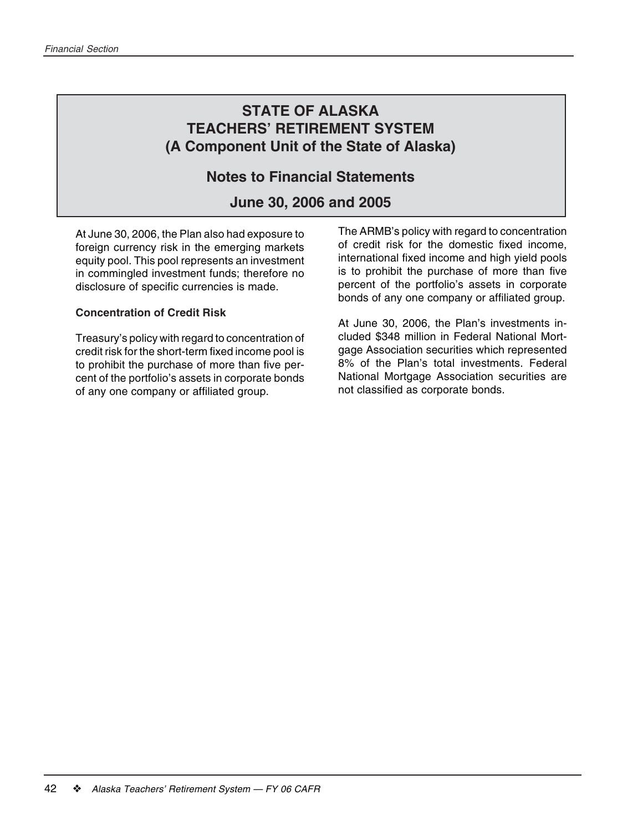# **Notes to Financial Statements**

#### **June 30, 2006 and 2005**

At June 30, 2006, the Plan also had exposure to foreign currency risk in the emerging markets equity pool. This pool represents an investment in commingled investment funds; therefore no disclosure of specific currencies is made.

#### **Concentration of Credit Risk**

Treasury's policy with regard to concentration of credit risk for the short-term fixed income pool is to prohibit the purchase of more than five percent of the portfolio's assets in corporate bonds of any one company or affiliated group.

The ARMB's policy with regard to concentration of credit risk for the domestic fixed income, international fixed income and high yield pools is to prohibit the purchase of more than five percent of the portfolio's assets in corporate bonds of any one company or affiliated group.

At June 30, 2006, the Plan's investments included \$348 million in Federal National Mortgage Association securities which represented 8% of the Plan's total investments. Federal National Mortgage Association securities are not classified as corporate bonds.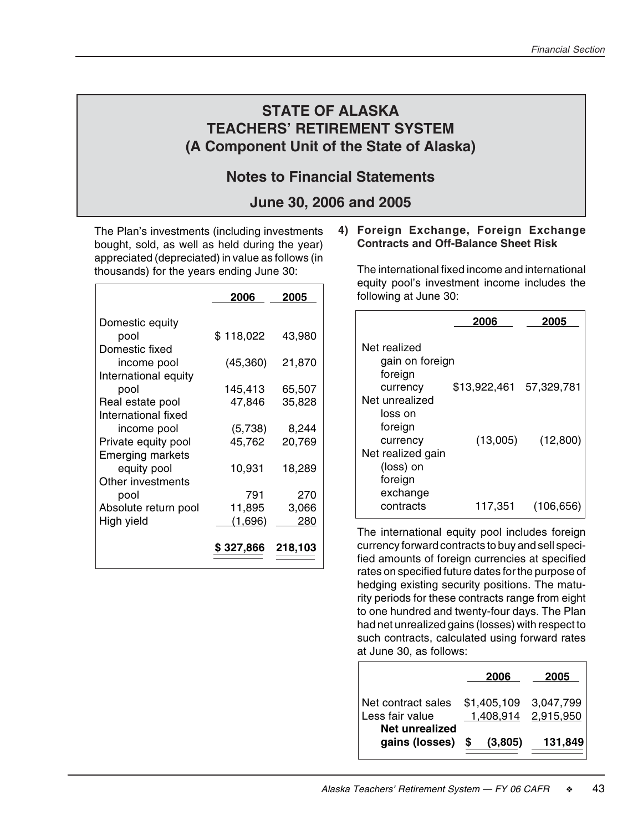### **Notes to Financial Statements**

### **June 30, 2006 and 2005**

The Plan's investments (including investments bought, sold, as well as held during the year) appreciated (depreciated) in value as follows (in thousands) for the years ending June 30:

|                                  | 2006       | 2005    |
|----------------------------------|------------|---------|
| Domestic equity                  |            |         |
| pool                             | \$118,022  | 43,980  |
| Domestic fixed                   |            |         |
| income pool                      | (45, 360)  | 21,870  |
| International equity<br>pool     | 145,413    | 65,507  |
| Real estate pool                 | 47,846     | 35,828  |
| International fixed              |            |         |
| income pool                      | (5,738)    | 8,244   |
| Private equity pool              | 45,762     | 20,769  |
| <b>Emerging markets</b>          |            |         |
| equity pool<br>Other investments | 10,931     | 18,289  |
| pool                             | 791        | 270     |
| Absolute return pool             | 11,895     | 3,066   |
| High yield                       | (1,696)    | 280     |
|                                  | \$ 327,866 | 218,103 |

**4) Foreign Exchange, Foreign Exchange Contracts and Off-Balance Sheet Risk**

The international fixed income and international equity pool's investment income includes the following at June 30:

|                                                                    | 2006         | 2005       |
|--------------------------------------------------------------------|--------------|------------|
| Net realized<br>gain on foreign<br>foreign<br>currency             | \$13,922,461 | 57,329,781 |
| Net unrealized<br>loss on<br>foreign<br>currency                   | (13,005)     | (12, 800)  |
| Net realized gain<br>(loss) on<br>foreign<br>exchange<br>contracts | 117,351      | (106,656   |
|                                                                    |              |            |

The international equity pool includes foreign currency forward contracts to buy and sell specified amounts of foreign currencies at specified rates on specified future dates for the purpose of hedging existing security positions. The maturity periods for these contracts range from eight to one hundred and twenty-four days. The Plan had net unrealized gains (losses) with respect to such contracts, calculated using forward rates at June 30, as follows:

|                                         |   | 2006                     | 2005                   |
|-----------------------------------------|---|--------------------------|------------------------|
| Net contract sales<br>Less fair value   |   | \$1,405,109<br>1,408,914 | 3,047,799<br>2,915,950 |
| <b>Net unrealized</b><br>gains (losses) | S | (3,805)                  | 131,849                |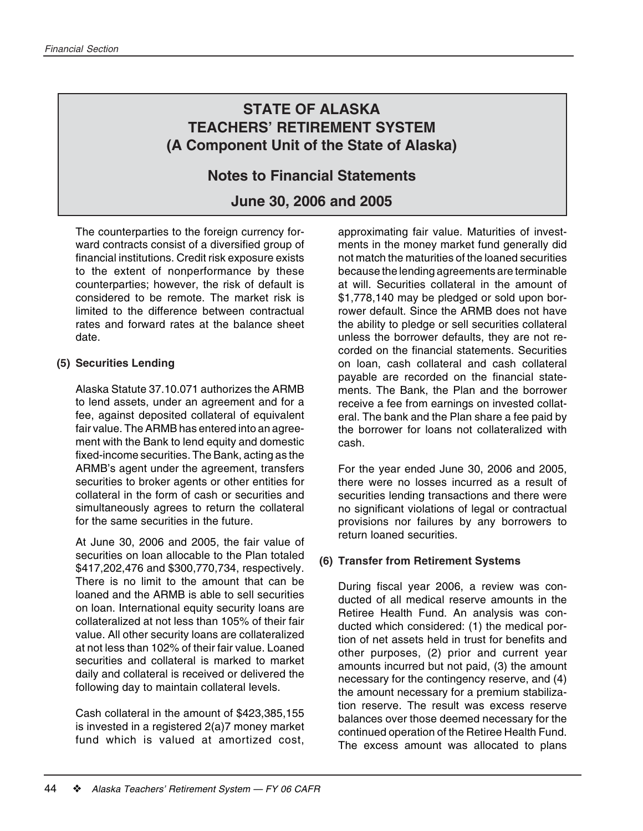### **Notes to Financial Statements**

### **June 30, 2006 and 2005**

The counterparties to the foreign currency forward contracts consist of a diversified group of financial institutions. Credit risk exposure exists to the extent of nonperformance by these counterparties; however, the risk of default is considered to be remote. The market risk is limited to the difference between contractual rates and forward rates at the balance sheet date.

#### **(5) Securities Lending**

Alaska Statute 37.10.071 authorizes the ARMB to lend assets, under an agreement and for a fee, against deposited collateral of equivalent fair value. The ARMB has entered into an agreement with the Bank to lend equity and domestic fixed-income securities. The Bank, acting as the ARMB's agent under the agreement, transfers securities to broker agents or other entities for collateral in the form of cash or securities and simultaneously agrees to return the collateral for the same securities in the future.

At June 30, 2006 and 2005, the fair value of securities on loan allocable to the Plan totaled \$417,202,476 and \$300,770,734, respectively. There is no limit to the amount that can be loaned and the ARMB is able to sell securities on loan. International equity security loans are collateralized at not less than 105% of their fair value. All other security loans are collateralized at not less than 102% of their fair value. Loaned securities and collateral is marked to market daily and collateral is received or delivered the following day to maintain collateral levels.

Cash collateral in the amount of \$423,385,155 is invested in a registered 2(a)7 money market fund which is valued at amortized cost,

approximating fair value. Maturities of investments in the money market fund generally did not match the maturities of the loaned securities because the lending agreements are terminable at will. Securities collateral in the amount of \$1,778,140 may be pledged or sold upon borrower default. Since the ARMB does not have the ability to pledge or sell securities collateral unless the borrower defaults, they are not recorded on the financial statements. Securities on loan, cash collateral and cash collateral payable are recorded on the financial statements. The Bank, the Plan and the borrower receive a fee from earnings on invested collateral. The bank and the Plan share a fee paid by the borrower for loans not collateralized with cash.

For the year ended June 30, 2006 and 2005, there were no losses incurred as a result of securities lending transactions and there were no significant violations of legal or contractual provisions nor failures by any borrowers to return loaned securities.

#### **(6) Transfer from Retirement Systems**

During fiscal year 2006, a review was conducted of all medical reserve amounts in the Retiree Health Fund. An analysis was conducted which considered: (1) the medical portion of net assets held in trust for benefits and other purposes, (2) prior and current year amounts incurred but not paid, (3) the amount necessary for the contingency reserve, and (4) the amount necessary for a premium stabilization reserve. The result was excess reserve balances over those deemed necessary for the continued operation of the Retiree Health Fund. The excess amount was allocated to plans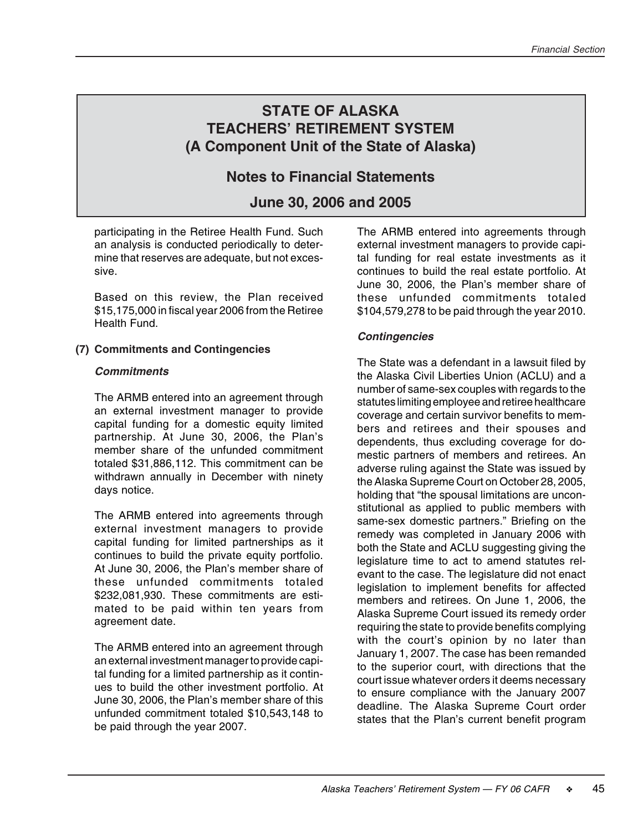### **Notes to Financial Statements**

#### **June 30, 2006 and 2005**

participating in the Retiree Health Fund. Such an analysis is conducted periodically to determine that reserves are adequate, but not excessive.

Based on this review, the Plan received \$15,175,000 in fiscal year 2006 from the Retiree Health Fund.

#### **(7) Commitments and Contingencies**

#### **Commitments**

The ARMB entered into an agreement through an external investment manager to provide capital funding for a domestic equity limited partnership. At June 30, 2006, the Plan's member share of the unfunded commitment totaled \$31,886,112. This commitment can be withdrawn annually in December with ninety days notice.

The ARMB entered into agreements through external investment managers to provide capital funding for limited partnerships as it continues to build the private equity portfolio. At June 30, 2006, the Plan's member share of these unfunded commitments totaled \$232,081,930. These commitments are estimated to be paid within ten years from agreement date.

The ARMB entered into an agreement through an external investment manager to provide capital funding for a limited partnership as it continues to build the other investment portfolio. At June 30, 2006, the Plan's member share of this unfunded commitment totaled \$10,543,148 to be paid through the year 2007.

The ARMB entered into agreements through external investment managers to provide capital funding for real estate investments as it continues to build the real estate portfolio. At June 30, 2006, the Plan's member share of these unfunded commitments totaled \$104,579,278 to be paid through the year 2010.

#### **Contingencies**

The State was a defendant in a lawsuit filed by the Alaska Civil Liberties Union (ACLU) and a number of same-sex couples with regards to the statutes limiting employee and retiree healthcare coverage and certain survivor benefits to members and retirees and their spouses and dependents, thus excluding coverage for domestic partners of members and retirees. An adverse ruling against the State was issued by the Alaska Supreme Court on October 28, 2005, holding that "the spousal limitations are unconstitutional as applied to public members with same-sex domestic partners." Briefing on the remedy was completed in January 2006 with both the State and ACLU suggesting giving the legislature time to act to amend statutes relevant to the case. The legislature did not enact legislation to implement benefits for affected members and retirees. On June 1, 2006, the Alaska Supreme Court issued its remedy order requiring the state to provide benefits complying with the court's opinion by no later than January 1, 2007. The case has been remanded to the superior court, with directions that the court issue whatever orders it deems necessary to ensure compliance with the January 2007 deadline. The Alaska Supreme Court order states that the Plan's current benefit program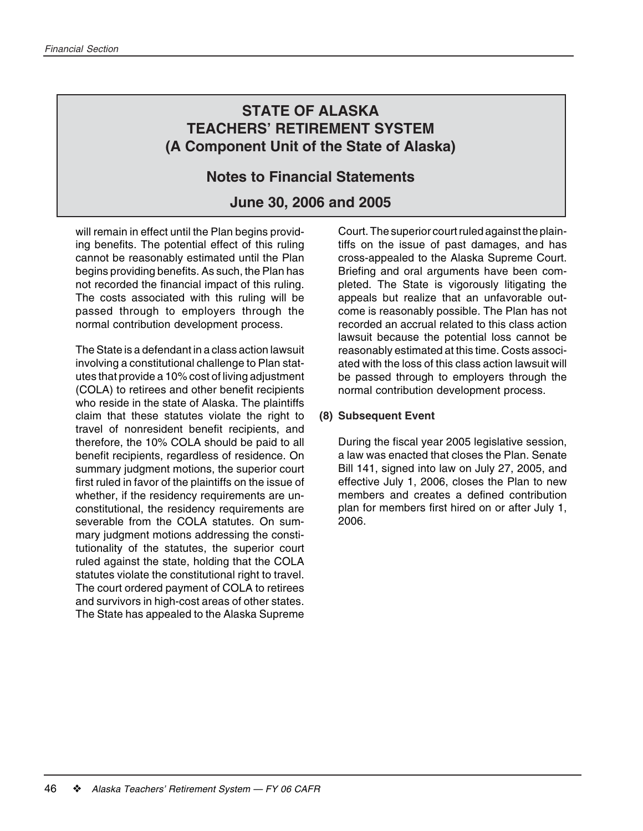# **Notes to Financial Statements**

#### **June 30, 2006 and 2005**

will remain in effect until the Plan begins providing benefits. The potential effect of this ruling cannot be reasonably estimated until the Plan begins providing benefits. As such, the Plan has not recorded the financial impact of this ruling. The costs associated with this ruling will be passed through to employers through the normal contribution development process.

The State is a defendant in a class action lawsuit involving a constitutional challenge to Plan statutes that provide a 10% cost of living adjustment (COLA) to retirees and other benefit recipients who reside in the state of Alaska. The plaintiffs claim that these statutes violate the right to travel of nonresident benefit recipients, and therefore, the 10% COLA should be paid to all benefit recipients, regardless of residence. On summary judgment motions, the superior court first ruled in favor of the plaintiffs on the issue of whether, if the residency requirements are unconstitutional, the residency requirements are severable from the COLA statutes. On summary judgment motions addressing the constitutionality of the statutes, the superior court ruled against the state, holding that the COLA statutes violate the constitutional right to travel. The court ordered payment of COLA to retirees and survivors in high-cost areas of other states. The State has appealed to the Alaska Supreme

Court. The superior court ruled against the plaintiffs on the issue of past damages, and has cross-appealed to the Alaska Supreme Court. Briefing and oral arguments have been completed. The State is vigorously litigating the appeals but realize that an unfavorable outcome is reasonably possible. The Plan has not recorded an accrual related to this class action lawsuit because the potential loss cannot be reasonably estimated at this time. Costs associated with the loss of this class action lawsuit will be passed through to employers through the normal contribution development process.

#### **(8) Subsequent Event**

During the fiscal year 2005 legislative session, a law was enacted that closes the Plan. Senate Bill 141, signed into law on July 27, 2005, and effective July 1, 2006, closes the Plan to new members and creates a defined contribution plan for members first hired on or after July 1, 2006.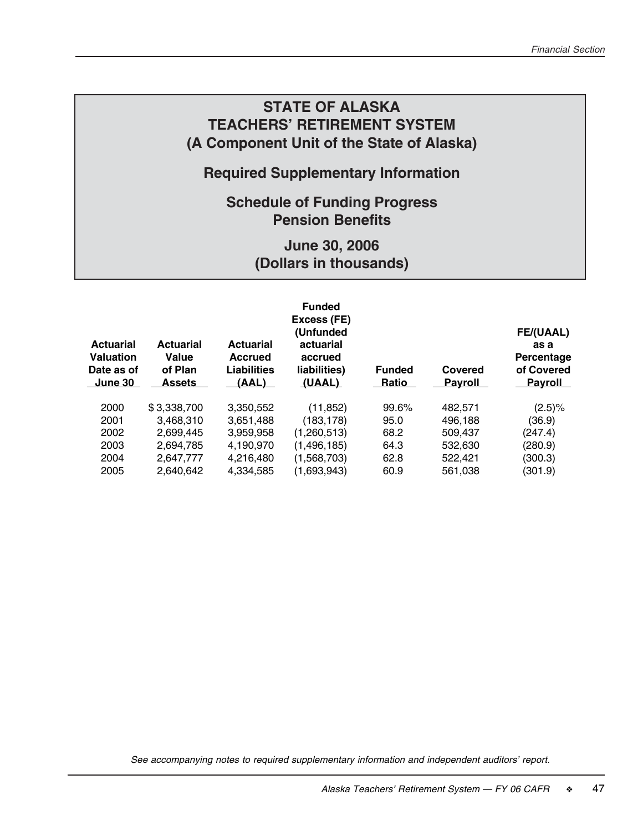### **Required Supplementary Information**

### **Schedule of Funding Progress Pension Benefits**

# **June 30, 2006 (Dollars in thousands)**

| <b>Actuarial</b><br><b>Valuation</b><br>Date as of<br>June 30 | <b>Actuarial</b><br>Value<br>of Plan<br><b>Assets</b> | <b>Actuarial</b><br><b>Accrued</b><br><b>Liabilities</b><br>(AAL) | <b>Funded</b><br>Excess (FE)<br>(Unfunded<br>actuarial<br>accrued<br>liabilities)<br>(UAAL) | <b>Funded</b><br>Ratio | Covered<br><b>Payroll</b> | <b>FE/(UAAL)</b><br>as a<br>Percentage<br>of Covered<br><b>Payroll</b> |
|---------------------------------------------------------------|-------------------------------------------------------|-------------------------------------------------------------------|---------------------------------------------------------------------------------------------|------------------------|---------------------------|------------------------------------------------------------------------|
| 2000                                                          | \$3,338,700                                           | 3,350,552                                                         | (11, 852)                                                                                   | 99.6%                  | 482,571                   | $(2.5)\%$                                                              |
| 2001                                                          | 3,468,310                                             | 3,651,488                                                         | (183.178)                                                                                   | 95.0                   | 496.188                   | (36.9)                                                                 |
| 2002                                                          | 2.699.445                                             | 3,959,958                                                         | (1,260,513)                                                                                 | 68.2                   | 509,437                   | (247.4)                                                                |
| 2003                                                          | 2,694,785                                             | 4.190.970                                                         | (1,496,185)                                                                                 | 64.3                   | 532,630                   | (280.9)                                                                |
| 2004                                                          | 2,647,777                                             | 4.216.480                                                         | (1,568,703)                                                                                 | 62.8                   | 522.421                   | (300.3)                                                                |
| 2005                                                          | 2,640,642                                             | 4,334,585                                                         | (1,693,943)                                                                                 | 60.9                   | 561,038                   | (301.9)                                                                |

See accompanying notes to required supplementary information and independent auditors' report.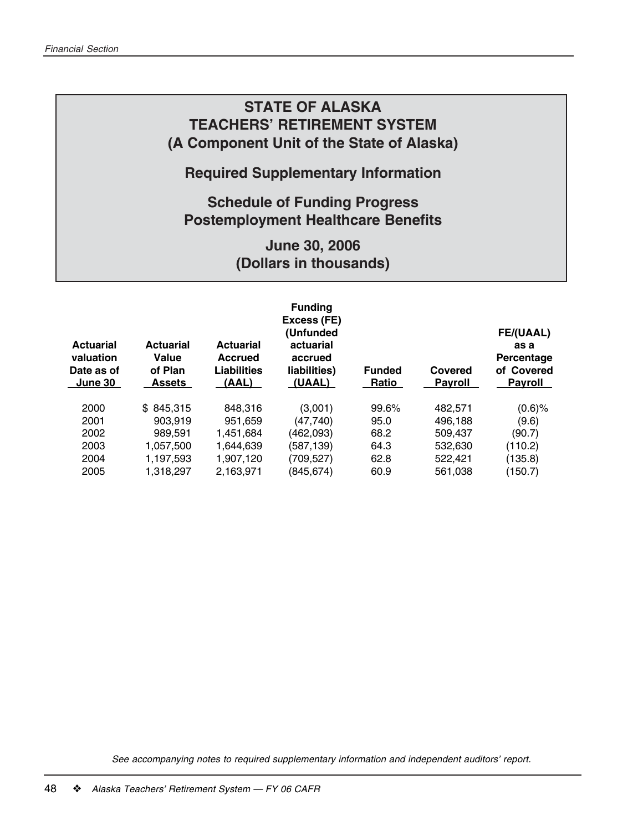### **Required Supplementary Information**

### **Schedule of Funding Progress Postemployment Healthcare Benefits**

**June 30, 2006 (Dollars in thousands)**

| <b>Actuarial</b><br>valuation<br>Date as of<br>June 30 | <b>Actuarial</b><br>Value<br>of Plan<br><b>Assets</b> | <b>Actuarial</b><br><b>Accrued</b><br><b>Liabilities</b><br><u>(AAL)</u> | <b>Funding</b><br>Excess (FE)<br>(Unfunded<br>actuarial<br>accrued<br>liabilities)<br>(UAAL) | <b>Funded</b><br>Ratio | Covered<br><b>Payroll</b> | <b>FE/(UAAL)</b><br>as a<br>Percentage<br>of Covered<br><u>Payroll</u> |
|--------------------------------------------------------|-------------------------------------------------------|--------------------------------------------------------------------------|----------------------------------------------------------------------------------------------|------------------------|---------------------------|------------------------------------------------------------------------|
| 2000                                                   | \$845,315                                             | 848.316                                                                  | (3,001)                                                                                      | 99.6%                  | 482.571                   | $(0.6)$ %                                                              |
| 2001                                                   | 903.919                                               | 951.659                                                                  | (47, 740)                                                                                    | 95.0                   | 496,188                   | (9.6)                                                                  |
| 2002                                                   | 989,591                                               | 1.451.684                                                                | (462,093)                                                                                    | 68.2                   | 509,437                   | (90.7)                                                                 |
| 2003                                                   | 1,057,500                                             | 1,644,639                                                                | (587, 139)                                                                                   | 64.3                   | 532,630                   | (110.2)                                                                |
| 2004                                                   | 1.197.593                                             | 1.907.120                                                                | (709,527)                                                                                    | 62.8                   | 522.421                   | (135.8)                                                                |
| 2005                                                   | 1,318,297                                             | 2,163,971                                                                | (845,674)                                                                                    | 60.9                   | 561,038                   | (150.7)                                                                |

See accompanying notes to required supplementary information and independent auditors' report.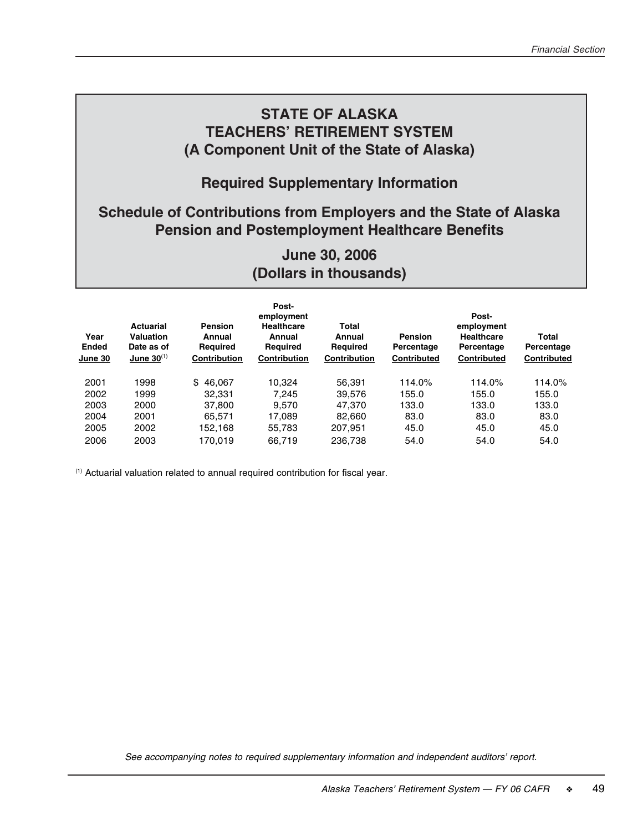# **Required Supplementary Information**

# **Schedule of Contributions from Employers and the State of Alaska Pension and Postemployment Healthcare Benefits**

# **June 30, 2006 (Dollars in thousands)**

| Year<br><b>Ended</b> | <b>Actuarial</b><br>Valuation<br>Date as of | <b>Pension</b><br>Annual<br>Required | Post-<br>employment<br><b>Healthcare</b><br>Annual<br>Required | Total<br>Annual<br>Required | <b>Pension</b><br>Percentage | Post-<br>employment<br><b>Healthcare</b><br>Percentage | Total<br>Percentage |
|----------------------|---------------------------------------------|--------------------------------------|----------------------------------------------------------------|-----------------------------|------------------------------|--------------------------------------------------------|---------------------|
| June 30              | June $30^{(1)}$                             | Contribution                         | <b>Contribution</b>                                            | <b>Contribution</b>         | <b>Contributed</b>           | <b>Contributed</b>                                     | <b>Contributed</b>  |
| 2001                 | 1998                                        | \$46.067                             | 10.324                                                         | 56,391                      | 114.0%                       | 114.0%                                                 | 114.0%              |
| 2002                 | 1999                                        | 32.331                               | 7.245                                                          | 39.576                      | 155.0                        | 155.0                                                  | 155.0               |
| 2003                 | 2000                                        | 37,800                               | 9.570                                                          | 47.370                      | 133.0                        | 133.0                                                  | 133.0               |
| 2004                 | 2001                                        | 65.571                               | 17.089                                                         | 82,660                      | 83.0                         | 83.0                                                   | 83.0                |
| 2005                 | 2002                                        | 152,168                              | 55,783                                                         | 207.951                     | 45.0                         | 45.0                                                   | 45.0                |
| 2006                 | 2003                                        | 170.019                              | 66.719                                                         | 236,738                     | 54.0                         | 54.0                                                   | 54.0                |

(1) Actuarial valuation related to annual required contribution for fiscal year.

See accompanying notes to required supplementary information and independent auditors' report.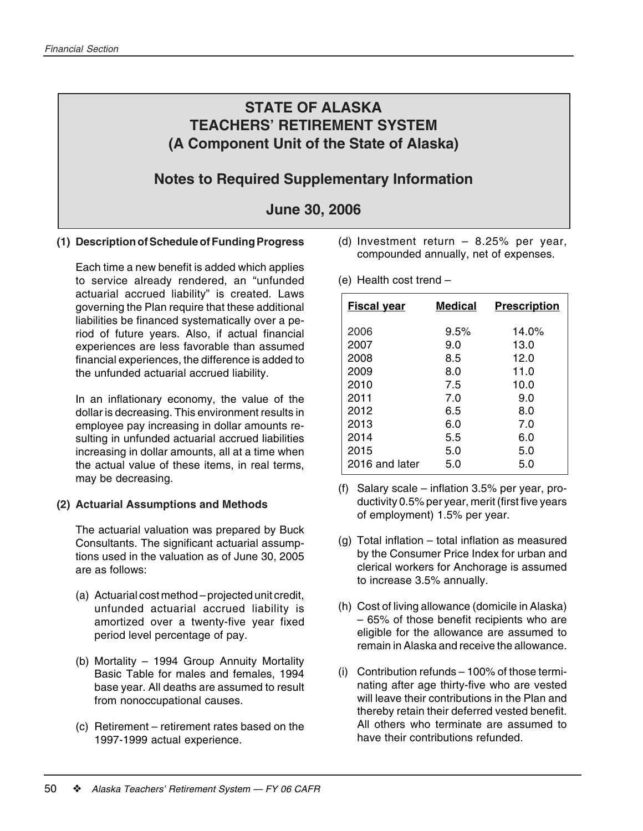# **Notes to Required Supplementary Information**

#### **June 30, 2006**

#### **(1) Description of Schedule of Funding Progress**

Each time a new benefit is added which applies to service already rendered, an "unfunded actuarial accrued liability" is created. Laws governing the Plan require that these additional liabilities be financed systematically over a period of future years. Also, if actual financial experiences are less favorable than assumed financial experiences, the difference is added to the unfunded actuarial accrued liability.

In an inflationary economy, the value of the dollar is decreasing. This environment results in employee pay increasing in dollar amounts resulting in unfunded actuarial accrued liabilities increasing in dollar amounts, all at a time when the actual value of these items, in real terms, may be decreasing.

#### **(2) Actuarial Assumptions and Methods**

The actuarial valuation was prepared by Buck Consultants. The significant actuarial assumptions used in the valuation as of June 30, 2005 are as follows:

- (a) Actuarial cost method projected unit credit, unfunded actuarial accrued liability is amortized over a twenty-five year fixed period level percentage of pay.
- (b) Mortality 1994 Group Annuity Mortality Basic Table for males and females, 1994 base year. All deaths are assumed to result from nonoccupational causes.
- (c) Retirement retirement rates based on the 1997-1999 actual experience.
- (d) Investment return 8.25% per year, compounded annually, net of expenses.
- (e) Health cost trend –

| <b>Fiscal year</b> | Medical | <b>Prescription</b> |
|--------------------|---------|---------------------|
| 2006               | 9.5%    | 14.0%               |
| 2007               | 9.0     | 13.0                |
| 2008               | 8.5     | 12.0                |
| 2009               | 8.0     | 11.0                |
| 2010               | 7.5     | 10.0                |
| 2011               | 7.0     | 9.0                 |
| 2012               | 6.5     | 8.0                 |
| 2013               | 6.0     | 7.0                 |
| 2014               | 5.5     | 6.0                 |
| 2015               | 5.0     | 5.0                 |
| 2016 and later     | 5.0     | 5.0                 |

- (f) Salary scale inflation 3.5% per year, productivity 0.5% per year, merit (first five years of employment) 1.5% per year.
- (g) Total inflation total inflation as measured by the Consumer Price Index for urban and clerical workers for Anchorage is assumed to increase 3.5% annually.
- (h) Cost of living allowance (domicile in Alaska) – 65% of those benefit recipients who are eligible for the allowance are assumed to remain in Alaska and receive the allowance.
- (i) Contribution refunds 100% of those terminating after age thirty-five who are vested will leave their contributions in the Plan and thereby retain their deferred vested benefit. All others who terminate are assumed to have their contributions refunded.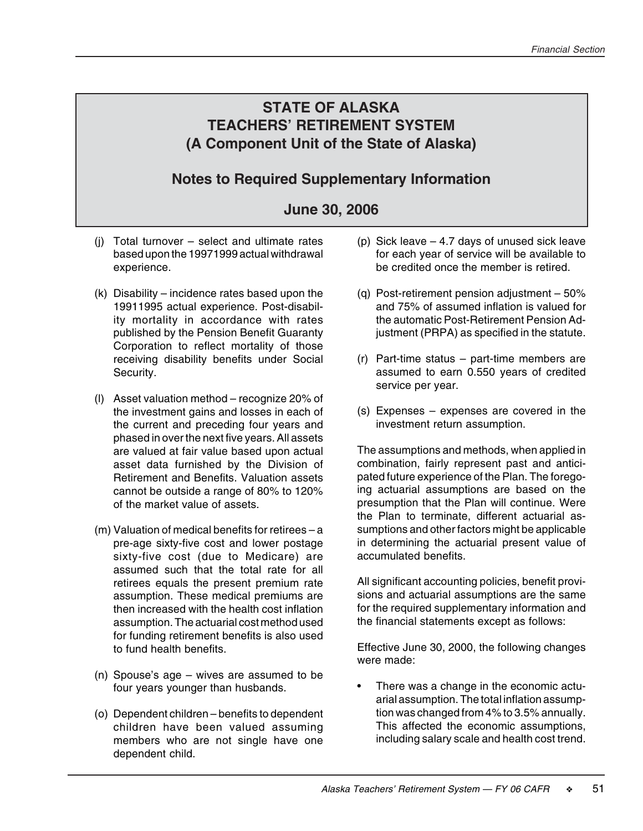# **Notes to Required Supplementary Information**

## **June 30, 2006**

- (j) Total turnover select and ultimate rates based upon the 19971999 actual withdrawal experience.
- (k) Disability incidence rates based upon the 19911995 actual experience. Post-disability mortality in accordance with rates published by the Pension Benefit Guaranty Corporation to reflect mortality of those receiving disability benefits under Social Security.
- (l) Asset valuation method recognize 20% of the investment gains and losses in each of the current and preceding four years and phased in over the next five years. All assets are valued at fair value based upon actual asset data furnished by the Division of Retirement and Benefits. Valuation assets cannot be outside a range of 80% to 120% of the market value of assets.
- (m) Valuation of medical benefits for retirees a pre-age sixty-five cost and lower postage sixty-five cost (due to Medicare) are assumed such that the total rate for all retirees equals the present premium rate assumption. These medical premiums are then increased with the health cost inflation assumption. The actuarial cost method used for funding retirement benefits is also used to fund health benefits.
- (n) Spouse's age wives are assumed to be four years younger than husbands.
- (o) Dependent children benefits to dependent children have been valued assuming members who are not single have one dependent child.
- (p) Sick leave 4.7 days of unused sick leave for each year of service will be available to be credited once the member is retired.
- (q) Post-retirement pension adjustment 50% and 75% of assumed inflation is valued for the automatic Post-Retirement Pension Adjustment (PRPA) as specified in the statute.
- (r) Part-time status part-time members are assumed to earn 0.550 years of credited service per year.
- (s) Expenses expenses are covered in the investment return assumption.

The assumptions and methods, when applied in combination, fairly represent past and anticipated future experience of the Plan. The foregoing actuarial assumptions are based on the presumption that the Plan will continue. Were the Plan to terminate, different actuarial assumptions and other factors might be applicable in determining the actuarial present value of accumulated benefits.

All significant accounting policies, benefit provisions and actuarial assumptions are the same for the required supplementary information and the financial statements except as follows:

Effective June 30, 2000, the following changes were made:

• There was a change in the economic actuarial assumption. The total inflation assumption was changed from 4% to 3.5% annually. This affected the economic assumptions, including salary scale and health cost trend.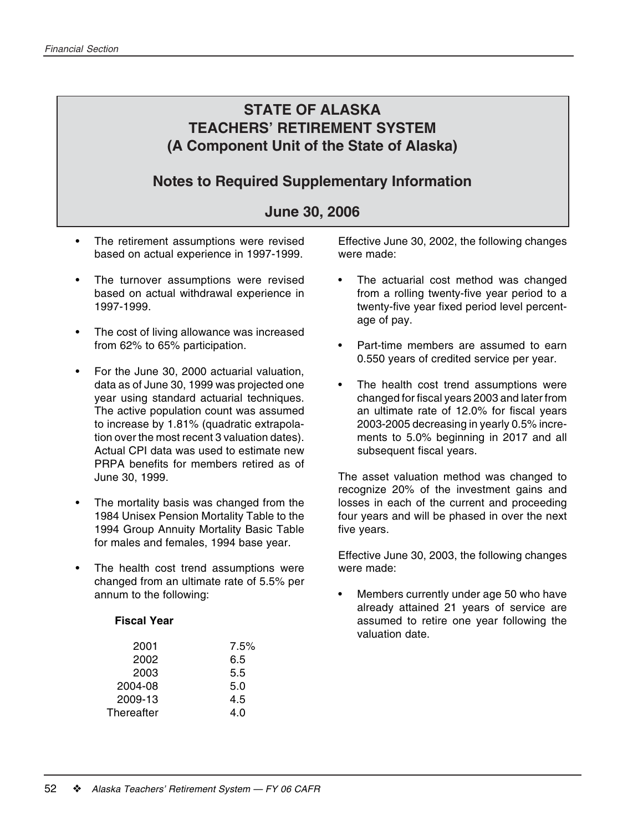# **Notes to Required Supplementary Information**

### **June 30, 2006**

- The retirement assumptions were revised based on actual experience in 1997-1999.
- The turnover assumptions were revised based on actual withdrawal experience in 1997-1999.
- The cost of living allowance was increased from 62% to 65% participation.
- For the June 30, 2000 actuarial valuation, data as of June 30, 1999 was projected one year using standard actuarial techniques. The active population count was assumed to increase by 1.81% (quadratic extrapolation over the most recent 3 valuation dates). Actual CPI data was used to estimate new PRPA benefits for members retired as of June 30, 1999.
- The mortality basis was changed from the 1984 Unisex Pension Mortality Table to the 1994 Group Annuity Mortality Basic Table for males and females, 1994 base year.
- The health cost trend assumptions were changed from an ultimate rate of 5.5% per annum to the following:

#### **Fiscal Year**

| 2001       | $7.5\%$ |
|------------|---------|
| 2002       | 6.5     |
| 2003       | 5.5     |
| 2004-08    | 5.0     |
| 2009-13    | 4.5     |
| Thereafter | 4.0     |

Effective June 30, 2002, the following changes were made:

- The actuarial cost method was changed from a rolling twenty-five year period to a twenty-five year fixed period level percentage of pay.
- Part-time members are assumed to earn 0.550 years of credited service per year.
- The health cost trend assumptions were changed for fiscal years 2003 and later from an ultimate rate of 12.0% for fiscal years 2003-2005 decreasing in yearly 0.5% increments to 5.0% beginning in 2017 and all subsequent fiscal years.

The asset valuation method was changed to recognize 20% of the investment gains and losses in each of the current and proceeding four years and will be phased in over the next five years.

Effective June 30, 2003, the following changes were made:

• Members currently under age 50 who have already attained 21 years of service are assumed to retire one year following the valuation date.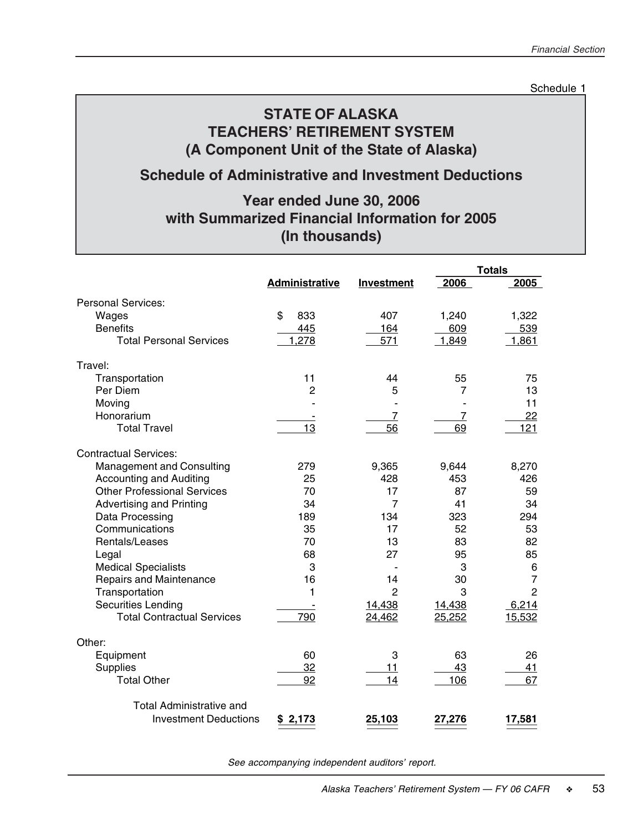Schedule 1

# **STATE OF ALASKA TEACHERS' RETIREMENT SYSTEM (A Component Unit of the State of Alaska)**

# **Schedule of Administrative and Investment Deductions**

# **Year ended June 30, 2006 with Summarized Financial Information for 2005 (In thousands)**

|                                    |                       |                | <b>Totals</b> |                |  |
|------------------------------------|-----------------------|----------------|---------------|----------------|--|
|                                    | <b>Administrative</b> | Investment     | 2006          | 2005           |  |
| <b>Personal Services:</b>          |                       |                |               |                |  |
| Wages                              | \$<br>833             | 407            | 1,240         | 1,322          |  |
| <b>Benefits</b>                    | 445                   | 164            | 609           | 539            |  |
| <b>Total Personal Services</b>     | 1,278                 | 571            | 1,849         | 1,861          |  |
| Travel:                            |                       |                |               |                |  |
| Transportation                     | 11                    | 44             | 55            | 75             |  |
| Per Diem                           | $\overline{c}$        | 5              | 7             | 13             |  |
| Moving                             |                       |                |               | 11             |  |
| Honorarium                         |                       | 7              | 7             | 22             |  |
| <b>Total Travel</b>                | 13                    | 56             | 69            | 121            |  |
| <b>Contractual Services:</b>       |                       |                |               |                |  |
| <b>Management and Consulting</b>   | 279                   | 9,365          | 9,644         | 8,270          |  |
| <b>Accounting and Auditing</b>     | 25                    | 428            | 453           | 426            |  |
| <b>Other Professional Services</b> | 70                    | 17             | 87            | 59             |  |
| <b>Advertising and Printing</b>    | 34                    | $\overline{7}$ | 41            | 34             |  |
| Data Processing                    | 189                   | 134            | 323           | 294            |  |
| Communications                     | 35                    | 17             | 52            | 53             |  |
| Rentals/Leases                     | 70                    | 13             | 83            | 82             |  |
| Legal                              | 68                    | 27             | 95            | 85             |  |
| <b>Medical Specialists</b>         | 3                     |                | 3             | 6              |  |
| <b>Repairs and Maintenance</b>     | 16                    | 14             | 30            | 7              |  |
| Transportation                     | 1                     | $\overline{2}$ | 3             | $\overline{2}$ |  |
| <b>Securities Lending</b>          |                       | 14,438         | 14,438        | 6,214          |  |
| <b>Total Contractual Services</b>  | 790                   | 24,462         | 25,252        | 15,532         |  |
| Other:                             |                       |                |               |                |  |
| Equipment                          | 60                    | 3              | 63            | 26             |  |
| <b>Supplies</b>                    | 32                    | 11             | 43            | 41             |  |
| <b>Total Other</b>                 | 92                    | 14             | 106           | 67             |  |
| <b>Total Administrative and</b>    |                       |                |               |                |  |
| <b>Investment Deductions</b>       | \$2,173               | 25,103         | 27,276        | 17,581         |  |

See accompanying independent auditors' report.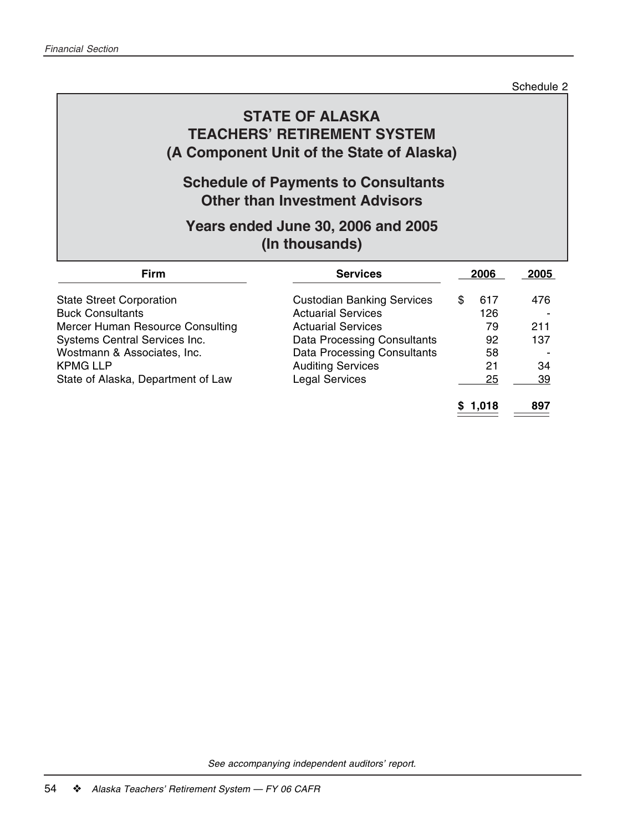Schedule 2

# **STATE OF ALASKA TEACHERS' RETIREMENT SYSTEM (A Component Unit of the State of Alaska)**

# **Schedule of Payments to Consultants Other than Investment Advisors**

### **Years ended June 30, 2006 and 2005 (In thousands)**

| <b>Firm</b>                        | <b>Services</b>                    | 2006      | <b>2005</b> |
|------------------------------------|------------------------------------|-----------|-------------|
| <b>State Street Corporation</b>    | <b>Custodian Banking Services</b>  | \$<br>617 | 476         |
| <b>Buck Consultants</b>            | <b>Actuarial Services</b>          | 126       |             |
| Mercer Human Resource Consulting   | <b>Actuarial Services</b>          | 79        | 211         |
| Systems Central Services Inc.      | <b>Data Processing Consultants</b> | 92        | 137         |
| Wostmann & Associates, Inc.        | <b>Data Processing Consultants</b> | 58        |             |
| <b>KPMG LLP</b>                    | <b>Auditing Services</b>           | 21        | 34          |
| State of Alaska, Department of Law | <b>Legal Services</b>              | 25        | 39          |
|                                    |                                    | 1,018     | 897         |

See accompanying independent auditors' report.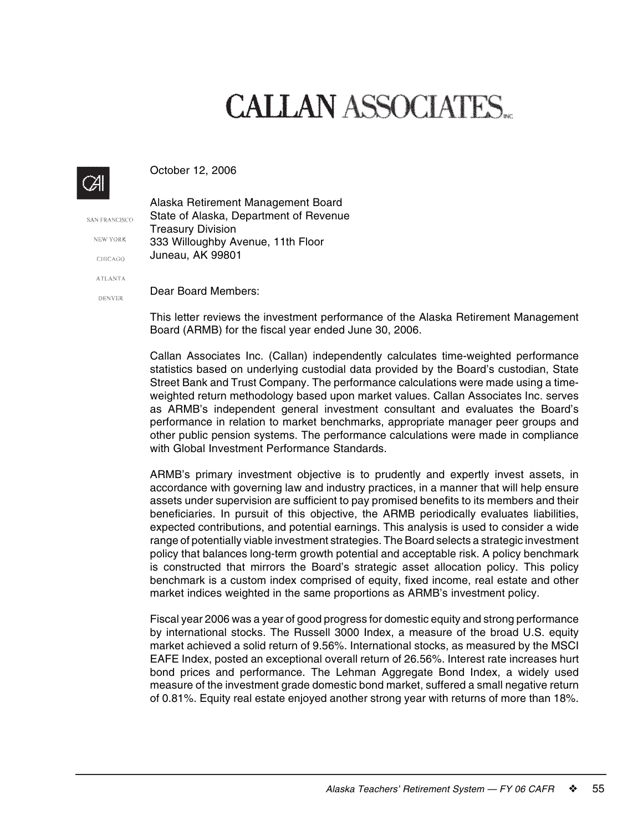# **CALLAN ASSOCIATES.**



October 12, 2006

SAN FRANCISCO

NEW YORK CHICAGO

**ATLANTA** 

**DENVER** 

Alaska Retirement Management Board State of Alaska, Department of Revenue Treasury Division 333 Willoughby Avenue, 11th Floor Juneau, AK 99801

Dear Board Members:

This letter reviews the investment performance of the Alaska Retirement Management Board (ARMB) for the fiscal year ended June 30, 2006.

Callan Associates Inc. (Callan) independently calculates time-weighted performance statistics based on underlying custodial data provided by the Board's custodian, State Street Bank and Trust Company. The performance calculations were made using a timeweighted return methodology based upon market values. Callan Associates Inc. serves as ARMB's independent general investment consultant and evaluates the Board's performance in relation to market benchmarks, appropriate manager peer groups and other public pension systems. The performance calculations were made in compliance with Global Investment Performance Standards.

ARMB's primary investment objective is to prudently and expertly invest assets, in accordance with governing law and industry practices, in a manner that will help ensure assets under supervision are sufficient to pay promised benefits to its members and their beneficiaries. In pursuit of this objective, the ARMB periodically evaluates liabilities, expected contributions, and potential earnings. This analysis is used to consider a wide range of potentially viable investment strategies. The Board selects a strategic investment policy that balances long-term growth potential and acceptable risk. A policy benchmark is constructed that mirrors the Board's strategic asset allocation policy. This policy benchmark is a custom index comprised of equity, fixed income, real estate and other market indices weighted in the same proportions as ARMB's investment policy.

Fiscal year 2006 was a year of good progress for domestic equity and strong performance by international stocks. The Russell 3000 Index, a measure of the broad U.S. equity market achieved a solid return of 9.56%. International stocks, as measured by the MSCI EAFE Index, posted an exceptional overall return of 26.56%. Interest rate increases hurt bond prices and performance. The Lehman Aggregate Bond Index, a widely used measure of the investment grade domestic bond market, suffered a small negative return of 0.81%. Equity real estate enjoyed another strong year with returns of more than 18%.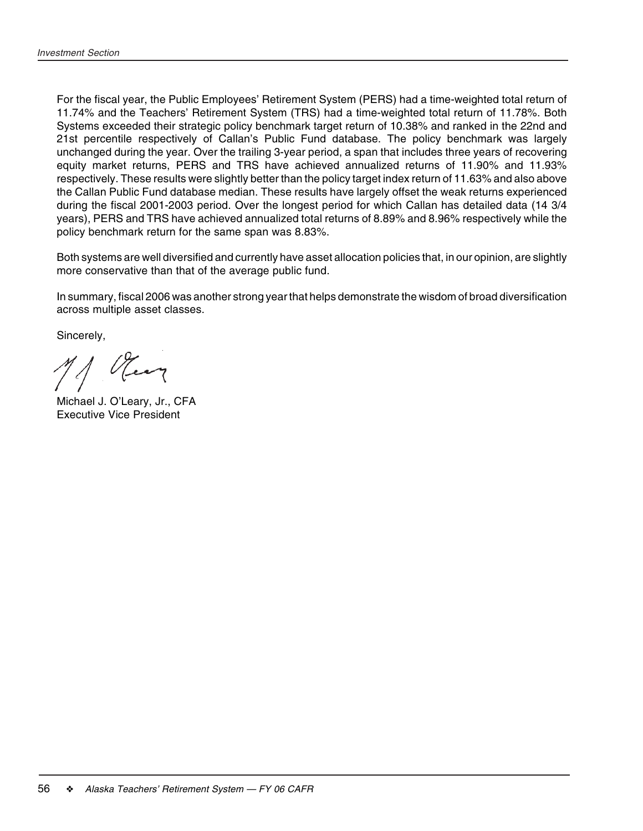For the fiscal year, the Public Employees' Retirement System (PERS) had a time-weighted total return of 11.74% and the Teachers' Retirement System (TRS) had a time-weighted total return of 11.78%. Both Systems exceeded their strategic policy benchmark target return of 10.38% and ranked in the 22nd and 21st percentile respectively of Callan's Public Fund database. The policy benchmark was largely unchanged during the year. Over the trailing 3-year period, a span that includes three years of recovering equity market returns, PERS and TRS have achieved annualized returns of 11.90% and 11.93% respectively. These results were slightly better than the policy target index return of 11.63% and also above the Callan Public Fund database median. These results have largely offset the weak returns experienced during the fiscal 2001-2003 period. Over the longest period for which Callan has detailed data (14 3/4 years), PERS and TRS have achieved annualized total returns of 8.89% and 8.96% respectively while the policy benchmark return for the same span was 8.83%.

Both systems are well diversified and currently have asset allocation policies that, in our opinion, are slightly more conservative than that of the average public fund.

In summary, fiscal 2006 was another strong year that helps demonstrate the wisdom of broad diversification across multiple asset classes.

Sincerely,

MA Ruy

Michael J. O'Leary, Jr., CFA Executive Vice President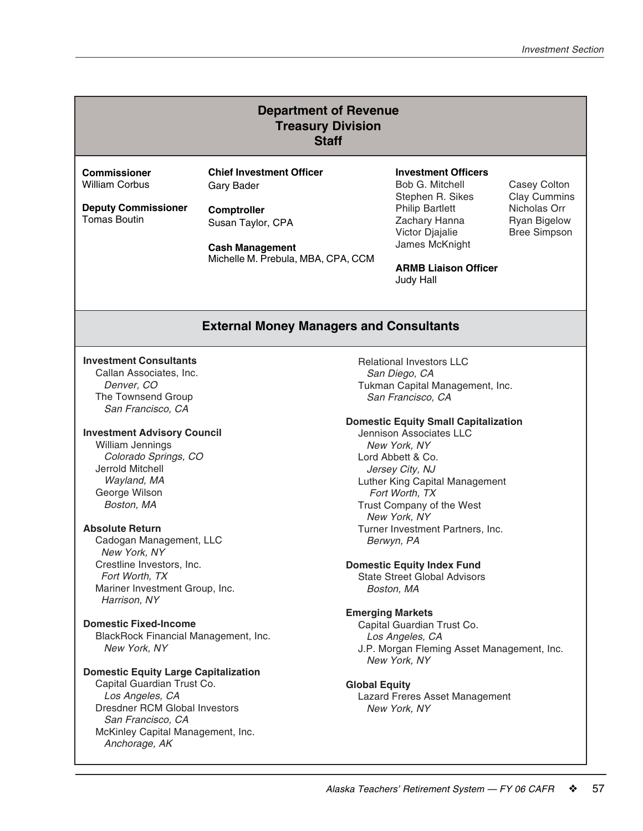#### **Department of Revenue Department of Revenue Treasury Division Treasury Division Staff Staff**

**Commissioner** William Corbus

**Chief Investment Officer** Gary Bader

**Deputy Commissioner** Tomas Boutin

**Comptroller** Susan Taylor, CPA

**Cash Management** Michelle M. Prebula, MBA, CPA, CCM **Investment Officers**

Bob G. Mitchell Casey Colton Stephen R. Sikes Clay Cummins<br>
Philip Bartlett Nicholas Orr Philip Bartlett Zachary Hanna Ryan Bigelow Victor Diajalie **Bree Simpson** James McKnight

**ARMB Liaison Officer** Judy Hall

#### **External Money Managers and Consultants**

#### **Investment Consultants**

 Callan Associates, Inc. Denver, CO The Townsend Group San Francisco, CA

#### **Investment Advisory Council**

 William Jennings Colorado Springs, CO Jerrold Mitchell Wayland, MA George Wilson Boston, MA

#### **Absolute Return**

 Cadogan Management, LLC New York, NY Crestline Investors, Inc. Fort Worth, TX Mariner Investment Group, Inc. Harrison, NY

#### **Domestic Fixed-Income**

 BlackRock Financial Management, Inc. New York, NY

#### **Domestic Equity Large Capitalization**

 Capital Guardian Trust Co. Los Angeles, CA Dresdner RCM Global Investors San Francisco, CA McKinley Capital Management, Inc. Anchorage, AK

 Relational Investors LLC San Diego, CA Tukman Capital Management, Inc. San Francisco, CA

#### **Domestic Equity Small Capitalization**

 Jennison Associates LLC New York, NY Lord Abbett & Co. Jersey City, NJ Luther King Capital Management Fort Worth, TX Trust Company of the West New York, NY Turner Investment Partners, Inc. Berwyn, PA

#### **Domestic Equity Index Fund**

 State Street Global Advisors Boston, MA

#### **Emerging Markets**

 Capital Guardian Trust Co. Los Angeles, CA J.P. Morgan Fleming Asset Management, Inc. New York, NY

#### **Global Equity**

 Lazard Freres Asset Management New York, NY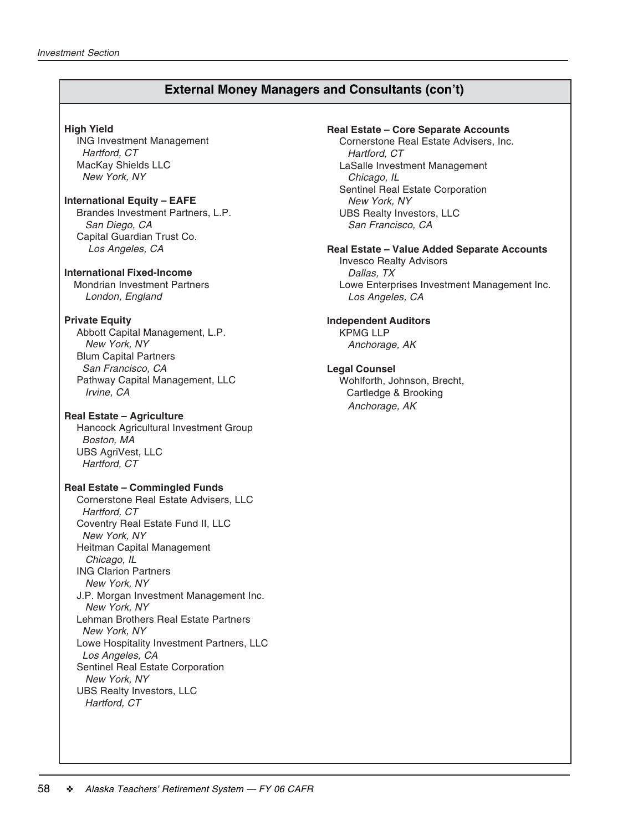#### **External Money Managers and Consultants (con't)**

#### **High Yield**

 ING Investment Management Hartford, CT MacKay Shields LLC New York, NY

#### **International Equity – EAFE**

 Brandes Investment Partners, L.P. San Diego, CA Capital Guardian Trust Co. Los Angeles, CA

#### **International Fixed-Income**

 Mondrian Investment Partners London, England

#### **Private Equity**

 Abbott Capital Management, L.P. New York, NY Blum Capital Partners San Francisco, CA Pathway Capital Management, LLC Irvine, CA

#### **Real Estate – Agriculture**

 Hancock Agricultural Investment Group Boston, MA UBS AgriVest, LLC Hartford, CT

#### **Real Estate – Commingled Funds**

 Cornerstone Real Estate Advisers, LLC Hartford, CT Coventry Real Estate Fund II, LLC New York, NY Heitman Capital Management Chicago, IL ING Clarion Partners New York, NY J.P. Morgan Investment Management Inc. New York, NY Lehman Brothers Real Estate Partners New York, NY Lowe Hospitality Investment Partners, LLC Los Angeles, CA Sentinel Real Estate Corporation New York, NY UBS Realty Investors, LLC Hartford, CT

#### **Real Estate – Core Separate Accounts**

 Cornerstone Real Estate Advisers, Inc. Hartford, CT LaSalle Investment Management Chicago, IL Sentinel Real Estate Corporation New York, NY UBS Realty Investors, LLC San Francisco, CA

#### **Real Estate – Value Added Separate Accounts**

 Invesco Realty Advisors Dallas, TX Lowe Enterprises Investment Management Inc. Los Angeles, CA

#### **Independent Auditors**

 KPMG LLP Anchorage, AK

#### **Legal Counsel**

 Wohlforth, Johnson, Brecht, Cartledge & Brooking Anchorage, AK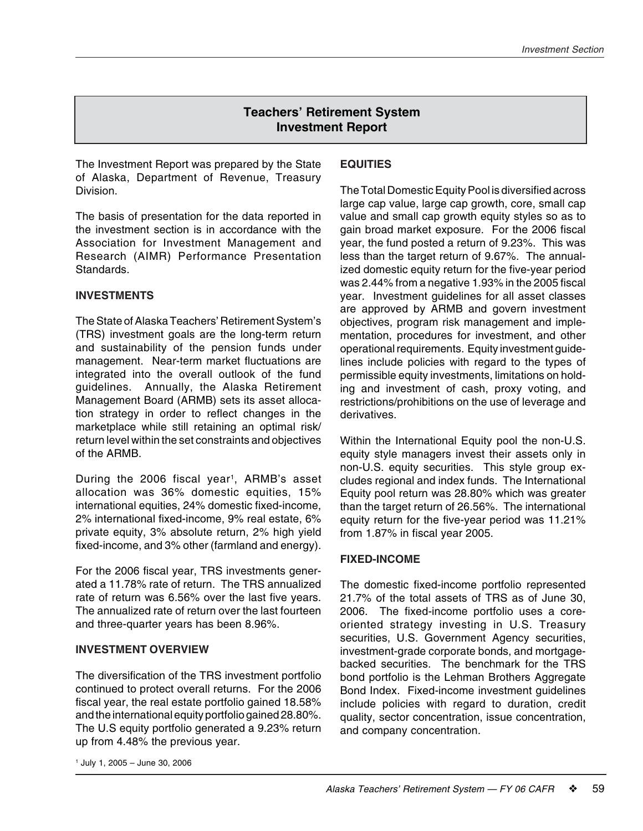#### **Teachers' Retirement System Investment Report**

The Investment Report was prepared by the State of Alaska, Department of Revenue, Treasury Division.

The basis of presentation for the data reported in the investment section is in accordance with the Association for Investment Management and Research (AIMR) Performance Presentation **Standards** 

#### **INVESTMENTS**

The State of Alaska Teachers' Retirement System's (TRS) investment goals are the long-term return and sustainability of the pension funds under management. Near-term market fluctuations are integrated into the overall outlook of the fund guidelines. Annually, the Alaska Retirement Management Board (ARMB) sets its asset allocation strategy in order to reflect changes in the marketplace while still retaining an optimal risk/ return level within the set constraints and objectives of the ARMB.

During the 2006 fiscal year<sup>1</sup>, ARMB's asset allocation was 36% domestic equities, 15% international equities, 24% domestic fixed-income, 2% international fixed-income, 9% real estate, 6% private equity, 3% absolute return, 2% high yield fixed-income, and 3% other (farmland and energy).

For the 2006 fiscal year, TRS investments generated a 11.78% rate of return. The TRS annualized rate of return was 6.56% over the last five years. The annualized rate of return over the last fourteen and three-quarter years has been 8.96%.

#### **INVESTMENT OVERVIEW**

The diversification of the TRS investment portfolio continued to protect overall returns. For the 2006 fiscal year, the real estate portfolio gained 18.58% and the international equity portfolio gained 28.80%. The U.S equity portfolio generated a 9.23% return up from 4.48% the previous year.

#### **EQUITIES**

The Total Domestic Equity Pool is diversified across large cap value, large cap growth, core, small cap value and small cap growth equity styles so as to gain broad market exposure. For the 2006 fiscal year, the fund posted a return of 9.23%. This was less than the target return of 9.67%. The annualized domestic equity return for the five-year period was 2.44% from a negative 1.93% in the 2005 fiscal year. Investment guidelines for all asset classes are approved by ARMB and govern investment objectives, program risk management and implementation, procedures for investment, and other operational requirements. Equity investment guidelines include policies with regard to the types of permissible equity investments, limitations on holding and investment of cash, proxy voting, and restrictions/prohibitions on the use of leverage and derivatives.

Within the International Equity pool the non-U.S. equity style managers invest their assets only in non-U.S. equity securities. This style group excludes regional and index funds. The International Equity pool return was 28.80% which was greater than the target return of 26.56%. The international equity return for the five-year period was 11.21% from 1.87% in fiscal year 2005.

#### **FIXED-INCOME**

The domestic fixed-income portfolio represented 21.7% of the total assets of TRS as of June 30, 2006. The fixed-income portfolio uses a coreoriented strategy investing in U.S. Treasury securities, U.S. Government Agency securities, investment-grade corporate bonds, and mortgagebacked securities. The benchmark for the TRS bond portfolio is the Lehman Brothers Aggregate Bond Index. Fixed-income investment guidelines include policies with regard to duration, credit quality, sector concentration, issue concentration, and company concentration.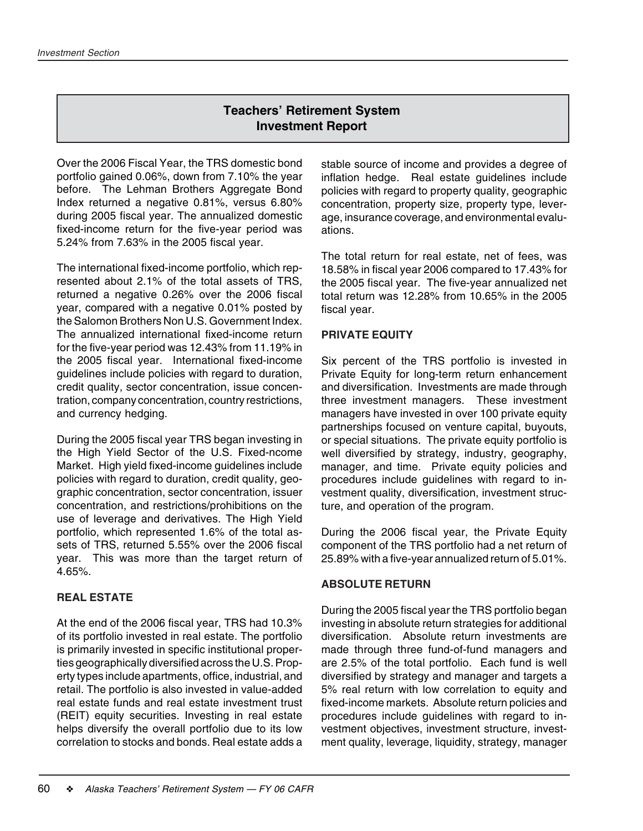#### **Teachers' Retirement System Investment Report**

Over the 2006 Fiscal Year, the TRS domestic bond portfolio gained 0.06%, down from 7.10% the year before. The Lehman Brothers Aggregate Bond Index returned a negative 0.81%, versus 6.80% during 2005 fiscal year. The annualized domestic fixed-income return for the five-year period was 5.24% from 7.63% in the 2005 fiscal year.

The international fixed-income portfolio, which represented about 2.1% of the total assets of TRS, returned a negative 0.26% over the 2006 fiscal year, compared with a negative 0.01% posted by the Salomon Brothers Non U.S. Government Index. The annualized international fixed-income return for the five-year period was 12.43% from 11.19% in the 2005 fiscal year. International fixed-income guidelines include policies with regard to duration, credit quality, sector concentration, issue concentration, company concentration, country restrictions, and currency hedging.

During the 2005 fiscal year TRS began investing in the High Yield Sector of the U.S. Fixed-ncome Market. High yield fixed-income guidelines include policies with regard to duration, credit quality, geographic concentration, sector concentration, issuer concentration, and restrictions/prohibitions on the use of leverage and derivatives. The High Yield portfolio, which represented 1.6% of the total assets of TRS, returned 5.55% over the 2006 fiscal year. This was more than the target return of 4.65%.

#### **REAL ESTATE**

At the end of the 2006 fiscal year, TRS had 10.3% of its portfolio invested in real estate. The portfolio is primarily invested in specific institutional properties geographically diversified across the U.S. Property types include apartments, office, industrial, and retail. The portfolio is also invested in value-added real estate funds and real estate investment trust (REIT) equity securities. Investing in real estate helps diversify the overall portfolio due to its low correlation to stocks and bonds. Real estate adds a stable source of income and provides a degree of inflation hedge. Real estate guidelines include policies with regard to property quality, geographic concentration, property size, property type, leverage, insurance coverage, and environmental evaluations.

The total return for real estate, net of fees, was 18.58% in fiscal year 2006 compared to 17.43% for the 2005 fiscal year. The five-year annualized net total return was 12.28% from 10.65% in the 2005 fiscal year.

#### **PRIVATE EQUITY**

Six percent of the TRS portfolio is invested in Private Equity for long-term return enhancement and diversification. Investments are made through three investment managers. These investment managers have invested in over 100 private equity partnerships focused on venture capital, buyouts, or special situations. The private equity portfolio is well diversified by strategy, industry, geography, manager, and time. Private equity policies and procedures include guidelines with regard to investment quality, diversification, investment structure, and operation of the program.

During the 2006 fiscal year, the Private Equity component of the TRS portfolio had a net return of 25.89% with a five-year annualized return of 5.01%.

#### **ABSOLUTE RETURN**

During the 2005 fiscal year the TRS portfolio began investing in absolute return strategies for additional diversification. Absolute return investments are made through three fund-of-fund managers and are 2.5% of the total portfolio. Each fund is well diversified by strategy and manager and targets a 5% real return with low correlation to equity and fixed-income markets. Absolute return policies and procedures include guidelines with regard to investment objectives, investment structure, investment quality, leverage, liquidity, strategy, manager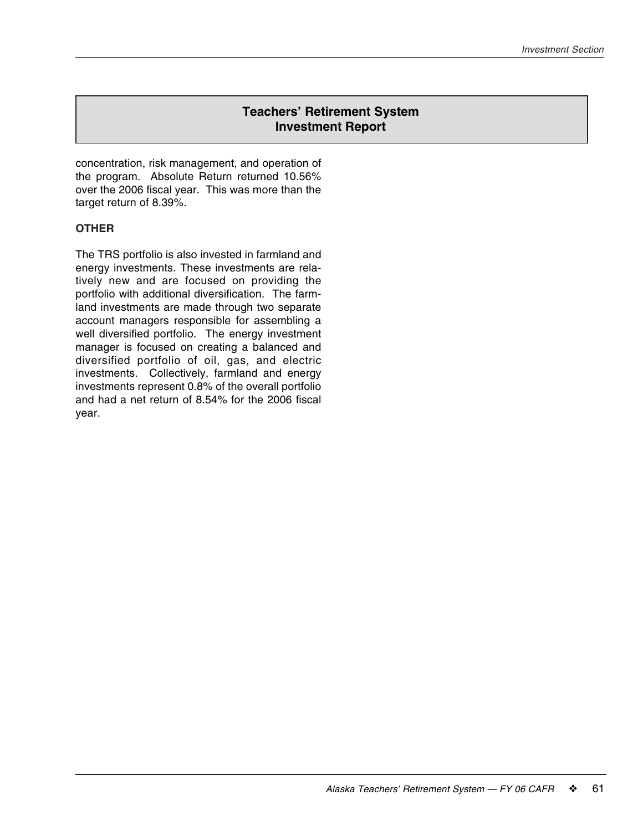#### **Teachers' Retirement System Investment Report**

concentration, risk management, and operation of the program. Absolute Return returned 10.56% over the 2006 fiscal year. This was more than the target return of 8.39%.

#### **OTHER**

The TRS portfolio is also invested in farmland and energy investments. These investments are relatively new and are focused on providing the portfolio with additional diversification. The farmland investments are made through two separate account managers responsible for assembling a well diversified portfolio. The energy investment manager is focused on creating a balanced and diversified portfolio of oil, gas, and electric investments. Collectively, farmland and energy investments represent 0.8% of the overall portfolio and had a net return of 8.54% for the 2006 fiscal year.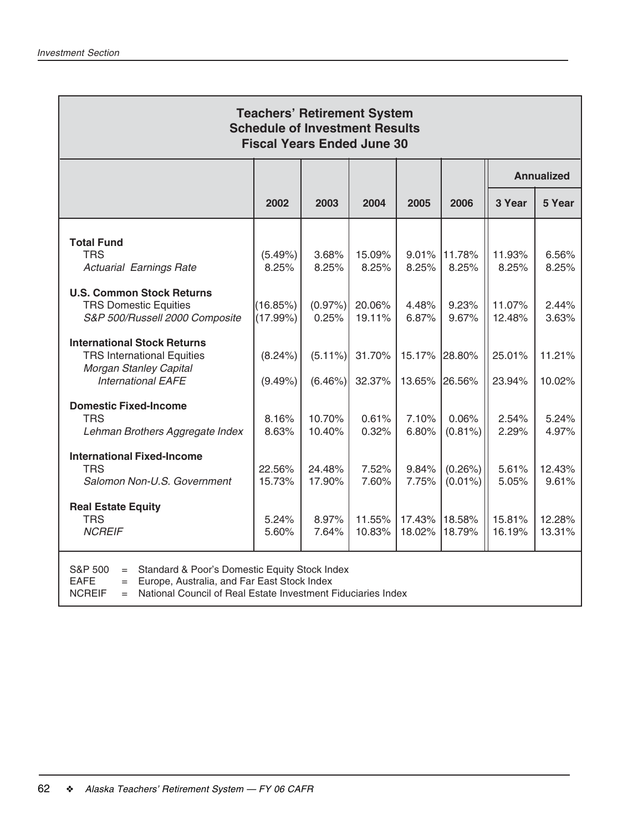| <b>Teachers' Retirement System</b><br><b>Schedule of Investment Results</b><br><b>Fiscal Years Ended June 30</b>                                                                                                             |                                   |                                   |                            |                           |                           |                            |                           |
|------------------------------------------------------------------------------------------------------------------------------------------------------------------------------------------------------------------------------|-----------------------------------|-----------------------------------|----------------------------|---------------------------|---------------------------|----------------------------|---------------------------|
|                                                                                                                                                                                                                              |                                   |                                   |                            |                           |                           | <b>Annualized</b>          |                           |
|                                                                                                                                                                                                                              | 2002                              | 2003                              | 2004                       | 2005                      | 2006                      | 3 Year                     | 5 Year                    |
| <b>Total Fund</b><br><b>TRS</b><br><b>Actuarial Earnings Rate</b><br><b>U.S. Common Stock Returns</b><br><b>TRS Domestic Equities</b>                                                                                        | (5.49%)<br>8.25%<br>(16.85%)      | 3.68%<br>8.25%<br>$(0.97\%)$      | 15.09%<br>8.25%<br>20.06%  | 9.01%<br>8.25%<br>4.48%   | 11.78%<br>8.25%<br>9.23%  | 11.93%<br>8.25%<br>11.07%  | 6.56%<br>8.25%<br>2.44%   |
| S&P 500/Russell 2000 Composite<br><b>International Stock Returns</b><br><b>TRS International Equities</b><br>Morgan Stanley Capital<br><b>International EAFE</b>                                                             | (17.99%)<br>$(8.24\%)$<br>(9.49%) | 0.25%<br>$(5.11\%)$<br>$(6.46\%)$ | 19.11%<br>31.70%<br>32.37% | 6.87%<br>15.17%<br>13.65% | 9.67%<br>28.80%<br>26.56% | 12.48%<br>25.01%<br>23.94% | 3.63%<br>11.21%<br>10.02% |
| <b>Domestic Fixed-Income</b><br><b>TRS</b><br>Lehman Brothers Aggregate Index                                                                                                                                                | 8.16%<br>8.63%                    | 10.70%<br>10.40%                  | 0.61%<br>0.32%             | 7.10%<br>6.80%            | 0.06%<br>$(0.81\%)$       | 2.54%<br>2.29%             | 5.24%<br>4.97%            |
| <b>International Fixed-Income</b><br><b>TRS</b><br>Salomon Non-U.S. Government                                                                                                                                               | 22.56%<br>15.73%                  | 24.48%<br>17.90%                  | 7.52%<br>7.60%             | 9.84%<br>7.75%            | (0.26%)<br>$(0.01\%)$     | 5.61%<br>5.05%             | 12.43%<br>9.61%           |
| <b>Real Estate Equity</b><br><b>TRS</b><br><b>NCREIF</b>                                                                                                                                                                     | 5.24%<br>5.60%                    | 8.97%<br>7.64%                    | 11.55%<br>10.83%           | 17.43%<br>18.02%          | 18.58%<br>18.79%          | 15.81%<br>16.19%           | 12.28%<br>13.31%          |
| S&P 500<br>Standard & Poor's Domestic Equity Stock Index<br>$=$<br>Europe, Australia, and Far East Stock Index<br><b>EAFE</b><br>$=$<br>National Council of Real Estate Investment Fiduciaries Index<br><b>NCREIF</b><br>$=$ |                                   |                                   |                            |                           |                           |                            |                           |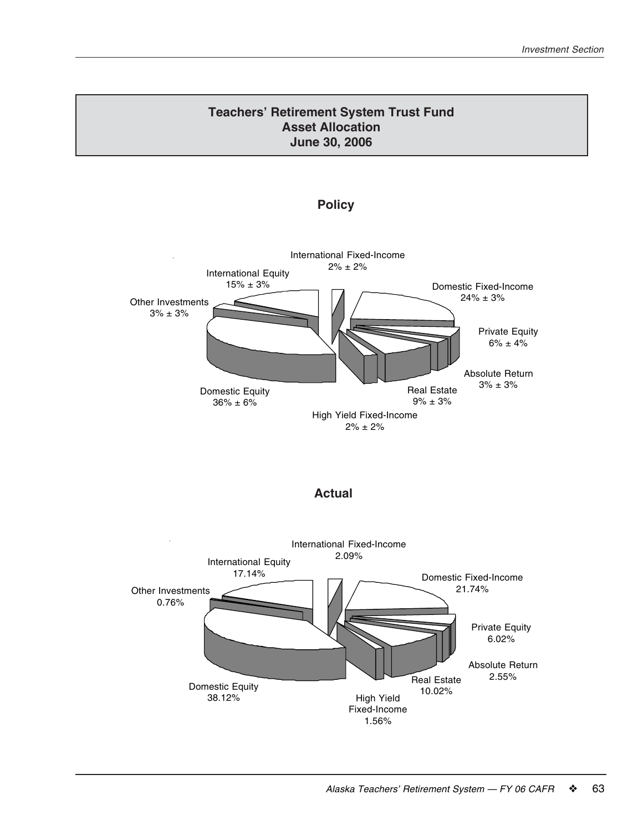#### **Teachers' Retirement System Trust Fund Asset Allocation June 30, 2006**





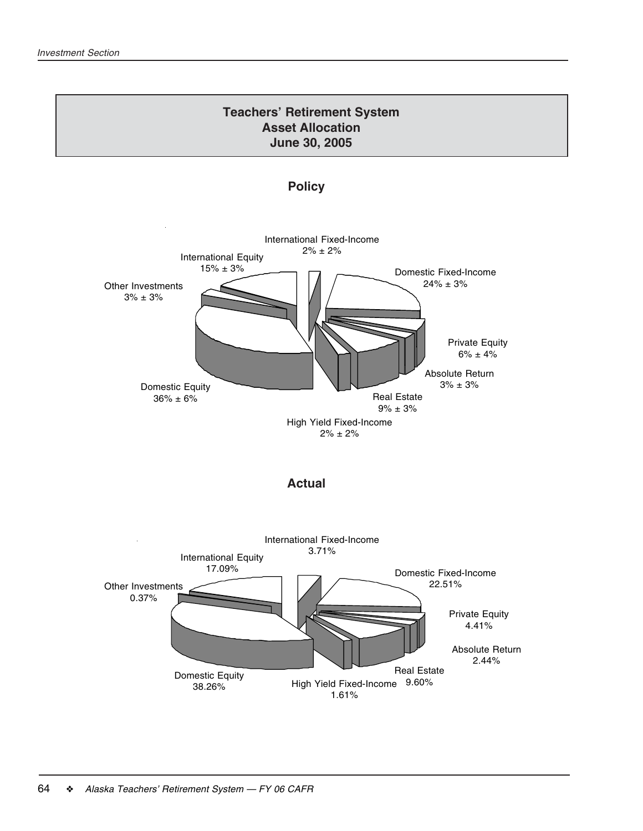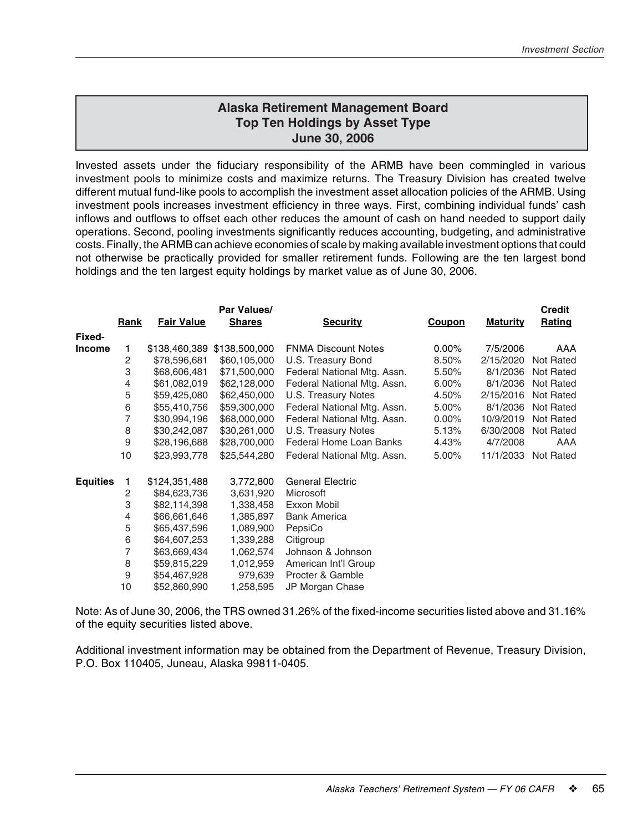#### **Alaska Retirement Management Board Top Ten Holdings by Asset Type June 30, 2006**

Invested assets under the fiduciary responsibility of the ARMB have been commingled in various investment pools to minimize costs and maximize returns. The Treasury Division has created twelve different mutual fund-like pools to accomplish the investment asset allocation policies of the ARMB. Using investment pools increases investment efficiency in three ways. First, combining individual funds' cash inflows and outflows to offset each other reduces the amount of cash on hand needed to support daily operations. Second, pooling investments significantly reduces accounting, budgeting, and administrative costs. Finally, the ARMB can achieve economies of scale by making available investment options that could not otherwise be practically provided for smaller retirement funds. Following are the ten largest bond holdings and the ten largest equity holdings by market value as of June 30, 2006.

|                 |             |                   | Par Values/   |                             |          |                 | <b>Credit</b> |
|-----------------|-------------|-------------------|---------------|-----------------------------|----------|-----------------|---------------|
|                 | <b>Rank</b> | <b>Fair Value</b> | <b>Shares</b> | <b>Security</b>             | Coupon   | <b>Maturity</b> | Rating        |
| Fixed-          |             |                   |               |                             |          |                 |               |
| <b>Income</b>   | 1           | \$138,460,389     | \$138,500,000 | <b>FNMA Discount Notes</b>  | $0.00\%$ | 7/5/2006        | AAA           |
|                 | 2           | \$78,596,681      | \$60,105,000  | U.S. Treasury Bond          | 8.50%    | 2/15/2020       | Not Rated     |
|                 | 3           | \$68,606,481      | \$71,500,000  | Federal National Mtg. Assn. | 5.50%    | 8/1/2036        | Not Rated     |
|                 | 4           | \$61,082,019      | \$62,128,000  | Federal National Mtg. Assn. | 6.00%    | 8/1/2036        | Not Rated     |
|                 | 5           | \$59,425,080      | \$62,450,000  | U.S. Treasury Notes         | 4.50%    | 2/15/2016       | Not Rated     |
|                 | 6           | \$55,410,756      | \$59,300,000  | Federal National Mtg. Assn. | 5.00%    | 8/1/2036        | Not Rated     |
|                 | 7           | \$30,994,196      | \$68,000,000  | Federal National Mtg. Assn. | $0.00\%$ | 10/9/2019       | Not Rated     |
|                 | 8           | \$30,242,087      | \$30,261,000  | U.S. Treasury Notes         | 5.13%    | 6/30/2008       | Not Rated     |
|                 | 9           | \$28,196,688      | \$28,700,000  | Federal Home Loan Banks     | 4.43%    | 4/7/2008        | AAA           |
|                 | 10          | \$23,993,778      | \$25,544,280  | Federal National Mtg. Assn. | 5.00%    | 11/1/2033       | Not Rated     |
| <b>Equities</b> | 1.          | \$124,351,488     | 3,772,800     | <b>General Electric</b>     |          |                 |               |
|                 | 2           | \$84,623,736      | 3,631,920     | Microsoft                   |          |                 |               |
|                 | 3           | \$82,114,398      | 1,338,458     | Exxon Mobil                 |          |                 |               |
|                 | 4           | \$66,661,646      | 1,385,897     | <b>Bank America</b>         |          |                 |               |
|                 | 5           | \$65,437,596      | 1,089,900     | PepsiCo                     |          |                 |               |
|                 | 6           | \$64,607,253      | 1,339,288     | Citigroup                   |          |                 |               |
|                 | 7           | \$63,669,434      | 1,062,574     | Johnson & Johnson           |          |                 |               |
|                 | 8           | \$59,815,229      | 1,012,959     | American Int'l Group        |          |                 |               |
|                 | 9           | \$54,467,928      | 979,639       | Procter & Gamble            |          |                 |               |
|                 | 10          | \$52,860,990      | 1,258,595     | <b>JP Morgan Chase</b>      |          |                 |               |

Note: As of June 30, 2006, the TRS owned 31.26% of the fixed-income securities listed above and 31.16% of the equity securities listed above.

Additional investment information may be obtained from the Department of Revenue, Treasury Division, P.O. Box 110405, Juneau, Alaska 99811-0405.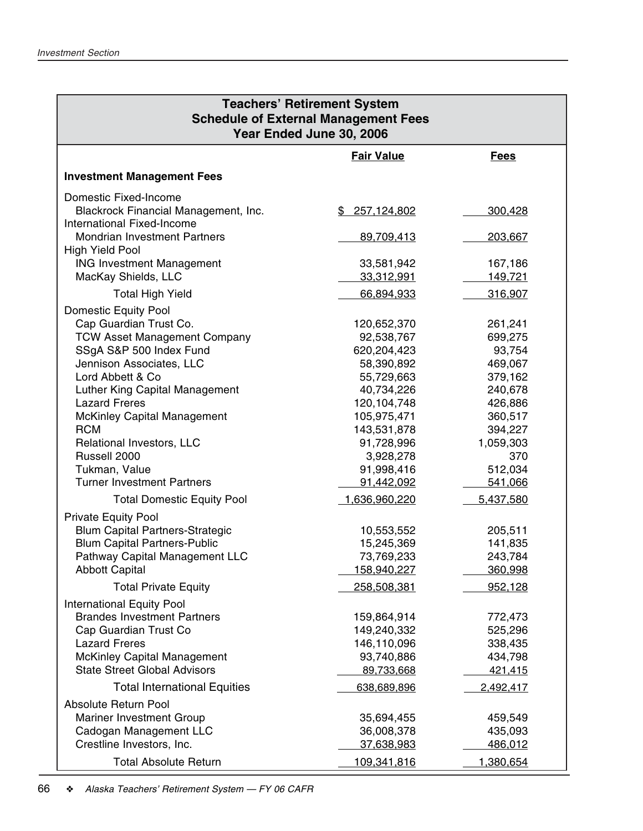| <b>Teachers' Retirement System</b><br><b>Schedule of External Management Fees</b><br>Year Ended June 30, 2006 |                           |                    |  |  |  |  |
|---------------------------------------------------------------------------------------------------------------|---------------------------|--------------------|--|--|--|--|
|                                                                                                               | <b>Fair Value</b>         | <b>Fees</b>        |  |  |  |  |
| <b>Investment Management Fees</b>                                                                             |                           |                    |  |  |  |  |
| Domestic Fixed-Income<br>Blackrock Financial Management, Inc.                                                 | \$257,124,802             | 300,428            |  |  |  |  |
| <b>International Fixed-Income</b><br><b>Mondrian Investment Partners</b>                                      | 89,709,413                | 203,667            |  |  |  |  |
| High Yield Pool<br><b>ING Investment Management</b><br>MacKay Shields, LLC                                    | 33,581,942<br>33,312,991  | 167,186<br>149,721 |  |  |  |  |
| <b>Total High Yield</b>                                                                                       | 66,894,933                | 316,907            |  |  |  |  |
| Domestic Equity Pool                                                                                          |                           |                    |  |  |  |  |
| Cap Guardian Trust Co.<br><b>TCW Asset Management Company</b>                                                 | 120,652,370<br>92,538,767 | 261,241<br>699,275 |  |  |  |  |
| SSgA S&P 500 Index Fund<br>Jennison Associates, LLC                                                           | 620,204,423<br>58,390,892 | 93,754<br>469,067  |  |  |  |  |
| Lord Abbett & Co                                                                                              | 55,729,663                | 379,162            |  |  |  |  |
| Luther King Capital Management                                                                                | 40,734,226                | 240,678            |  |  |  |  |
| <b>Lazard Freres</b>                                                                                          | 120,104,748               | 426,886            |  |  |  |  |
| <b>McKinley Capital Management</b>                                                                            | 105,975,471               | 360,517            |  |  |  |  |
| <b>RCM</b>                                                                                                    | 143,531,878               | 394,227            |  |  |  |  |
| Relational Investors, LLC                                                                                     | 91,728,996                | 1,059,303          |  |  |  |  |
| Russell 2000                                                                                                  | 3,928,278                 | 370                |  |  |  |  |
| Tukman, Value                                                                                                 | 91,998,416                | 512,034            |  |  |  |  |
| <b>Turner Investment Partners</b>                                                                             | 91,442,092                | 541,066            |  |  |  |  |
| <b>Total Domestic Equity Pool</b>                                                                             | 1,636,960,220             | 5,437,580          |  |  |  |  |
| <b>Private Equity Pool</b>                                                                                    |                           |                    |  |  |  |  |
| <b>Blum Capital Partners-Strategic</b>                                                                        | 10,553,552                | 205,511            |  |  |  |  |
| <b>Blum Capital Partners-Public</b>                                                                           | 15,245,369                | 141,835            |  |  |  |  |
| Pathway Capital Management LLC                                                                                | 73,769,233                | 243,784            |  |  |  |  |
| <b>Abbott Capital</b>                                                                                         | 158,940,227               | 360,998            |  |  |  |  |
| <b>Total Private Equity</b>                                                                                   | 258,508,381               | 952,128            |  |  |  |  |
| International Equity Pool                                                                                     |                           |                    |  |  |  |  |
| <b>Brandes Investment Partners</b>                                                                            | 159,864,914               | 772,473            |  |  |  |  |
| Cap Guardian Trust Co                                                                                         | 149,240,332               | 525,296            |  |  |  |  |
| <b>Lazard Freres</b>                                                                                          | 146,110,096               | 338,435            |  |  |  |  |
| <b>McKinley Capital Management</b>                                                                            | 93,740,886                | 434,798            |  |  |  |  |
| <b>State Street Global Advisors</b>                                                                           | 89,733,668                | 421,415            |  |  |  |  |
| <b>Total International Equities</b>                                                                           | 638,689,896               | 2,492,417          |  |  |  |  |
| Absolute Return Pool                                                                                          |                           |                    |  |  |  |  |
| Mariner Investment Group                                                                                      | 35,694,455                | 459,549            |  |  |  |  |
| Cadogan Management LLC                                                                                        | 36,008,378                | 435,093            |  |  |  |  |
| Crestline Investors, Inc.                                                                                     | 37,638,983                | 486,012            |  |  |  |  |
| <b>Total Absolute Return</b>                                                                                  | <u>109,341,816</u>        | 1,380,654          |  |  |  |  |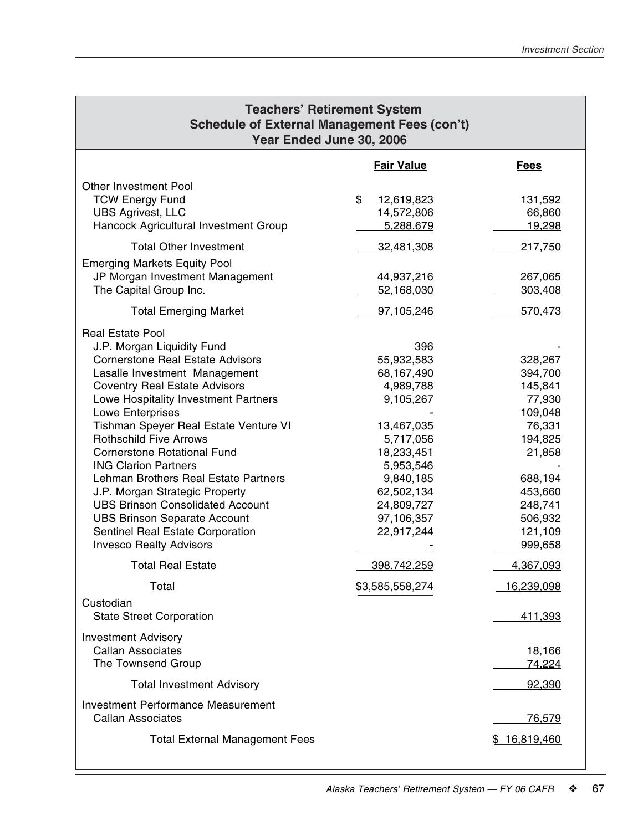| <b>Teachers' Retirement System</b><br><b>Schedule of External Management Fees (con't)</b><br>Year Ended June 30, 2006                                                                                                                                                                                                                                                                                                                                                                                                                                                                                           |                                                                                                                                                                                      |                                                                                                                                                     |  |  |  |  |  |
|-----------------------------------------------------------------------------------------------------------------------------------------------------------------------------------------------------------------------------------------------------------------------------------------------------------------------------------------------------------------------------------------------------------------------------------------------------------------------------------------------------------------------------------------------------------------------------------------------------------------|--------------------------------------------------------------------------------------------------------------------------------------------------------------------------------------|-----------------------------------------------------------------------------------------------------------------------------------------------------|--|--|--|--|--|
|                                                                                                                                                                                                                                                                                                                                                                                                                                                                                                                                                                                                                 | <b>Fair Value</b>                                                                                                                                                                    | <b>Fees</b>                                                                                                                                         |  |  |  |  |  |
| <b>Other Investment Pool</b><br><b>TCW Energy Fund</b><br><b>UBS Agrivest, LLC</b><br>Hancock Agricultural Investment Group<br><b>Total Other Investment</b>                                                                                                                                                                                                                                                                                                                                                                                                                                                    | \$<br>12,619,823<br>14,572,806<br>5,288,679                                                                                                                                          | 131,592<br>66,860<br>19,298                                                                                                                         |  |  |  |  |  |
| <b>Emerging Markets Equity Pool</b><br>JP Morgan Investment Management<br>The Capital Group Inc.                                                                                                                                                                                                                                                                                                                                                                                                                                                                                                                | 32,481,308<br>44,937,216<br>52,168,030                                                                                                                                               | 217,750<br>267,065<br>303,408                                                                                                                       |  |  |  |  |  |
| <b>Total Emerging Market</b>                                                                                                                                                                                                                                                                                                                                                                                                                                                                                                                                                                                    | 97,105,246                                                                                                                                                                           | 570,473                                                                                                                                             |  |  |  |  |  |
| Real Estate Pool<br>J.P. Morgan Liquidity Fund<br><b>Cornerstone Real Estate Advisors</b><br>Lasalle Investment Management<br><b>Coventry Real Estate Advisors</b><br>Lowe Hospitality Investment Partners<br>Lowe Enterprises<br>Tishman Speyer Real Estate Venture VI<br><b>Rothschild Five Arrows</b><br><b>Cornerstone Rotational Fund</b><br><b>ING Clarion Partners</b><br>Lehman Brothers Real Estate Partners<br>J.P. Morgan Strategic Property<br><b>UBS Brinson Consolidated Account</b><br><b>UBS Brinson Separate Account</b><br>Sentinel Real Estate Corporation<br><b>Invesco Realty Advisors</b> | 396<br>55,932,583<br>68,167,490<br>4,989,788<br>9,105,267<br>13,467,035<br>5,717,056<br>18,233,451<br>5,953,546<br>9,840,185<br>62,502,134<br>24,809,727<br>97,106,357<br>22,917,244 | 328,267<br>394,700<br>145,841<br>77,930<br>109,048<br>76,331<br>194,825<br>21,858<br>688,194<br>453,660<br>248,741<br>506,932<br>121,109<br>999,658 |  |  |  |  |  |
| <b>Total Real Estate</b>                                                                                                                                                                                                                                                                                                                                                                                                                                                                                                                                                                                        | 398,742,259                                                                                                                                                                          | 4,367,093                                                                                                                                           |  |  |  |  |  |
| Total<br>Custodian<br><b>State Street Corporation</b>                                                                                                                                                                                                                                                                                                                                                                                                                                                                                                                                                           | \$3,585,558,274                                                                                                                                                                      | 16,239,098<br><u>411,393</u>                                                                                                                        |  |  |  |  |  |
| <b>Investment Advisory</b><br><b>Callan Associates</b><br>The Townsend Group                                                                                                                                                                                                                                                                                                                                                                                                                                                                                                                                    |                                                                                                                                                                                      | 18,166<br>74,224                                                                                                                                    |  |  |  |  |  |
| <b>Total Investment Advisory</b>                                                                                                                                                                                                                                                                                                                                                                                                                                                                                                                                                                                |                                                                                                                                                                                      | 92,390                                                                                                                                              |  |  |  |  |  |
| <b>Investment Performance Measurement</b><br><b>Callan Associates</b><br><b>Total External Management Fees</b>                                                                                                                                                                                                                                                                                                                                                                                                                                                                                                  |                                                                                                                                                                                      | 76,579<br>16,819,460                                                                                                                                |  |  |  |  |  |
|                                                                                                                                                                                                                                                                                                                                                                                                                                                                                                                                                                                                                 |                                                                                                                                                                                      |                                                                                                                                                     |  |  |  |  |  |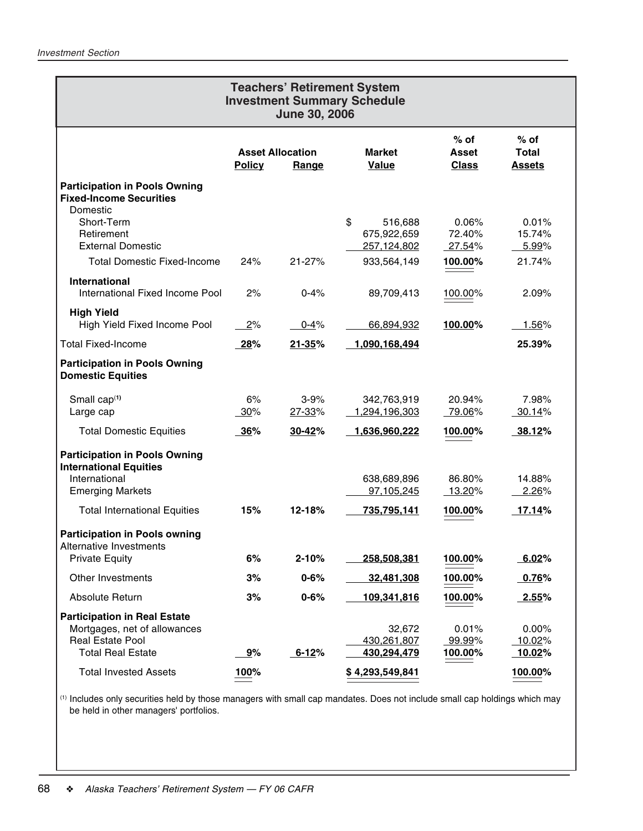| <b>Teachers' Retirement System</b><br><b>Investment Summary Schedule</b><br><b>June 30, 2006</b>                                                                 |           |                    |                                             |                                  |                           |  |  |  |
|------------------------------------------------------------------------------------------------------------------------------------------------------------------|-----------|--------------------|---------------------------------------------|----------------------------------|---------------------------|--|--|--|
| $%$ of<br>$%$ of<br><b>Asset Allocation</b><br><b>Market</b><br><b>Total</b><br><b>Asset</b><br><b>Policy</b><br>Value<br><b>Class</b><br>Range<br><b>Assets</b> |           |                    |                                             |                                  |                           |  |  |  |
| <b>Participation in Pools Owning</b><br><b>Fixed-Income Securities</b><br>Domestic                                                                               |           |                    |                                             |                                  |                           |  |  |  |
| Short-Term<br>Retirement<br><b>External Domestic</b>                                                                                                             |           |                    | \$<br>516,688<br>675,922,659<br>257,124,802 | 0.06%<br>72.40%<br><u>27.54%</u> | 0.01%<br>15.74%<br>5.99%  |  |  |  |
| <b>Total Domestic Fixed-Income</b>                                                                                                                               | 24%       | 21-27%             | 933,564,149                                 | 100.00%                          | 21.74%                    |  |  |  |
| International<br>International Fixed Income Pool                                                                                                                 | 2%        | $0 - 4%$           | 89,709,413                                  | 100.00%                          | 2.09%                     |  |  |  |
| <b>High Yield</b><br>High Yield Fixed Income Pool                                                                                                                | 2%        | $0 - 4%$           | 66,894,932                                  | 100.00%                          | 1.56%                     |  |  |  |
| <b>Total Fixed-Income</b>                                                                                                                                        | 28%       | $21 - 35%$         | 1,090,168,494                               |                                  | 25.39%                    |  |  |  |
| <b>Participation in Pools Owning</b><br><b>Domestic Equities</b>                                                                                                 |           |                    |                                             |                                  |                           |  |  |  |
| Small cap <sup>(1)</sup><br>Large cap                                                                                                                            | 6%<br>30% | $3 - 9%$<br>27-33% | 342,763,919<br>1,294,196,303                | 20.94%<br>79.06%                 | 7.98%<br>30.14%           |  |  |  |
| <b>Total Domestic Equities</b>                                                                                                                                   | 36%       | 30-42%             | 1,636,960,222                               | 100.00%                          | 38.12%                    |  |  |  |
| <b>Participation in Pools Owning</b><br><b>International Equities</b><br>International                                                                           |           |                    | 638,689,896                                 | 86.80%                           | 14.88%                    |  |  |  |
| <b>Emerging Markets</b>                                                                                                                                          |           |                    | 97,105,245                                  | 13.20%                           | 2.26%                     |  |  |  |
| <b>Total International Equities</b>                                                                                                                              | 15%       | 12-18%             | 735,795,141                                 | 100.00%                          | 17.14%                    |  |  |  |
| <b>Participation in Pools owning</b><br>Alternative Investments                                                                                                  |           |                    |                                             |                                  |                           |  |  |  |
| <b>Private Equity</b>                                                                                                                                            | 6%        | $2 - 10%$          | 258,508,381                                 | 100.00%                          | 6.02%                     |  |  |  |
| Other Investments                                                                                                                                                | 3%        | $0 - 6%$           | 32,481,308                                  | 100.00%                          | 0.76%                     |  |  |  |
| Absolute Return                                                                                                                                                  | 3%        | $0 - 6%$           | 109,341,816                                 | 100.00%                          | 2.55%                     |  |  |  |
| <b>Participation in Real Estate</b><br>Mortgages, net of allowances<br><b>Real Estate Pool</b><br><b>Total Real Estate</b>                                       | 9%        | $6 - 12%$          | 32,672<br>430,261,807<br>430,294,479        | 0.01%<br>99.99%<br>100.00%       | 0.00%<br>10.02%<br>10.02% |  |  |  |
| <b>Total Invested Assets</b>                                                                                                                                     | 100%      |                    | \$4,293,549,841                             |                                  | 100.00%                   |  |  |  |

 $^{\text{\tiny{(1)}}}$  Includes only securities held by those managers with small cap mandates. Does not include small cap holdings which may be held in other managers' portfolios.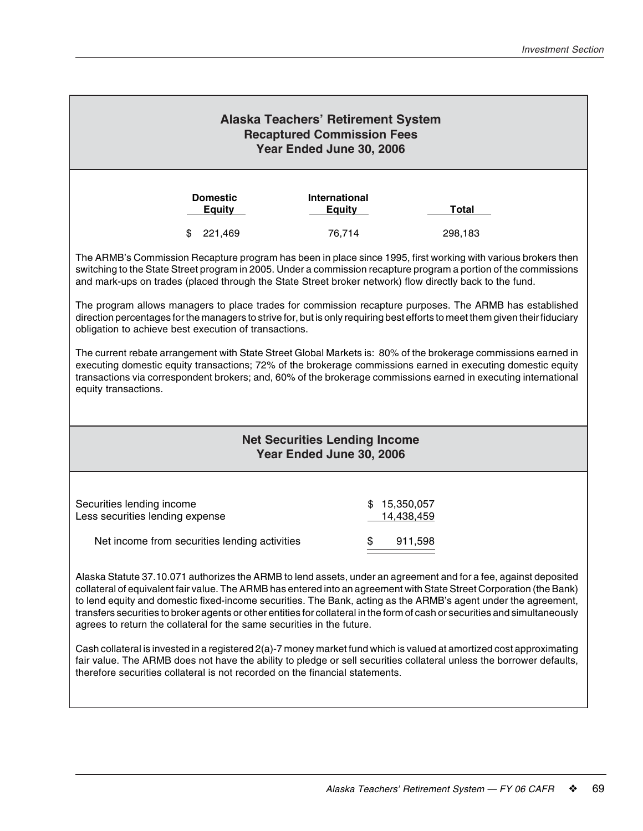| <b>Alaska Teachers' Retirement System</b><br><b>Recaptured Commission Fees</b><br>Year Ended June 30, 2006                                                                                                                                                                                                                                                                                                                                                                                                                                                                                                                                                                                                                                                                                                                                                                                          |                                               |                                                                  |                                                                                                                                                                                                                                                                                                                                              |  |
|-----------------------------------------------------------------------------------------------------------------------------------------------------------------------------------------------------------------------------------------------------------------------------------------------------------------------------------------------------------------------------------------------------------------------------------------------------------------------------------------------------------------------------------------------------------------------------------------------------------------------------------------------------------------------------------------------------------------------------------------------------------------------------------------------------------------------------------------------------------------------------------------------------|-----------------------------------------------|------------------------------------------------------------------|----------------------------------------------------------------------------------------------------------------------------------------------------------------------------------------------------------------------------------------------------------------------------------------------------------------------------------------------|--|
|                                                                                                                                                                                                                                                                                                                                                                                                                                                                                                                                                                                                                                                                                                                                                                                                                                                                                                     | <b>Domestic</b><br><b>Equity</b>              | <b>International</b><br><u>Equity</u>                            | Total                                                                                                                                                                                                                                                                                                                                        |  |
|                                                                                                                                                                                                                                                                                                                                                                                                                                                                                                                                                                                                                                                                                                                                                                                                                                                                                                     | 221,469<br>S                                  | 76,714                                                           | 298,183                                                                                                                                                                                                                                                                                                                                      |  |
|                                                                                                                                                                                                                                                                                                                                                                                                                                                                                                                                                                                                                                                                                                                                                                                                                                                                                                     |                                               |                                                                  | The ARMB's Commission Recapture program has been in place since 1995, first working with various brokers then<br>switching to the State Street program in 2005. Under a commission recapture program a portion of the commissions<br>and mark-ups on trades (placed through the State Street broker network) flow directly back to the fund. |  |
| obligation to achieve best execution of transactions.                                                                                                                                                                                                                                                                                                                                                                                                                                                                                                                                                                                                                                                                                                                                                                                                                                               |                                               |                                                                  | The program allows managers to place trades for commission recapture purposes. The ARMB has established<br>direction percentages for the managers to strive for, but is only requiring best efforts to meet them given their fiduciary                                                                                                       |  |
| The current rebate arrangement with State Street Global Markets is: 80% of the brokerage commissions earned in<br>executing domestic equity transactions; 72% of the brokerage commissions earned in executing domestic equity<br>transactions via correspondent brokers; and, 60% of the brokerage commissions earned in executing international<br>equity transactions.                                                                                                                                                                                                                                                                                                                                                                                                                                                                                                                           |                                               |                                                                  |                                                                                                                                                                                                                                                                                                                                              |  |
|                                                                                                                                                                                                                                                                                                                                                                                                                                                                                                                                                                                                                                                                                                                                                                                                                                                                                                     |                                               | <b>Net Securities Lending Income</b><br>Year Ended June 30, 2006 |                                                                                                                                                                                                                                                                                                                                              |  |
| Securities lending income<br>Less securities lending expense                                                                                                                                                                                                                                                                                                                                                                                                                                                                                                                                                                                                                                                                                                                                                                                                                                        | Net income from securities lending activities |                                                                  | 15,350,057<br>14,438,459<br>911,598                                                                                                                                                                                                                                                                                                          |  |
| Alaska Statute 37.10.071 authorizes the ARMB to lend assets, under an agreement and for a fee, against deposited<br>collateral of equivalent fair value. The ARMB has entered into an agreement with State Street Corporation (the Bank)<br>to lend equity and domestic fixed-income securities. The Bank, acting as the ARMB's agent under the agreement,<br>transfers securities to broker agents or other entities for collateral in the form of cash or securities and simultaneously<br>agrees to return the collateral for the same securities in the future.<br>Cash collateral is invested in a registered 2(a)-7 money market fund which is valued at amortized cost approximating<br>fair value. The ARMB does not have the ability to pledge or sell securities collateral unless the borrower defaults,<br>therefore securities collateral is not recorded on the financial statements. |                                               |                                                                  |                                                                                                                                                                                                                                                                                                                                              |  |
|                                                                                                                                                                                                                                                                                                                                                                                                                                                                                                                                                                                                                                                                                                                                                                                                                                                                                                     |                                               |                                                                  |                                                                                                                                                                                                                                                                                                                                              |  |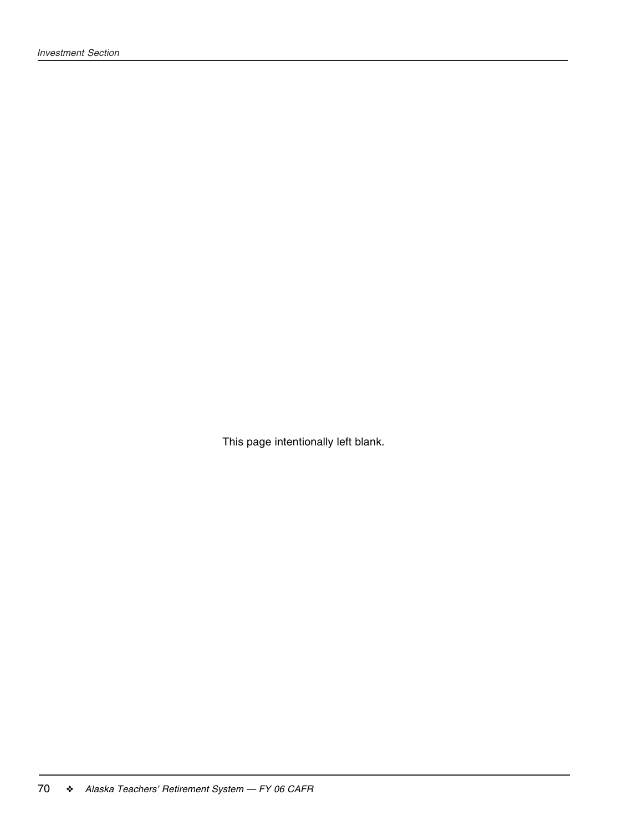This page intentionally left blank.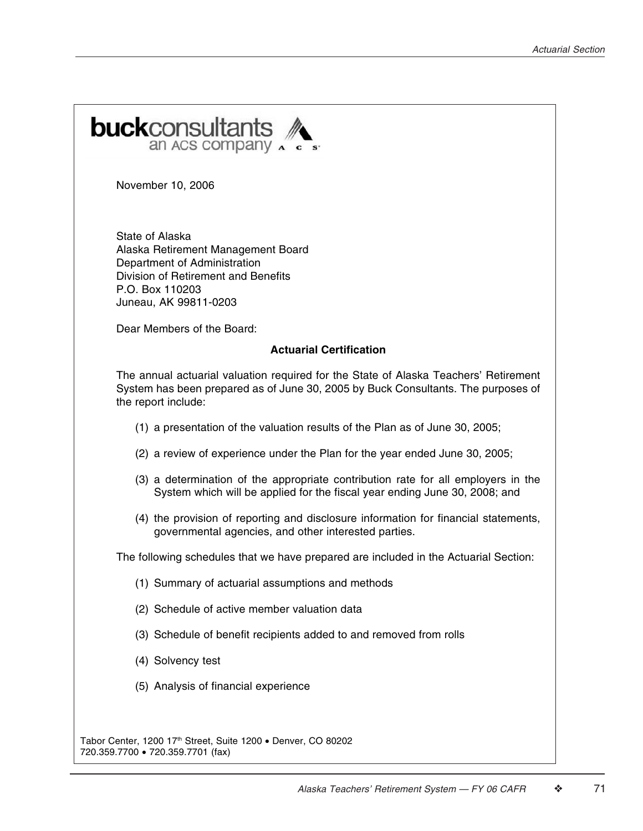| <b>buckconsultants</b>                                                                                                                                                                           |
|--------------------------------------------------------------------------------------------------------------------------------------------------------------------------------------------------|
| November 10, 2006                                                                                                                                                                                |
| State of Alaska<br>Alaska Retirement Management Board<br>Department of Administration<br>Division of Retirement and Benefits<br>P.O. Box 110203<br>Juneau, AK 99811-0203                         |
| Dear Members of the Board:                                                                                                                                                                       |
| <b>Actuarial Certification</b>                                                                                                                                                                   |
| The annual actuarial valuation required for the State of Alaska Teachers' Retirement<br>System has been prepared as of June 30, 2005 by Buck Consultants. The purposes of<br>the report include: |
| (1) a presentation of the valuation results of the Plan as of June 30, 2005;                                                                                                                     |
| (2) a review of experience under the Plan for the year ended June 30, 2005;                                                                                                                      |
| (3) a determination of the appropriate contribution rate for all employers in the<br>System which will be applied for the fiscal year ending June 30, 2008; and                                  |
| (4) the provision of reporting and disclosure information for financial statements,<br>governmental agencies, and other interested parties.                                                      |
| The following schedules that we have prepared are included in the Actuarial Section:                                                                                                             |
| (1) Summary of actuarial assumptions and methods                                                                                                                                                 |
| (2) Schedule of active member valuation data                                                                                                                                                     |
| (3) Schedule of benefit recipients added to and removed from rolls                                                                                                                               |
| (4) Solvency test                                                                                                                                                                                |
|                                                                                                                                                                                                  |

Tabor Center, 1200 17<sup>th</sup> Street, Suite 1200 · Denver, CO 80202 720.359.7700 • 720.359.7701 (fax)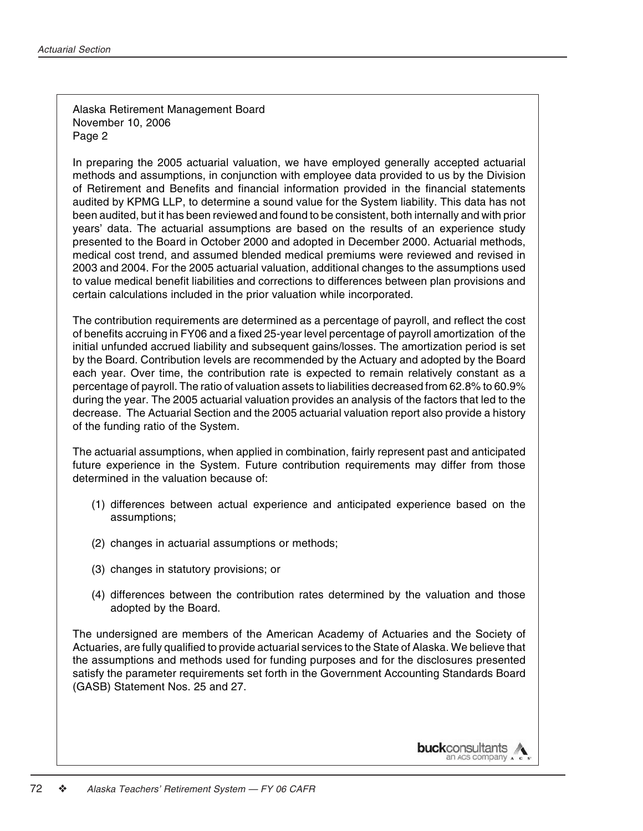Alaska Retirement Management Board November 10, 2006 Page 2

In preparing the 2005 actuarial valuation, we have employed generally accepted actuarial methods and assumptions, in conjunction with employee data provided to us by the Division of Retirement and Benefits and financial information provided in the financial statements audited by KPMG LLP, to determine a sound value for the System liability. This data has not been audited, but it has been reviewed and found to be consistent, both internally and with prior years' data. The actuarial assumptions are based on the results of an experience study presented to the Board in October 2000 and adopted in December 2000. Actuarial methods, medical cost trend, and assumed blended medical premiums were reviewed and revised in 2003 and 2004. For the 2005 actuarial valuation, additional changes to the assumptions used to value medical benefit liabilities and corrections to differences between plan provisions and certain calculations included in the prior valuation while incorporated.

The contribution requirements are determined as a percentage of payroll, and reflect the cost of benefits accruing in FY06 and a fixed 25-year level percentage of payroll amortization of the initial unfunded accrued liability and subsequent gains/losses. The amortization period is set by the Board. Contribution levels are recommended by the Actuary and adopted by the Board each year. Over time, the contribution rate is expected to remain relatively constant as a percentage of payroll. The ratio of valuation assets to liabilities decreased from 62.8% to 60.9% during the year. The 2005 actuarial valuation provides an analysis of the factors that led to the decrease. The Actuarial Section and the 2005 actuarial valuation report also provide a history of the funding ratio of the System.

The actuarial assumptions, when applied in combination, fairly represent past and anticipated future experience in the System. Future contribution requirements may differ from those determined in the valuation because of:

- (1) differences between actual experience and anticipated experience based on the assumptions;
- (2) changes in actuarial assumptions or methods;
- (3) changes in statutory provisions; or
- (4) differences between the contribution rates determined by the valuation and those adopted by the Board.

The undersigned are members of the American Academy of Actuaries and the Society of Actuaries, are fully qualified to provide actuarial services to the State of Alaska. We believe that the assumptions and methods used for funding purposes and for the disclosures presented satisfy the parameter requirements set forth in the Government Accounting Standards Board (GASB) Statement Nos. 25 and 27.

> **buck**consultants A an Acs company . .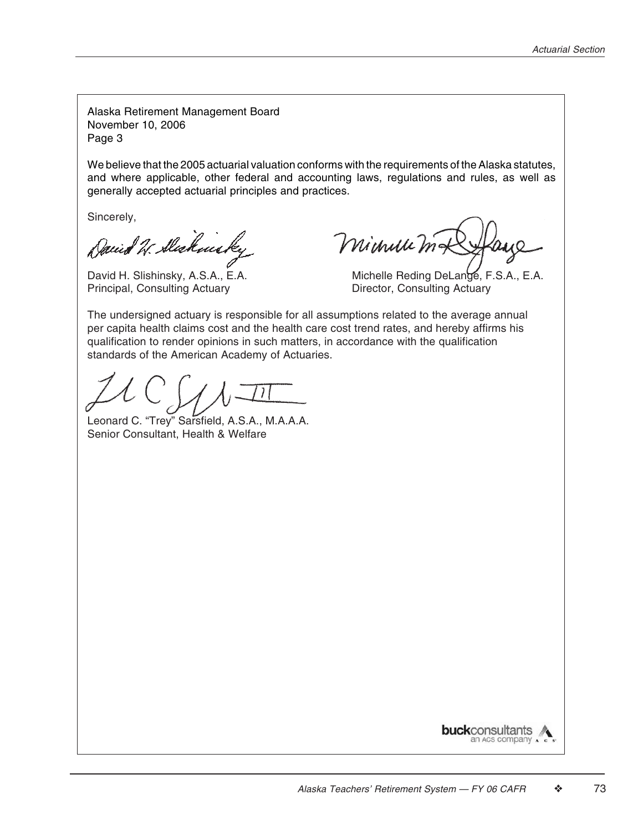Alaska Retirement Management Board November 10, 2006 Page 3

We believe that the 2005 actuarial valuation conforms with the requirements of the Alaska statutes, and where applicable, other federal and accounting laws, regulations and rules, as well as generally accepted actuarial principles and practices.

Sincerely,

David W. Slackmick

Principal, Consulting Actuary **Director, Consulting Actuary** 

minum max

David H. Slishinsky, A.S.A., E.A. Michelle Reding DeLange, F.S.A., E.A.

The undersigned actuary is responsible for all assumptions related to the average annual per capita health claims cost and the health care cost trend rates, and hereby affirms his qualification to render opinions in such matters, in accordance with the qualification standards of the American Academy of Actuaries.

Leonard C. "Trey" Sarsfield, A.S.A., M.A.A.A. Senior Consultant, Health & Welfare

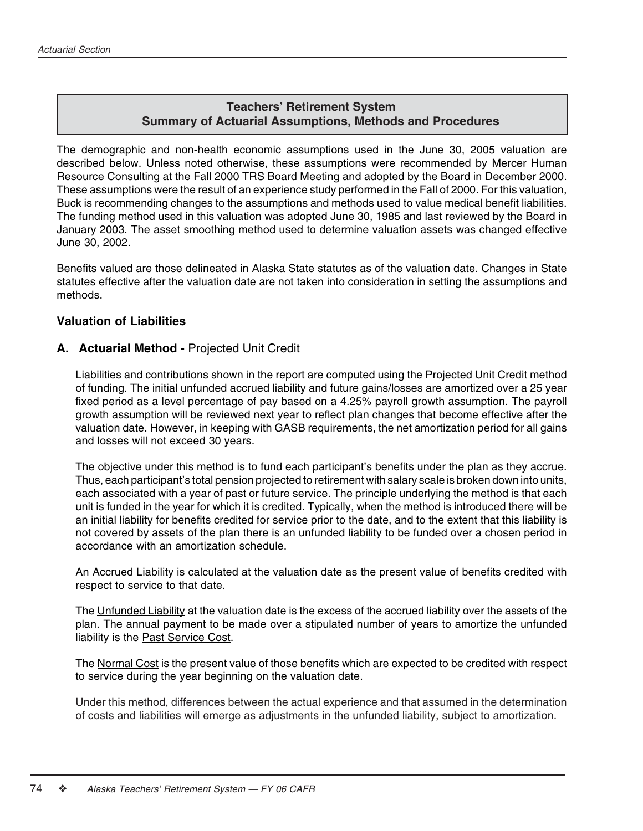The demographic and non-health economic assumptions used in the June 30, 2005 valuation are described below. Unless noted otherwise, these assumptions were recommended by Mercer Human Resource Consulting at the Fall 2000 TRS Board Meeting and adopted by the Board in December 2000. These assumptions were the result of an experience study performed in the Fall of 2000. For this valuation, Buck is recommending changes to the assumptions and methods used to value medical benefit liabilities. The funding method used in this valuation was adopted June 30, 1985 and last reviewed by the Board in January 2003. The asset smoothing method used to determine valuation assets was changed effective June 30, 2002.

Benefits valued are those delineated in Alaska State statutes as of the valuation date. Changes in State statutes effective after the valuation date are not taken into consideration in setting the assumptions and methods.

#### **Valuation of Liabilities**

### **A. Actuarial Method -** Projected Unit Credit

Liabilities and contributions shown in the report are computed using the Projected Unit Credit method of funding. The initial unfunded accrued liability and future gains/losses are amortized over a 25 year fixed period as a level percentage of pay based on a 4.25% payroll growth assumption. The payroll growth assumption will be reviewed next year to reflect plan changes that become effective after the valuation date. However, in keeping with GASB requirements, the net amortization period for all gains and losses will not exceed 30 years.

The objective under this method is to fund each participant's benefits under the plan as they accrue. Thus, each participant's total pension projected to retirement with salary scale is broken down into units, each associated with a year of past or future service. The principle underlying the method is that each unit is funded in the year for which it is credited. Typically, when the method is introduced there will be an initial liability for benefits credited for service prior to the date, and to the extent that this liability is not covered by assets of the plan there is an unfunded liability to be funded over a chosen period in accordance with an amortization schedule.

An Accrued Liability is calculated at the valuation date as the present value of benefits credited with respect to service to that date.

The Unfunded Liability at the valuation date is the excess of the accrued liability over the assets of the plan. The annual payment to be made over a stipulated number of years to amortize the unfunded liability is the Past Service Cost.

The Normal Cost is the present value of those benefits which are expected to be credited with respect to service during the year beginning on the valuation date.

Under this method, differences between the actual experience and that assumed in the determination of costs and liabilities will emerge as adjustments in the unfunded liability, subject to amortization.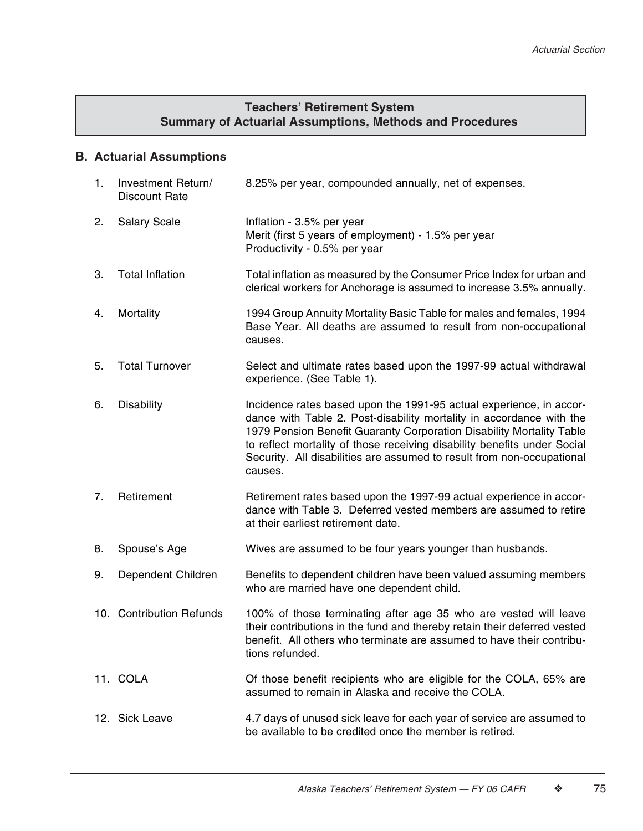### **B. Actuarial Assumptions**

| 1. | Investment Return/<br><b>Discount Rate</b> | 8.25% per year, compounded annually, net of expenses.                                                                                                                                                                                                                                                                                                                                |
|----|--------------------------------------------|--------------------------------------------------------------------------------------------------------------------------------------------------------------------------------------------------------------------------------------------------------------------------------------------------------------------------------------------------------------------------------------|
| 2. | <b>Salary Scale</b>                        | Inflation - 3.5% per year<br>Merit (first 5 years of employment) - 1.5% per year<br>Productivity - 0.5% per year                                                                                                                                                                                                                                                                     |
| 3. | <b>Total Inflation</b>                     | Total inflation as measured by the Consumer Price Index for urban and<br>clerical workers for Anchorage is assumed to increase 3.5% annually.                                                                                                                                                                                                                                        |
| 4. | Mortality                                  | 1994 Group Annuity Mortality Basic Table for males and females, 1994<br>Base Year. All deaths are assumed to result from non-occupational<br>causes.                                                                                                                                                                                                                                 |
| 5. | <b>Total Turnover</b>                      | Select and ultimate rates based upon the 1997-99 actual withdrawal<br>experience. (See Table 1).                                                                                                                                                                                                                                                                                     |
| 6. | <b>Disability</b>                          | Incidence rates based upon the 1991-95 actual experience, in accor-<br>dance with Table 2. Post-disability mortality in accordance with the<br>1979 Pension Benefit Guaranty Corporation Disability Mortality Table<br>to reflect mortality of those receiving disability benefits under Social<br>Security. All disabilities are assumed to result from non-occupational<br>causes. |
| 7. | Retirement                                 | Retirement rates based upon the 1997-99 actual experience in accor-<br>dance with Table 3. Deferred vested members are assumed to retire<br>at their earliest retirement date.                                                                                                                                                                                                       |
| 8. | Spouse's Age                               | Wives are assumed to be four years younger than husbands.                                                                                                                                                                                                                                                                                                                            |
| 9. | Dependent Children                         | Benefits to dependent children have been valued assuming members<br>who are married have one dependent child.                                                                                                                                                                                                                                                                        |
|    | 10. Contribution Refunds                   | 100% of those terminating after age 35 who are vested will leave<br>their contributions in the fund and thereby retain their deferred vested<br>benefit. All others who terminate are assumed to have their contribu-<br>tions refunded.                                                                                                                                             |
|    | 11. COLA                                   | Of those benefit recipients who are eligible for the COLA, 65% are<br>assumed to remain in Alaska and receive the COLA.                                                                                                                                                                                                                                                              |
|    | 12. Sick Leave                             | 4.7 days of unused sick leave for each year of service are assumed to<br>be available to be credited once the member is retired.                                                                                                                                                                                                                                                     |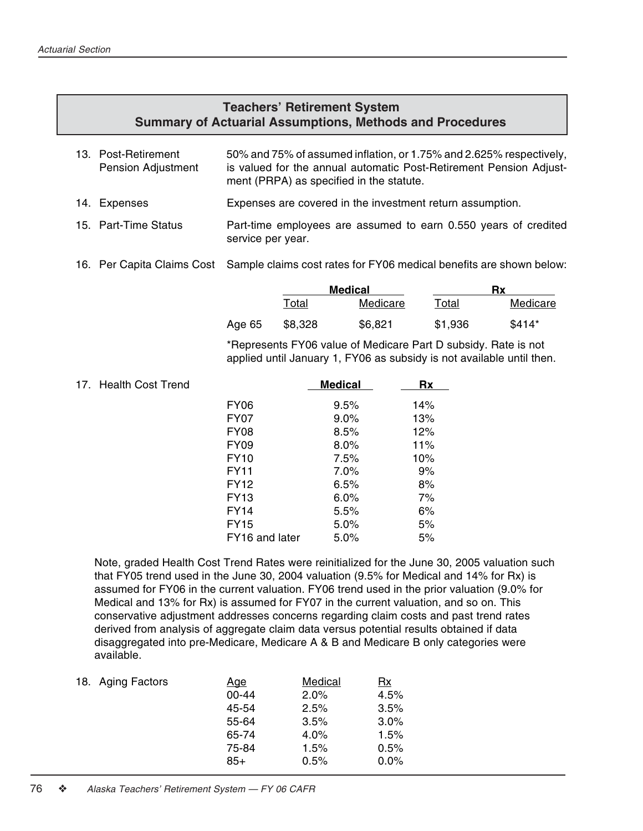- 13. Post-Retirement 50% and 75% of assumed inflation, or 1.75% and 2.625% respectively, Pension Adjustment is valued for the annual automatic Post-Retirement Pension Adjustment (PRPA) as specified in the statute.
- 14. Expenses Expenses are covered in the investment return assumption.
- 15. Part-Time Status Part-time employees are assumed to earn 0.550 years of credited service per year.
- 16. Per Capita Claims Cost Sample claims cost rates for FY06 medical benefits are shown below:

|        | Medical |          | Rx      |          |
|--------|---------|----------|---------|----------|
|        | Total   | Medicare | Total   | Medicare |
| Age 65 | \$8,328 | \$6,821  | \$1,936 | $$414*$  |

\*Represents FY06 value of Medicare Part D subsidy. Rate is not applied until January 1, FY06 as subsidy is not available until then.

| 17. Health Cost Trend |                  | <b>Medical</b> | Rx  |
|-----------------------|------------------|----------------|-----|
|                       | FY <sub>06</sub> | 9.5%           | 14% |
|                       | FY07             | $9.0\%$        | 13% |
|                       | <b>FY08</b>      | 8.5%           | 12% |
|                       | <b>FY09</b>      | 8.0%           | 11% |
|                       | <b>FY10</b>      | 7.5%           | 10% |
|                       | <b>FY11</b>      | $7.0\%$        | 9%  |
|                       | <b>FY12</b>      | 6.5%           | 8%  |
|                       | <b>FY13</b>      | 6.0%           | 7%  |
|                       | <b>FY14</b>      | 5.5%           | 6%  |
|                       | <b>FY15</b>      | 5.0%           | 5%  |
|                       | FY16 and later   | 5.0%           | 5%  |

Note, graded Health Cost Trend Rates were reinitialized for the June 30, 2005 valuation such that FY05 trend used in the June 30, 2004 valuation (9.5% for Medical and 14% for Rx) is assumed for FY06 in the current valuation. FY06 trend used in the prior valuation (9.0% for Medical and 13% for Rx) is assumed for FY07 in the current valuation, and so on. This conservative adjustment addresses concerns regarding claim costs and past trend rates derived from analysis of aggregate claim data versus potential results obtained if data disaggregated into pre-Medicare, Medicare A & B and Medicare B only categories were available.

| 18. Aging Factors | <u>Age</u> | Medical | $\mathbf{R} \mathbf{x}$ |
|-------------------|------------|---------|-------------------------|
|                   | $00 - 44$  | 2.0%    | 4.5%                    |
|                   | 45-54      | 2.5%    | 3.5%                    |
|                   | 55-64      | 3.5%    | 3.0%                    |
|                   | 65-74      | 4.0%    | 1.5%                    |
|                   | 75-84      | 1.5%    | 0.5%                    |
|                   | $85+$      | 0.5%    | 0.0%                    |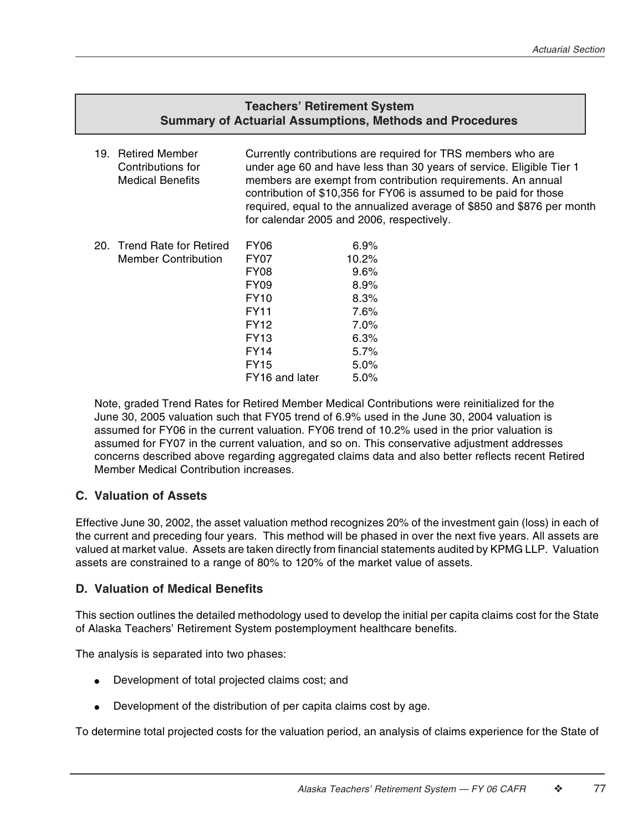19. Retired Member Currently contributions are required for TRS members who are Contributions for under age 60 and have less than 30 years of service. Eligible Tier 1 Medical Benefits members are exempt from contribution requirements. An annual contribution of \$10,356 for FY06 is assumed to be paid for those required, equal to the annualized average of \$850 and \$876 per month for calendar 2005 and 2006, respectively.

| 20. Trend Rate for Retired | FY06           | $6.9\%$ |
|----------------------------|----------------|---------|
| <b>Member Contribution</b> | FY07           | 10.2%   |
|                            | <b>FY08</b>    | 9.6%    |
|                            | <b>FY09</b>    | 8.9%    |
|                            | <b>FY10</b>    | 8.3%    |
|                            | <b>FY11</b>    | 7.6%    |
|                            | <b>FY12</b>    | 7.0%    |
|                            | <b>FY13</b>    | 6.3%    |
|                            | <b>FY14</b>    | 5.7%    |
|                            | <b>FY15</b>    | 5.0%    |
|                            | FY16 and later | 5.0%    |
|                            |                |         |

Note, graded Trend Rates for Retired Member Medical Contributions were reinitialized for the June 30, 2005 valuation such that FY05 trend of 6.9% used in the June 30, 2004 valuation is assumed for FY06 in the current valuation. FY06 trend of 10.2% used in the prior valuation is assumed for FY07 in the current valuation, and so on. This conservative adjustment addresses concerns described above regarding aggregated claims data and also better reflects recent Retired Member Medical Contribution increases.

### **C. Valuation of Assets**

Effective June 30, 2002, the asset valuation method recognizes 20% of the investment gain (loss) in each of the current and preceding four years. This method will be phased in over the next five years. All assets are valued at market value. Assets are taken directly from financial statements audited by KPMG LLP. Valuation assets are constrained to a range of 80% to 120% of the market value of assets.

#### **D. Valuation of Medical Benefits**

This section outlines the detailed methodology used to develop the initial per capita claims cost for the State of Alaska Teachers' Retirement System postemployment healthcare benefits.

The analysis is separated into two phases:

- Development of total projected claims cost; and
- Development of the distribution of per capita claims cost by age.

To determine total projected costs for the valuation period, an analysis of claims experience for the State of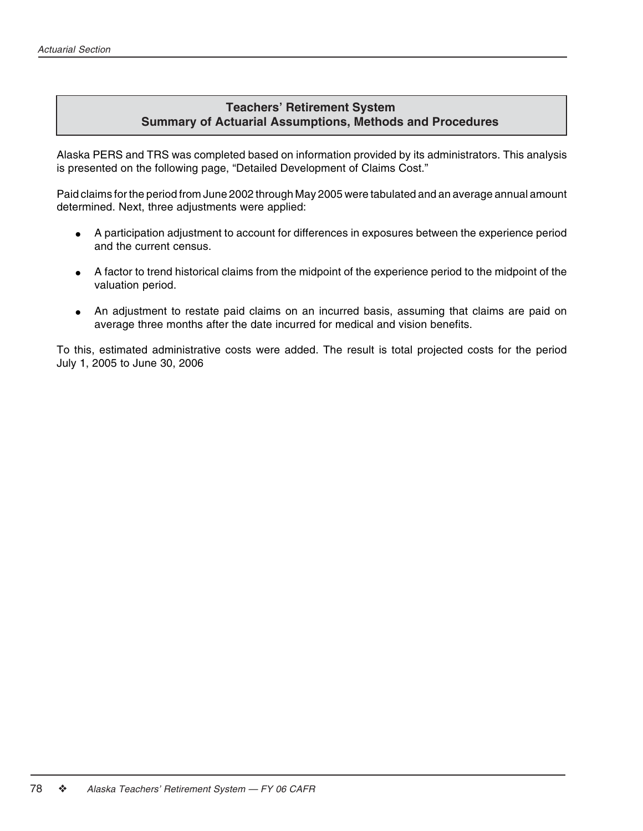Alaska PERS and TRS was completed based on information provided by its administrators. This analysis is presented on the following page, "Detailed Development of Claims Cost."

Paid claims for the period from June 2002 through May 2005 were tabulated and an average annual amount determined. Next, three adjustments were applied:

- A participation adjustment to account for differences in exposures between the experience period and the current census.
- A factor to trend historical claims from the midpoint of the experience period to the midpoint of the valuation period.
- An adjustment to restate paid claims on an incurred basis, assuming that claims are paid on average three months after the date incurred for medical and vision benefits.

To this, estimated administrative costs were added. The result is total projected costs for the period July 1, 2005 to June 30, 2006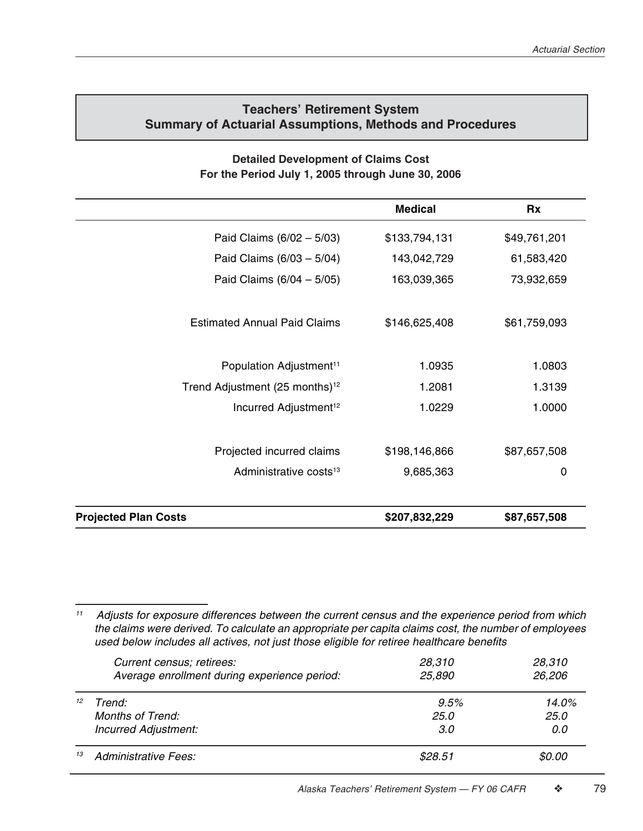|                                            | <b>Medical</b> | Rx           |
|--------------------------------------------|----------------|--------------|
| Paid Claims $(6/02 - 5/03)$                | \$133,794,131  | \$49,761,201 |
| Paid Claims $(6/03 - 5/04)$                | 143,042,729    | 61,583,420   |
| Paid Claims $(6/04 - 5/05)$                | 163,039,365    | 73,932,659   |
| <b>Estimated Annual Paid Claims</b>        | \$146,625,408  | \$61,759,093 |
| Population Adjustment <sup>11</sup>        | 1.0935         | 1.0803       |
| Trend Adjustment (25 months) <sup>12</sup> | 1.2081         | 1.3139       |
| Incurred Adjustment <sup>12</sup>          | 1.0229         | 1.0000       |
| Projected incurred claims                  | \$198,146,866  | \$87,657,508 |
| Administrative costs <sup>13</sup>         | 9,685,363      | $\mathbf 0$  |
| <b>Projected Plan Costs</b>                | \$207,832,229  | \$87,657,508 |

#### **Detailed Development of Claims Cost For the Period July 1, 2005 through June 30, 2006**

<sup>11</sup> Adjusts for exposure differences between the current census and the experience period from which the claims were derived. To calculate an appropriate per capita claims cost, the number of employees used below includes all actives, not just those eligible for retiree healthcare benefits

|    | Current census; retirees:                    | 28,310      | 28.310 |
|----|----------------------------------------------|-------------|--------|
|    | Average enrollment during experience period: | 25,890      | 26,206 |
| 12 | Trend:                                       | 9.5%        | 14.0%  |
|    | Months of Trend:                             | <i>25.0</i> | 25.0   |
|    | <b>Incurred Adjustment:</b>                  | 3.0         | 0.0    |
| 13 | Administrative Fees:                         | \$28.51     | \$0.00 |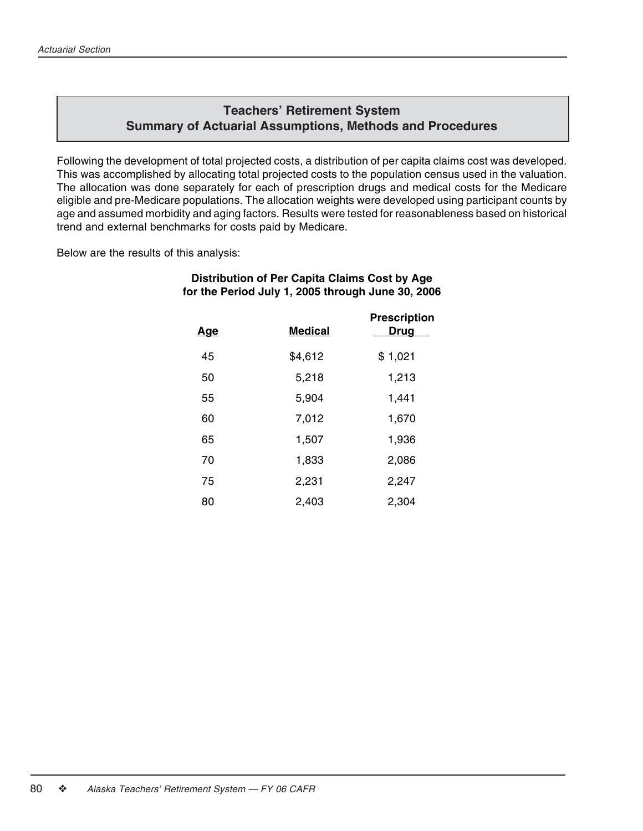Following the development of total projected costs, a distribution of per capita claims cost was developed. This was accomplished by allocating total projected costs to the population census used in the valuation. The allocation was done separately for each of prescription drugs and medical costs for the Medicare eligible and pre-Medicare populations. The allocation weights were developed using participant counts by age and assumed morbidity and aging factors. Results were tested for reasonableness based on historical trend and external benchmarks for costs paid by Medicare.

Below are the results of this analysis:

| <u>Age</u> | <b>Medical</b> | <b>Prescription</b><br><u>Drug</u> |
|------------|----------------|------------------------------------|
| 45         | \$4,612        | \$1,021                            |
| 50         | 5,218          | 1,213                              |
| 55         | 5,904          | 1,441                              |
| 60         | 7,012          | 1,670                              |
| 65         | 1,507          | 1,936                              |
| 70         | 1,833          | 2,086                              |
| 75         | 2,231          | 2,247                              |
| 80         | 2,403          | 2,304                              |

#### **Distribution of Per Capita Claims Cost by Age for the Period July 1, 2005 through June 30, 2006**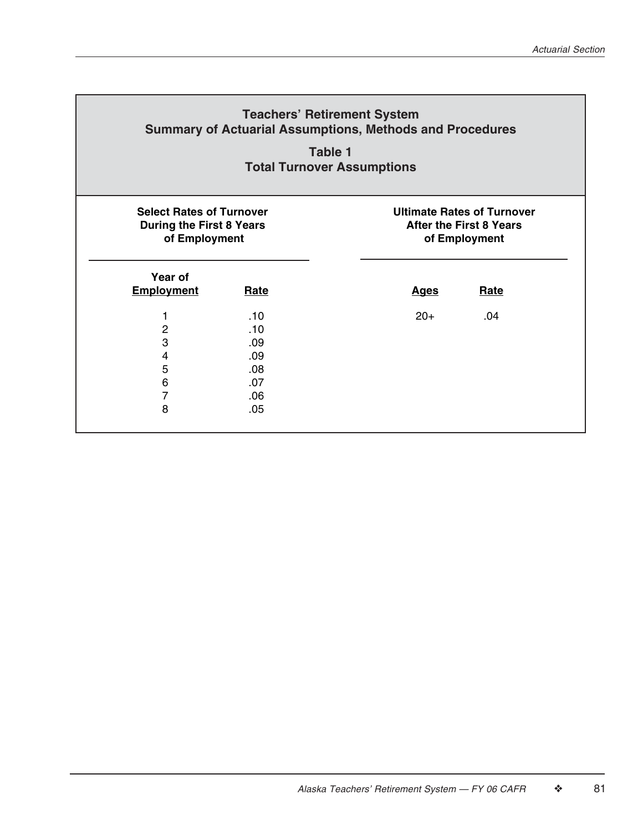| <b>Teachers' Retirement System</b><br><b>Summary of Actuarial Assumptions, Methods and Procedures</b><br>Table 1<br><b>Total Turnover Assumptions</b> |                                                      |             |                                                                                      |
|-------------------------------------------------------------------------------------------------------------------------------------------------------|------------------------------------------------------|-------------|--------------------------------------------------------------------------------------|
| <b>Select Rates of Turnover</b><br><b>During the First 8 Years</b><br>of Employment                                                                   |                                                      |             | <b>Ultimate Rates of Turnover</b><br><b>After the First 8 Years</b><br>of Employment |
| Year of<br><b>Employment</b>                                                                                                                          | <b>Rate</b>                                          | <u>Ages</u> | <b>Rate</b>                                                                          |
| 1<br>$\overline{2}$<br>$\sqrt{3}$<br>4<br>5<br>6<br>$\overline{7}$<br>8                                                                               | .10<br>.10<br>.09<br>.09<br>.08<br>.07<br>.06<br>.05 | $20+$       | .04                                                                                  |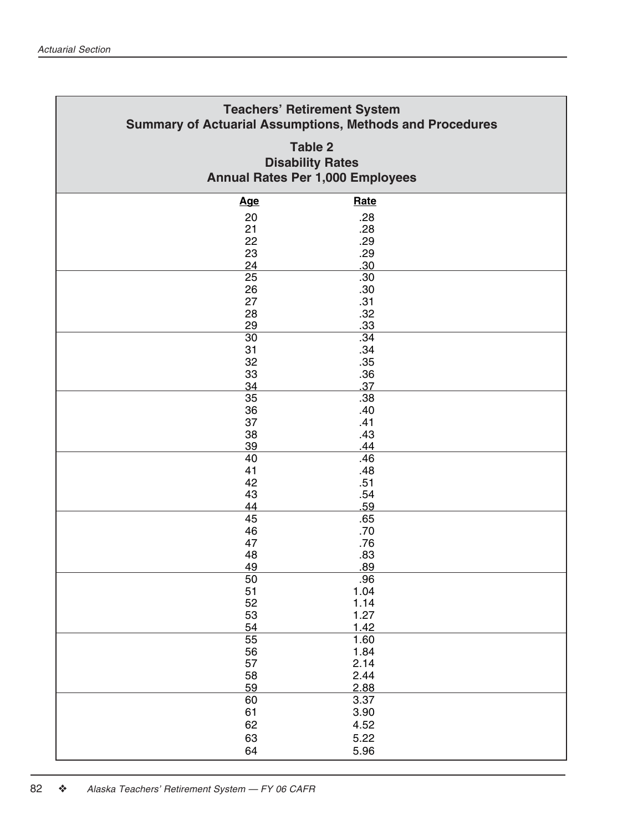| <b>Teachers' Retirement System</b><br><b>Summary of Actuarial Assumptions, Methods and Procedures</b> |              |  |
|-------------------------------------------------------------------------------------------------------|--------------|--|
| <b>Table 2</b><br><b>Disability Rates</b><br><b>Annual Rates Per 1,000 Employees</b>                  |              |  |
|                                                                                                       |              |  |
| <u>Age</u>                                                                                            | Rate         |  |
| 20                                                                                                    | .28          |  |
| 21                                                                                                    | .28          |  |
| 22                                                                                                    | .29          |  |
| 23<br>24                                                                                              | .29<br>.30   |  |
| 25                                                                                                    | .30          |  |
| 26                                                                                                    | .30          |  |
| 27                                                                                                    | .31          |  |
| 28                                                                                                    | .32          |  |
| 29                                                                                                    | .33          |  |
| $\overline{30}$                                                                                       | .34          |  |
| 31                                                                                                    | .34          |  |
| 32                                                                                                    | .35          |  |
| 33                                                                                                    | .36          |  |
| 34                                                                                                    | .37          |  |
| 35                                                                                                    | .38          |  |
| 36                                                                                                    | .40          |  |
| 37                                                                                                    | .41          |  |
| 38<br>39                                                                                              | .43<br>.44   |  |
| 40                                                                                                    | .46          |  |
| 41                                                                                                    | .48          |  |
| 42                                                                                                    | .51          |  |
| 43                                                                                                    | .54          |  |
| 44                                                                                                    | .59          |  |
| 45                                                                                                    | .65          |  |
| 46                                                                                                    | .70          |  |
| 47                                                                                                    | .76          |  |
| 48                                                                                                    | .83          |  |
| 49                                                                                                    | <u>.89</u>   |  |
| 50                                                                                                    | .96          |  |
| 51                                                                                                    | 1.04         |  |
| 52                                                                                                    | 1.14         |  |
| 53<br>54                                                                                              | 1.27<br>1.42 |  |
| 55                                                                                                    | 1.60         |  |
| 56                                                                                                    | 1.84         |  |
| 57                                                                                                    | 2.14         |  |
| 58                                                                                                    | 2.44         |  |
| 59                                                                                                    | 2.88         |  |
| 60                                                                                                    | 3.37         |  |
| 61                                                                                                    | 3.90         |  |
| 62                                                                                                    | 4.52         |  |
| 63                                                                                                    | 5.22         |  |
| 64                                                                                                    | 5.96         |  |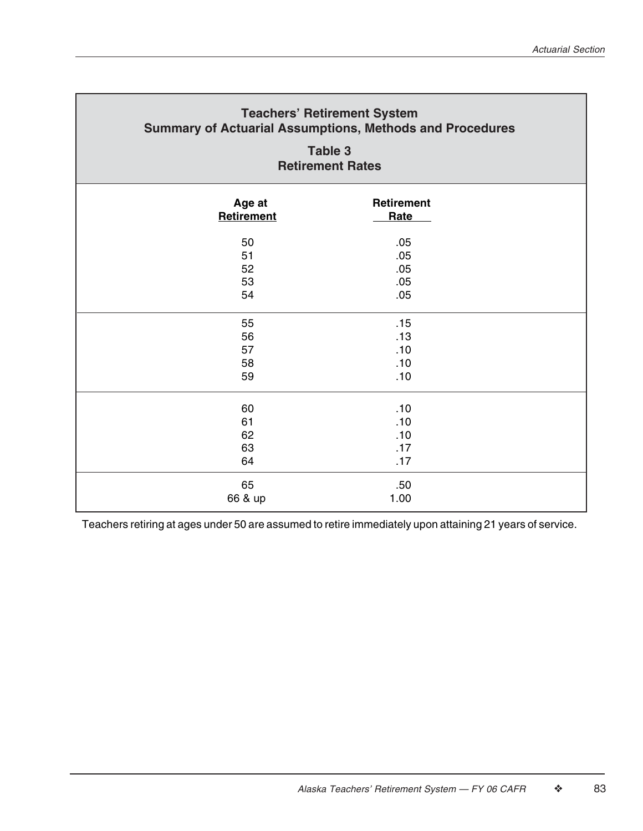| <b>Teachers' Retirement System</b><br><b>Summary of Actuarial Assumptions, Methods and Procedures</b><br><b>Table 3</b><br><b>Retirement Rates</b> |                                 |  |  |  |  |
|----------------------------------------------------------------------------------------------------------------------------------------------------|---------------------------------|--|--|--|--|
| Age at<br><b>Retirement</b>                                                                                                                        | <b>Retirement</b><br>Rate       |  |  |  |  |
| 50<br>51<br>52<br>53<br>54                                                                                                                         | .05<br>.05<br>.05<br>.05<br>.05 |  |  |  |  |
| 55<br>56<br>57<br>58<br>59                                                                                                                         | .15<br>.13<br>.10<br>.10<br>.10 |  |  |  |  |
| 60<br>61<br>62<br>63<br>64                                                                                                                         | .10<br>.10<br>.10<br>.17<br>.17 |  |  |  |  |
| 65<br>66 & up                                                                                                                                      | .50<br>1.00                     |  |  |  |  |

Teachers retiring at ages under 50 are assumed to retire immediately upon attaining 21 years of service.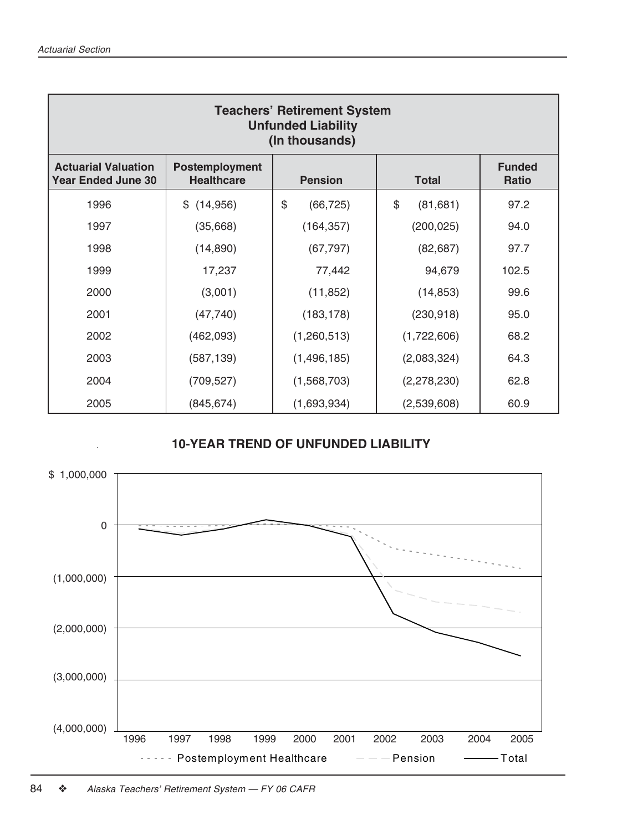$\hat{\boldsymbol{\beta}}$ 

| <b>Teachers' Retirement System</b><br><b>Unfunded Liability</b><br>(In thousands) |                                     |                 |                |                               |  |  |  |  |  |
|-----------------------------------------------------------------------------------|-------------------------------------|-----------------|----------------|-------------------------------|--|--|--|--|--|
| <b>Actuarial Valuation</b><br><b>Year Ended June 30</b>                           | Postemployment<br><b>Healthcare</b> | <b>Pension</b>  | <b>Total</b>   | <b>Funded</b><br><b>Ratio</b> |  |  |  |  |  |
| 1996                                                                              | \$(14,956)                          | \$<br>(66, 725) | \$<br>(81,681) | 97.2                          |  |  |  |  |  |
| 1997                                                                              | (35,668)                            | (164, 357)      | (200, 025)     | 94.0                          |  |  |  |  |  |
| 1998                                                                              | (14, 890)                           | (67, 797)       | (82, 687)      | 97.7                          |  |  |  |  |  |
| 1999                                                                              | 17,237                              | 77,442          | 94,679         | 102.5                         |  |  |  |  |  |
| 2000                                                                              | (3,001)                             | (11, 852)       | (14, 853)      | 99.6                          |  |  |  |  |  |
| 2001                                                                              | (47, 740)                           | (183, 178)      | (230, 918)     | 95.0                          |  |  |  |  |  |
| 2002                                                                              | (462,093)                           | (1,260,513)     | (1,722,606)    | 68.2                          |  |  |  |  |  |
| 2003                                                                              | (587, 139)                          | (1,496,185)     | (2,083,324)    | 64.3                          |  |  |  |  |  |
| 2004                                                                              | (709, 527)                          | (1,568,703)     | (2,278,230)    | 62.8                          |  |  |  |  |  |
| 2005                                                                              | (845, 674)                          | (1,693,934)     | (2,539,608)    | 60.9                          |  |  |  |  |  |

**10-YEAR TREND OF UNFUNDED LIABILITY**

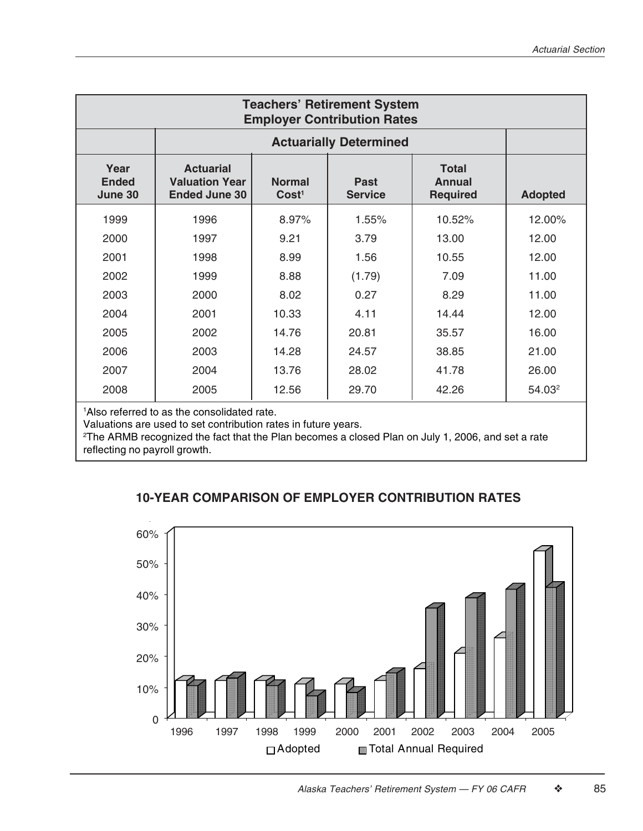| <b>Teachers' Retirement System</b><br><b>Employer Contribution Rates</b> |                                                                   |                |                               |        |                    |  |  |  |  |
|--------------------------------------------------------------------------|-------------------------------------------------------------------|----------------|-------------------------------|--------|--------------------|--|--|--|--|
|                                                                          |                                                                   |                | <b>Actuarially Determined</b> |        |                    |  |  |  |  |
| Year<br><b>Ended</b><br>June 30                                          | <b>Actuarial</b><br><b>Valuation Year</b><br><b>Ended June 30</b> | <b>Adopted</b> |                               |        |                    |  |  |  |  |
| 1999                                                                     | 1996                                                              | 8.97%          | 1.55%                         | 10.52% | 12.00%             |  |  |  |  |
| 2000                                                                     | 1997                                                              | 9.21           | 3.79                          | 13.00  | 12.00              |  |  |  |  |
| 2001                                                                     | 1998                                                              | 8.99           | 1.56                          | 10.55  | 12.00              |  |  |  |  |
| 2002                                                                     | 1999                                                              | 8.88           | (1.79)                        | 7.09   | 11.00              |  |  |  |  |
| 2003                                                                     | 2000                                                              | 8.02           | 0.27                          | 8.29   | 11.00              |  |  |  |  |
| 2004                                                                     | 2001                                                              | 10.33          | 4.11                          | 14.44  | 12.00              |  |  |  |  |
| 2005                                                                     | 2002                                                              | 14.76          | 20.81                         | 35.57  | 16.00              |  |  |  |  |
| 2006                                                                     | 2003                                                              | 14.28          | 24.57                         | 38.85  | 21.00              |  |  |  |  |
| 2007                                                                     | 2004                                                              | 13.76          | 28.02                         | 41.78  | 26.00              |  |  |  |  |
| 2008<br>$\cdots$<br>.                                                    | 2005                                                              | 12.56          | 29.70                         | 42.26  | 54.03 <sup>2</sup> |  |  |  |  |

1 Also referred to as the consolidated rate.

Valuations are used to set contribution rates in future years.

 $^{\rm 2}$ The ARMB recognized the fact that the Plan becomes a closed Plan on July 1, 2006, and set a rate reflecting no payroll growth.



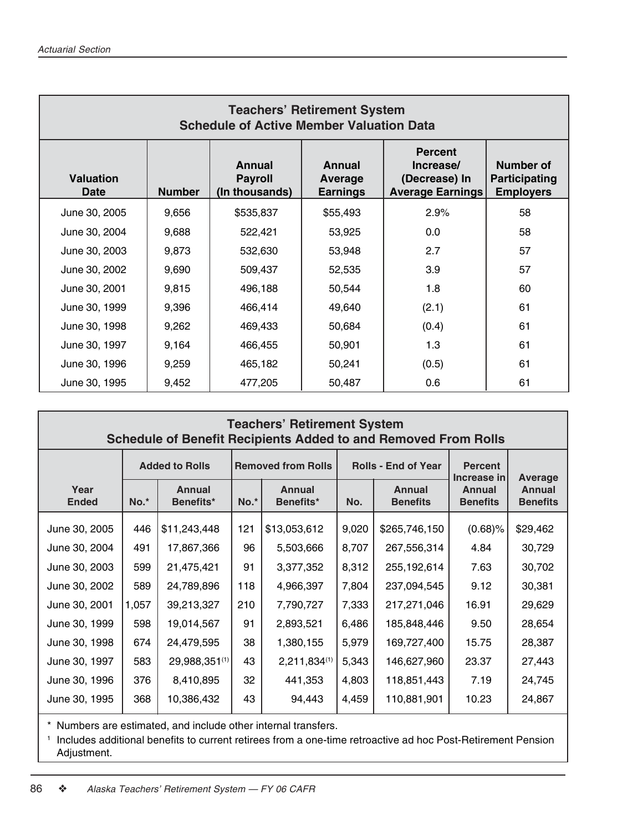| <b>Teachers' Retirement System</b><br><b>Schedule of Active Member Valuation Data</b> |                                                                                                                                                                                                 |           |          |       |    |  |  |  |  |
|---------------------------------------------------------------------------------------|-------------------------------------------------------------------------------------------------------------------------------------------------------------------------------------------------|-----------|----------|-------|----|--|--|--|--|
| <b>Valuation</b><br><b>Date</b>                                                       | <b>Percent</b><br>Annual<br>Annual<br>Increase/<br>Participating<br><b>Payroll</b><br>(Decrease) In<br>Average<br>(In thousands)<br><b>Average Earnings</b><br><b>Number</b><br><b>Earnings</b> |           |          |       |    |  |  |  |  |
| June 30, 2005                                                                         | 9,656                                                                                                                                                                                           | \$535,837 | \$55,493 | 2.9%  | 58 |  |  |  |  |
| June 30, 2004                                                                         | 9,688                                                                                                                                                                                           | 522,421   | 53,925   | 0.0   | 58 |  |  |  |  |
| June 30, 2003                                                                         | 9,873                                                                                                                                                                                           | 532,630   | 53,948   | 2.7   | 57 |  |  |  |  |
| June 30, 2002                                                                         | 9,690                                                                                                                                                                                           | 509,437   | 52,535   | 3.9   | 57 |  |  |  |  |
| June 30, 2001                                                                         | 9,815                                                                                                                                                                                           | 496,188   | 50,544   | 1.8   | 60 |  |  |  |  |
| June 30, 1999                                                                         | 9,396                                                                                                                                                                                           | 466,414   | 49,640   | (2.1) | 61 |  |  |  |  |
| June 30, 1998                                                                         | 9,262                                                                                                                                                                                           | 469,433   | 50,684   | (0.4) | 61 |  |  |  |  |
| June 30, 1997                                                                         | 9,164                                                                                                                                                                                           | 466,455   | 50,901   | 1.3   | 61 |  |  |  |  |
| June 30, 1996                                                                         | 9,259                                                                                                                                                                                           | 465,182   | 50,241   | (0.5) | 61 |  |  |  |  |
| June 30, 1995                                                                         | 9,452                                                                                                                                                                                           | 477,205   | 50,487   | 0.6   | 61 |  |  |  |  |

| <b>Teachers' Retirement System</b><br><b>Schedule of Benefit Recipients Added to and Removed From Rolls</b> |        |                            |                           |                            |                                         |                            |                               |                                      |  |  |  |
|-------------------------------------------------------------------------------------------------------------|--------|----------------------------|---------------------------|----------------------------|-----------------------------------------|----------------------------|-------------------------------|--------------------------------------|--|--|--|
|                                                                                                             |        | <b>Added to Rolls</b>      | <b>Removed from Rolls</b> |                            |                                         | <b>Rolls - End of Year</b> | <b>Percent</b><br>Increase in |                                      |  |  |  |
| Year<br><b>Ended</b>                                                                                        | $No.*$ | <b>Annual</b><br>Benefits* | $No.*$                    | <b>Annual</b><br>Benefits* | <b>Annual</b><br>No.<br><b>Benefits</b> |                            | Annual<br><b>Benefits</b>     | Average<br>Annual<br><b>Benefits</b> |  |  |  |
| June 30, 2005                                                                                               | 446    | \$11,243,448               | 121                       | \$13,053,612               | 9,020                                   | \$265,746,150              | $(0.68)$ %                    | \$29,462                             |  |  |  |
| June 30, 2004                                                                                               | 491    | 17,867,366                 | 96                        | 5,503,666                  | 8,707                                   | 267,556,314                | 4.84                          | 30,729                               |  |  |  |
| June 30, 2003                                                                                               | 599    | 21,475,421                 | 91                        | 3,377,352                  | 8,312                                   | 255,192,614                | 7.63                          | 30,702                               |  |  |  |
| June 30, 2002                                                                                               | 589    | 24,789,896                 | 118                       | 4,966,397                  | 7,804                                   | 237,094,545                | 9.12                          | 30,381                               |  |  |  |
| June 30, 2001                                                                                               | 1,057  | 39,213,327                 | 210                       | 7,790,727                  | 7,333                                   | 217,271,046                | 16.91                         | 29,629                               |  |  |  |
| June 30, 1999                                                                                               | 598    | 19,014,567                 | 91                        | 2,893,521                  | 6,486                                   | 185,848,446                | 9.50                          | 28,654                               |  |  |  |
| June 30, 1998                                                                                               | 674    | 24,479,595                 | 38                        | 1,380,155                  | 5,979                                   | 169,727,400                | 15.75                         | 28,387                               |  |  |  |
| June 30, 1997                                                                                               | 583    | 29,988,351(1)              | 43                        | $2,211,834^{(1)}$          | 5,343                                   | 146,627,960                | 23.37                         | 27,443                               |  |  |  |
| June 30, 1996                                                                                               | 376    | 8,410,895                  | 32                        | 441,353                    | 4,803                                   | 118,851,443                | 7.19                          | 24,745                               |  |  |  |
| June 30, 1995                                                                                               | 368    | 10,386,432                 | 43                        | 94,443                     | 4,459                                   | 110,881,901                | 10.23                         | 24,867                               |  |  |  |

\* Numbers are estimated, and include other internal transfers.

<sup>1</sup> Includes additional benefits to current retirees from a one-time retroactive ad hoc Post-Retirement Pension Adjustment.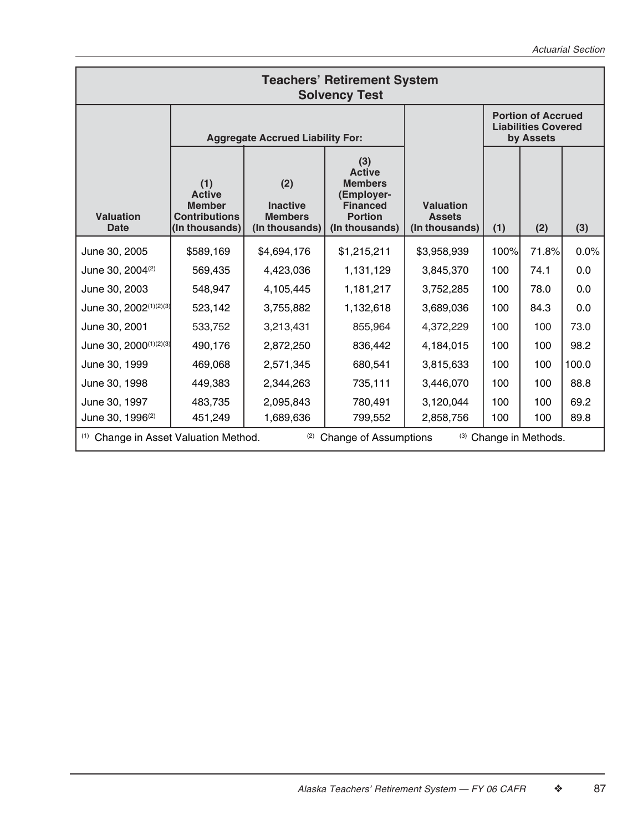Actuarial Section

| <b>Teachers' Retirement System</b><br><b>Solvency Test</b> |                                                                                 |                                                            |                                                                                                             |                                                     |      |                                                                      |       |  |  |  |
|------------------------------------------------------------|---------------------------------------------------------------------------------|------------------------------------------------------------|-------------------------------------------------------------------------------------------------------------|-----------------------------------------------------|------|----------------------------------------------------------------------|-------|--|--|--|
|                                                            | <b>Aggregate Accrued Liability For:</b>                                         |                                                            |                                                                                                             |                                                     |      | <b>Portion of Accrued</b><br><b>Liabilities Covered</b><br>by Assets |       |  |  |  |
| <b>Valuation</b><br><b>Date</b>                            | (1)<br><b>Active</b><br><b>Member</b><br><b>Contributions</b><br>(In thousands) | (2)<br><b>Inactive</b><br><b>Members</b><br>(In thousands) | (3)<br><b>Active</b><br><b>Members</b><br>(Employer-<br><b>Financed</b><br><b>Portion</b><br>(In thousands) | <b>Valuation</b><br><b>Assets</b><br>(In thousands) | (1)  | (2)                                                                  | (3)   |  |  |  |
| June 30, 2005                                              | \$589,169                                                                       | \$4,694,176                                                | \$1,215,211                                                                                                 | \$3,958,939                                         | 100% | 71.8%                                                                | 0.0%  |  |  |  |
| June 30, 2004 <sup>(2)</sup>                               | 569,435                                                                         | 4,423,036                                                  | 1,131,129                                                                                                   | 3,845,370                                           | 100  | 74.1                                                                 | 0.0   |  |  |  |
| June 30, 2003                                              | 548,947                                                                         | 4,105,445                                                  | 1,181,217                                                                                                   | 3,752,285                                           | 100  | 78.0                                                                 | 0.0   |  |  |  |
| June 30, 2002(1)(2)(3)                                     | 523,142                                                                         | 3,755,882                                                  | 1,132,618                                                                                                   | 3,689,036                                           | 100  | 84.3                                                                 | 0.0   |  |  |  |
| June 30, 2001                                              | 533,752                                                                         | 3,213,431                                                  | 855,964                                                                                                     | 4,372,229                                           | 100  | 100                                                                  | 73.0  |  |  |  |
| June 30, 2000(1)(2)(3)                                     | 490,176                                                                         | 2,872,250                                                  | 836,442                                                                                                     | 4,184,015                                           | 100  | 100                                                                  | 98.2  |  |  |  |
| June 30, 1999                                              | 469,068                                                                         | 2,571,345                                                  | 680,541                                                                                                     | 3,815,633                                           | 100  | 100                                                                  | 100.0 |  |  |  |
| June 30, 1998                                              | 449,383                                                                         | 2,344,263                                                  | 735,111                                                                                                     | 3,446,070                                           | 100  | 100                                                                  | 88.8  |  |  |  |
| June 30, 1997                                              | 483,735                                                                         | 2,095,843                                                  | 780,491                                                                                                     | 3,120,044                                           | 100  | 100                                                                  | 69.2  |  |  |  |
| June 30, 1996 <sup>(2)</sup>                               | 451,249                                                                         | 1,689,636                                                  | 799,552                                                                                                     | 2,858,756                                           | 100  | 100                                                                  | 89.8  |  |  |  |
| <sup>(1)</sup> Change in Asset Valuation Method.           |                                                                                 | (2)                                                        | <b>Change of Assumptions</b>                                                                                |                                                     |      | (3) Change in Methods.                                               |       |  |  |  |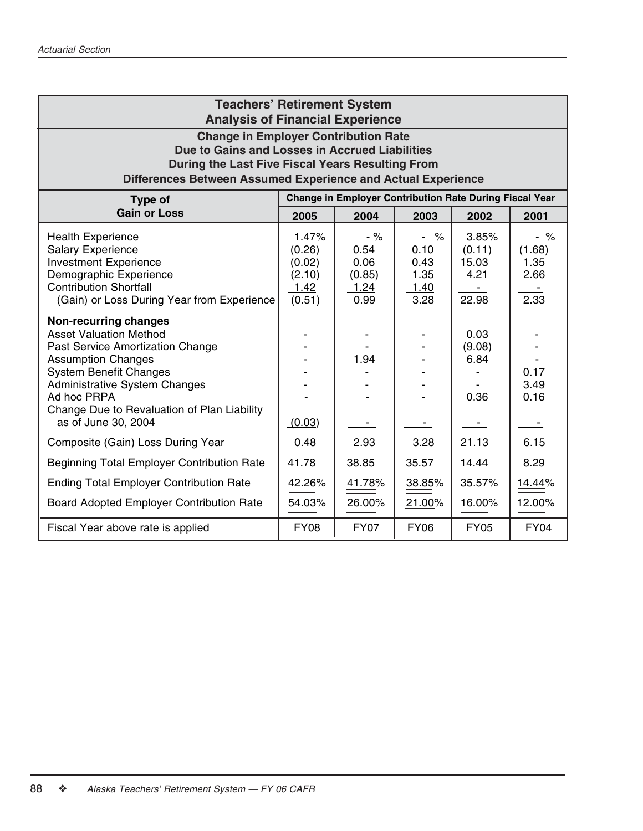## **Teachers' Retirement System Analysis of Financial Experience**

#### **Change in Employer Contribution Rate Due to Gains and Losses in Accrued Liabilities During the Last Five Fiscal Years Resulting From Differences Between Assumed Experience and Actual Experience**

| Type of                                                                                                                                                                                                                                                                                      | <b>Change in Employer Contribution Rate During Fiscal Year</b> |                                                 |                                                      |                                           |                                         |  |  |
|----------------------------------------------------------------------------------------------------------------------------------------------------------------------------------------------------------------------------------------------------------------------------------------------|----------------------------------------------------------------|-------------------------------------------------|------------------------------------------------------|-------------------------------------------|-----------------------------------------|--|--|
| <b>Gain or Loss</b>                                                                                                                                                                                                                                                                          | 2005                                                           | 2004                                            | 2003                                                 | 2002                                      | 2001                                    |  |  |
| <b>Health Experience</b><br><b>Salary Experience</b><br><b>Investment Experience</b><br>Demographic Experience<br><b>Contribution Shortfall</b><br>(Gain) or Loss During Year from Experience                                                                                                | 1.47%<br>(0.26)<br>(0.02)<br>(2.10)<br>1.42<br>(0.51)          | $-$ %<br>0.54<br>0.06<br>(0.85)<br>1.24<br>0.99 | $-$ %<br>0.10<br>0.43<br>1.35<br><u>1.40</u><br>3.28 | 3.85%<br>(0.11)<br>15.03<br>4.21<br>22.98 | $-$ %<br>(1.68)<br>1.35<br>2.66<br>2.33 |  |  |
| <b>Non-recurring changes</b><br><b>Asset Valuation Method</b><br>Past Service Amortization Change<br><b>Assumption Changes</b><br><b>System Benefit Changes</b><br><b>Administrative System Changes</b><br>Ad hoc PRPA<br>Change Due to Revaluation of Plan Liability<br>as of June 30, 2004 | (0.03)                                                         | 1.94                                            |                                                      | 0.03<br>(9.08)<br>6.84<br>0.36            | 0.17<br>3.49<br>0.16                    |  |  |
| Composite (Gain) Loss During Year                                                                                                                                                                                                                                                            | 0.48                                                           | 2.93                                            | 3.28                                                 | 21.13                                     | 6.15                                    |  |  |
| <b>Beginning Total Employer Contribution Rate</b>                                                                                                                                                                                                                                            | 41.78                                                          | 38.85                                           | 35.57                                                | 14.44                                     | 8.29                                    |  |  |
| <b>Ending Total Employer Contribution Rate</b>                                                                                                                                                                                                                                               | 42.26%                                                         | 41.78%                                          | 38.85%                                               | 35.57%                                    | 14.44%                                  |  |  |
| <b>Board Adopted Employer Contribution Rate</b>                                                                                                                                                                                                                                              | 54.03%                                                         | 26.00%                                          | 21.00%                                               | 16.00%                                    | 12.00%                                  |  |  |
| Fiscal Year above rate is applied                                                                                                                                                                                                                                                            | <b>FY08</b>                                                    | <b>FY07</b>                                     | <b>FY06</b>                                          | <b>FY05</b>                               | <b>FY04</b>                             |  |  |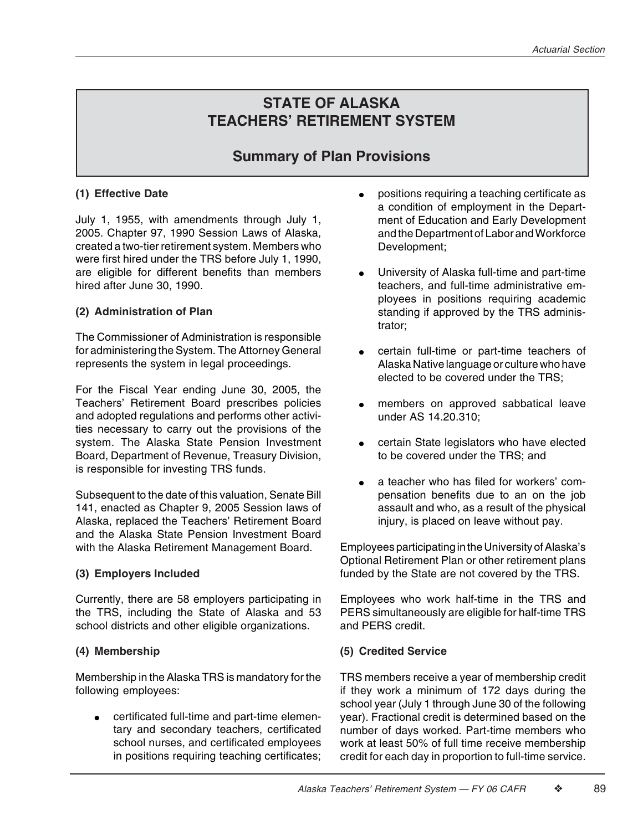## **Summary of Plan Provisions**

### **(1) Effective Date**

July 1, 1955, with amendments through July 1, 2005. Chapter 97, 1990 Session Laws of Alaska, created a two-tier retirement system. Members who were first hired under the TRS before July 1, 1990, are eligible for different benefits than members hired after June 30, 1990.

#### **(2) Administration of Plan**

The Commissioner of Administration is responsible for administering the System. The Attorney General represents the system in legal proceedings.

For the Fiscal Year ending June 30, 2005, the Teachers' Retirement Board prescribes policies and adopted regulations and performs other activities necessary to carry out the provisions of the system. The Alaska State Pension Investment Board, Department of Revenue, Treasury Division, is responsible for investing TRS funds.

Subsequent to the date of this valuation, Senate Bill 141, enacted as Chapter 9, 2005 Session laws of Alaska, replaced the Teachers' Retirement Board and the Alaska State Pension Investment Board with the Alaska Retirement Management Board.

#### **(3) Employers Included**

Currently, there are 58 employers participating in the TRS, including the State of Alaska and 53 school districts and other eligible organizations.

#### **(4) Membership**

Membership in the Alaska TRS is mandatory for the following employees:

certificated full-time and part-time elementary and secondary teachers, certificated school nurses, and certificated employees in positions requiring teaching certificates;

- positions requiring a teaching certificate as a condition of employment in the Department of Education and Early Development and the Department of Labor and Workforce Development;
- University of Alaska full-time and part-time teachers, and full-time administrative employees in positions requiring academic standing if approved by the TRS administrator;
- certain full-time or part-time teachers of Alaska Native language or culture who have elected to be covered under the TRS;
- members on approved sabbatical leave under AS 14.20.310;
- certain State legislators who have elected to be covered under the TRS; and
- a teacher who has filed for workers' compensation benefits due to an on the job assault and who, as a result of the physical injury, is placed on leave without pay.

Employees participating in the University of Alaska's Optional Retirement Plan or other retirement plans funded by the State are not covered by the TRS.

Employees who work half-time in the TRS and PERS simultaneously are eligible for half-time TRS and PERS credit.

#### **(5) Credited Service**

TRS members receive a year of membership credit if they work a minimum of 172 days during the school year (July 1 through June 30 of the following year). Fractional credit is determined based on the number of days worked. Part-time members who work at least 50% of full time receive membership credit for each day in proportion to full-time service.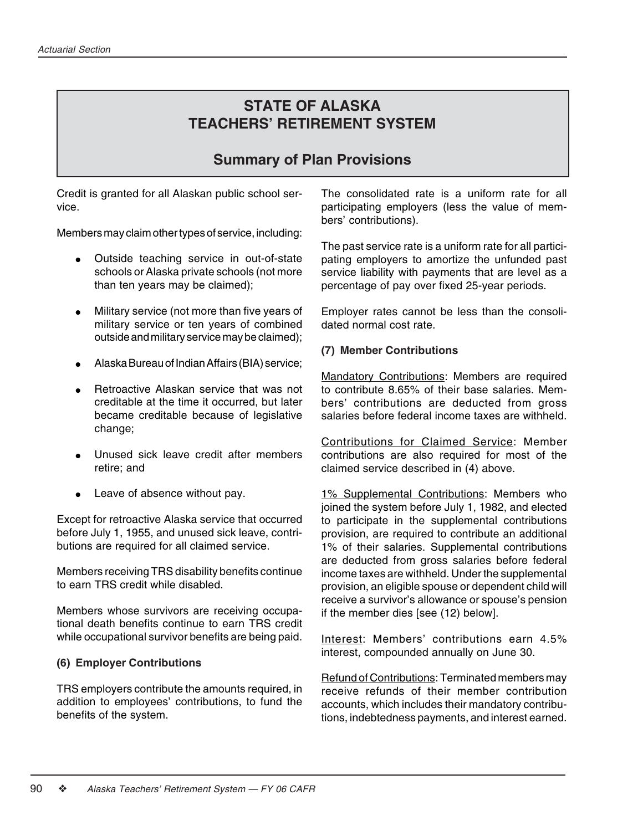## **Summary of Plan Provisions**

Credit is granted for all Alaskan public school service.

Members may claim other types of service, including:

- Outside teaching service in out-of-state schools or Alaska private schools (not more than ten years may be claimed);
- Military service (not more than five years of military service or ten years of combined outside and military service may be claimed);
- Alaska Bureau of Indian Affairs (BIA) service;
- **Retroactive Alaskan service that was not** creditable at the time it occurred, but later became creditable because of legislative change;
- Unused sick leave credit after members retire; and
- Leave of absence without pay.

Except for retroactive Alaska service that occurred before July 1, 1955, and unused sick leave, contributions are required for all claimed service.

Members receiving TRS disability benefits continue to earn TRS credit while disabled.

Members whose survivors are receiving occupational death benefits continue to earn TRS credit while occupational survivor benefits are being paid.

#### **(6) Employer Contributions**

TRS employers contribute the amounts required, in addition to employees' contributions, to fund the benefits of the system.

The consolidated rate is a uniform rate for all participating employers (less the value of members' contributions).

The past service rate is a uniform rate for all participating employers to amortize the unfunded past service liability with payments that are level as a percentage of pay over fixed 25-year periods.

Employer rates cannot be less than the consolidated normal cost rate.

#### **(7) Member Contributions**

Mandatory Contributions: Members are required to contribute 8.65% of their base salaries. Members' contributions are deducted from gross salaries before federal income taxes are withheld.

Contributions for Claimed Service: Member contributions are also required for most of the claimed service described in (4) above.

1% Supplemental Contributions: Members who joined the system before July 1, 1982, and elected to participate in the supplemental contributions provision, are required to contribute an additional 1% of their salaries. Supplemental contributions are deducted from gross salaries before federal income taxes are withheld. Under the supplemental provision, an eligible spouse or dependent child will receive a survivor's allowance or spouse's pension if the member dies [see (12) below].

Interest: Members' contributions earn 4.5% interest, compounded annually on June 30.

Refund of Contributions: Terminated members may receive refunds of their member contribution accounts, which includes their mandatory contributions, indebtedness payments, and interest earned.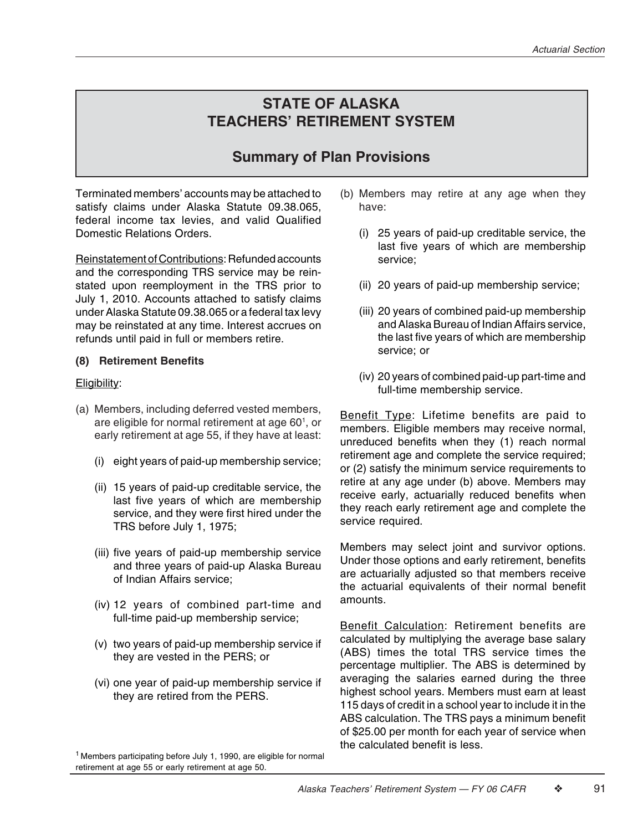## **Summary of Plan Provisions**

Terminated members' accounts may be attached to satisfy claims under Alaska Statute 09.38.065, federal income tax levies, and valid Qualified Domestic Relations Orders.

Reinstatement of Contributions: Refunded accounts and the corresponding TRS service may be reinstated upon reemployment in the TRS prior to July 1, 2010. Accounts attached to satisfy claims under Alaska Statute 09.38.065 or a federal tax levy may be reinstated at any time. Interest accrues on refunds until paid in full or members retire.

#### **(8) Retirement Benefits**

#### Eligibility:

- (a) Members, including deferred vested members, are eligible for normal retirement at age 60<sup>1</sup>, or early retirement at age 55, if they have at least:
	- (i) eight years of paid-up membership service;
	- (ii) 15 years of paid-up creditable service, the last five years of which are membership service, and they were first hired under the TRS before July 1, 1975;
	- (iii) five years of paid-up membership service and three years of paid-up Alaska Bureau of Indian Affairs service;
	- (iv) 12 years of combined part-time and full-time paid-up membership service;
	- (v) two years of paid-up membership service if they are vested in the PERS; or
	- (vi) one year of paid-up membership service if they are retired from the PERS.
- (b) Members may retire at any age when they have:
	- (i) 25 years of paid-up creditable service, the last five years of which are membership service;
	- (ii) 20 years of paid-up membership service;
	- (iii) 20 years of combined paid-up membership and Alaska Bureau of Indian Affairs service, the last five years of which are membership service; or
	- (iv) 20 years of combined paid-up part-time and full-time membership service.

Benefit Type: Lifetime benefits are paid to members. Eligible members may receive normal, unreduced benefits when they (1) reach normal retirement age and complete the service required; or (2) satisfy the minimum service requirements to retire at any age under (b) above. Members may receive early, actuarially reduced benefits when they reach early retirement age and complete the service required.

Members may select joint and survivor options. Under those options and early retirement, benefits are actuarially adjusted so that members receive the actuarial equivalents of their normal benefit amounts.

Benefit Calculation: Retirement benefits are calculated by multiplying the average base salary (ABS) times the total TRS service times the percentage multiplier. The ABS is determined by averaging the salaries earned during the three highest school years. Members must earn at least 115 days of credit in a school year to include it in the ABS calculation. The TRS pays a minimum benefit of \$25.00 per month for each year of service when

the calculated benefit is less.<br><sup>1</sup> Members participating before July 1, 1990, are eligible for normal retirement at age 55 or early retirement at age 50.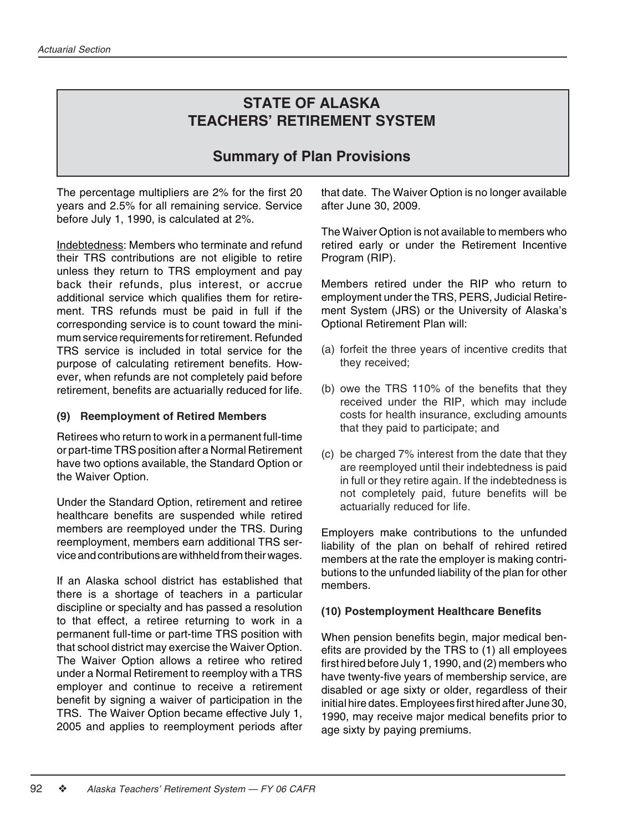## **Summary of Plan Provisions**

The percentage multipliers are 2% for the first 20 years and 2.5% for all remaining service. Service before July 1, 1990, is calculated at 2%.

Indebtedness: Members who terminate and refund their TRS contributions are not eligible to retire unless they return to TRS employment and pay back their refunds, plus interest, or accrue additional service which qualifies them for retirement. TRS refunds must be paid in full if the corresponding service is to count toward the minimum service requirements for retirement. Refunded TRS service is included in total service for the purpose of calculating retirement benefits. However, when refunds are not completely paid before retirement, benefits are actuarially reduced for life.

#### **(9) Reemployment of Retired Members**

Retirees who return to work in a permanent full-time or part-time TRS position after a Normal Retirement have two options available, the Standard Option or the Waiver Option.

Under the Standard Option, retirement and retiree healthcare benefits are suspended while retired members are reemployed under the TRS. During reemployment, members earn additional TRS service and contributions are withheld from their wages.

If an Alaska school district has established that there is a shortage of teachers in a particular discipline or specialty and has passed a resolution to that effect, a retiree returning to work in a permanent full-time or part-time TRS position with that school district may exercise the Waiver Option. The Waiver Option allows a retiree who retired under a Normal Retirement to reemploy with a TRS employer and continue to receive a retirement benefit by signing a waiver of participation in the TRS. The Waiver Option became effective July 1, 2005 and applies to reemployment periods after that date. The Waiver Option is no longer available after June 30, 2009.

The Waiver Option is not available to members who retired early or under the Retirement Incentive Program (RIP).

Members retired under the RIP who return to employment under the TRS, PERS, Judicial Retirement System (JRS) or the University of Alaska's Optional Retirement Plan will:

- (a) forfeit the three years of incentive credits that they received;
- (b) owe the TRS 110% of the benefits that they received under the RIP, which may include costs for health insurance, excluding amounts that they paid to participate; and
- (c) be charged 7% interest from the date that they are reemployed until their indebtedness is paid in full or they retire again. If the indebtedness is not completely paid, future benefits will be actuarially reduced for life.

Employers make contributions to the unfunded liability of the plan on behalf of rehired retired members at the rate the employer is making contributions to the unfunded liability of the plan for other members.

#### **(10) Postemployment Healthcare Benefits**

When pension benefits begin, major medical benefits are provided by the TRS to (1) all employees first hired before July 1, 1990, and (2) members who have twenty-five years of membership service, are disabled or age sixty or older, regardless of their initial hire dates. Employees first hired after June 30, 1990, may receive major medical benefits prior to age sixty by paying premiums.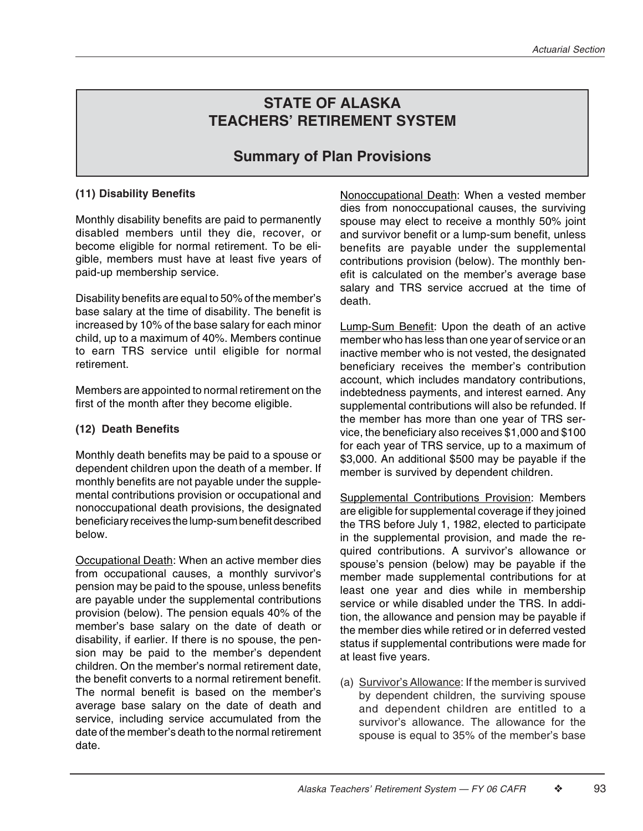# **Summary of Plan Provisions**

### **(11) Disability Benefits**

Monthly disability benefits are paid to permanently disabled members until they die, recover, or become eligible for normal retirement. To be eligible, members must have at least five years of paid-up membership service.

Disability benefits are equal to 50% of the member's base salary at the time of disability. The benefit is increased by 10% of the base salary for each minor child, up to a maximum of 40%. Members continue to earn TRS service until eligible for normal retirement.

Members are appointed to normal retirement on the first of the month after they become eligible.

#### **(12) Death Benefits**

Monthly death benefits may be paid to a spouse or dependent children upon the death of a member. If monthly benefits are not payable under the supplemental contributions provision or occupational and nonoccupational death provisions, the designated beneficiary receives the lump-sum benefit described below.

Occupational Death: When an active member dies from occupational causes, a monthly survivor's pension may be paid to the spouse, unless benefits are payable under the supplemental contributions provision (below). The pension equals 40% of the member's base salary on the date of death or disability, if earlier. If there is no spouse, the pension may be paid to the member's dependent children. On the member's normal retirement date, the benefit converts to a normal retirement benefit. The normal benefit is based on the member's average base salary on the date of death and service, including service accumulated from the date of the member's death to the normal retirement date.

Nonoccupational Death: When a vested member dies from nonoccupational causes, the surviving spouse may elect to receive a monthly 50% joint and survivor benefit or a lump-sum benefit, unless benefits are payable under the supplemental contributions provision (below). The monthly benefit is calculated on the member's average base salary and TRS service accrued at the time of death.

Lump-Sum Benefit: Upon the death of an active member who has less than one year of service or an inactive member who is not vested, the designated beneficiary receives the member's contribution account, which includes mandatory contributions, indebtedness payments, and interest earned. Any supplemental contributions will also be refunded. If the member has more than one year of TRS service, the beneficiary also receives \$1,000 and \$100 for each year of TRS service, up to a maximum of \$3,000. An additional \$500 may be payable if the member is survived by dependent children.

Supplemental Contributions Provision: Members are eligible for supplemental coverage if they joined the TRS before July 1, 1982, elected to participate in the supplemental provision, and made the required contributions. A survivor's allowance or spouse's pension (below) may be payable if the member made supplemental contributions for at least one year and dies while in membership service or while disabled under the TRS. In addition, the allowance and pension may be payable if the member dies while retired or in deferred vested status if supplemental contributions were made for at least five years.

(a) Survivor's Allowance: If the member is survived by dependent children, the surviving spouse and dependent children are entitled to a survivor's allowance. The allowance for the spouse is equal to 35% of the member's base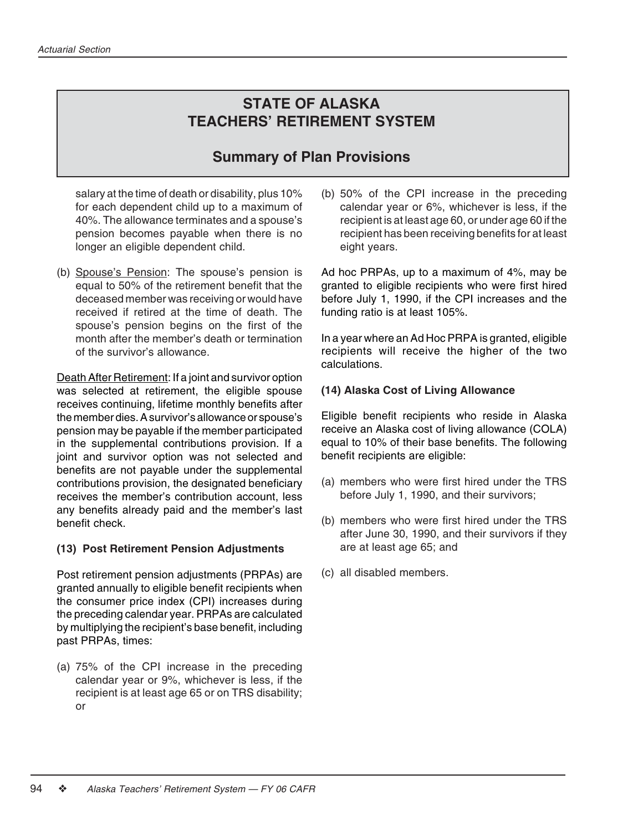# **Summary of Plan Provisions**

salary at the time of death or disability, plus 10% for each dependent child up to a maximum of 40%. The allowance terminates and a spouse's pension becomes payable when there is no longer an eligible dependent child.

(b) Spouse's Pension: The spouse's pension is equal to 50% of the retirement benefit that the deceased member was receiving or would have received if retired at the time of death. The spouse's pension begins on the first of the month after the member's death or termination of the survivor's allowance.

Death After Retirement: If a joint and survivor option was selected at retirement, the eligible spouse receives continuing, lifetime monthly benefits after the member dies. A survivor's allowance or spouse's pension may be payable if the member participated in the supplemental contributions provision. If a joint and survivor option was not selected and benefits are not payable under the supplemental contributions provision, the designated beneficiary receives the member's contribution account, less any benefits already paid and the member's last benefit check.

#### **(13) Post Retirement Pension Adjustments**

Post retirement pension adjustments (PRPAs) are granted annually to eligible benefit recipients when the consumer price index (CPI) increases during the preceding calendar year. PRPAs are calculated by multiplying the recipient's base benefit, including past PRPAs, times:

(a) 75% of the CPI increase in the preceding calendar year or 9%, whichever is less, if the recipient is at least age 65 or on TRS disability; or

(b) 50% of the CPI increase in the preceding calendar year or 6%, whichever is less, if the recipient is at least age 60, or under age 60 if the recipient has been receiving benefits for at least eight years.

Ad hoc PRPAs, up to a maximum of 4%, may be granted to eligible recipients who were first hired before July 1, 1990, if the CPI increases and the funding ratio is at least 105%.

In a year where an Ad Hoc PRPA is granted, eligible recipients will receive the higher of the two calculations.

#### **(14) Alaska Cost of Living Allowance**

Eligible benefit recipients who reside in Alaska receive an Alaska cost of living allowance (COLA) equal to 10% of their base benefits. The following benefit recipients are eligible:

- (a) members who were first hired under the TRS before July 1, 1990, and their survivors;
- (b) members who were first hired under the TRS after June 30, 1990, and their survivors if they are at least age 65; and
- (c) all disabled members.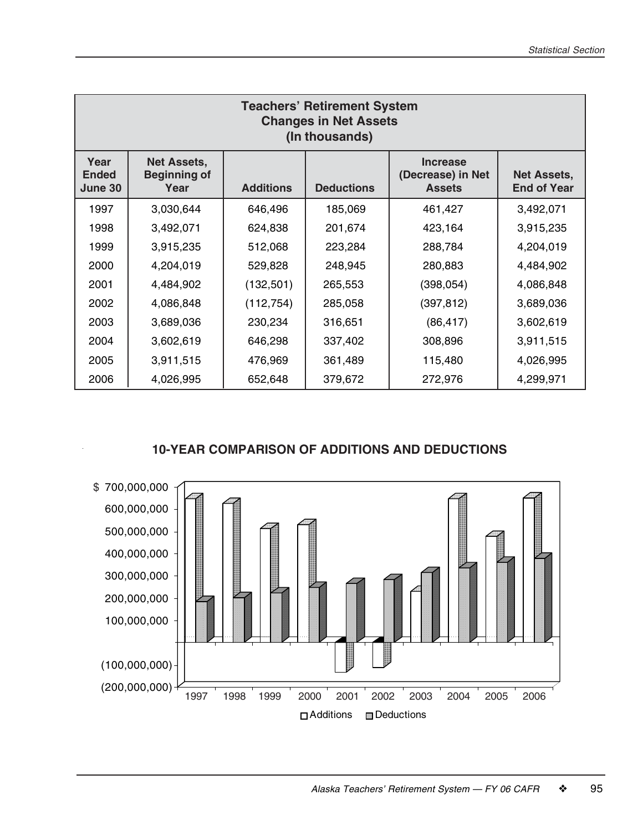|                                 | <b>Teachers' Retirement System</b><br><b>Changes in Net Assets</b><br>(In thousands) |                                          |         |            |           |  |  |  |  |  |
|---------------------------------|--------------------------------------------------------------------------------------|------------------------------------------|---------|------------|-----------|--|--|--|--|--|
| Year<br><b>Ended</b><br>June 30 | <b>Increase</b><br>(Decrease) in Net<br><b>Assets</b>                                | <b>Net Assets,</b><br><b>End of Year</b> |         |            |           |  |  |  |  |  |
| 1997                            | 3,030,644                                                                            | 646,496                                  | 185,069 | 461,427    | 3,492,071 |  |  |  |  |  |
| 1998                            | 3,492,071                                                                            | 624,838                                  | 201,674 | 423,164    | 3,915,235 |  |  |  |  |  |
| 1999                            | 3,915,235                                                                            | 512,068                                  | 223,284 | 288,784    | 4,204,019 |  |  |  |  |  |
| 2000                            | 4,204,019                                                                            | 529,828                                  | 248,945 | 280,883    | 4,484,902 |  |  |  |  |  |
| 2001                            | 4,484,902                                                                            | (132, 501)                               | 265,553 | (398, 054) | 4,086,848 |  |  |  |  |  |
| 2002                            | 4,086,848                                                                            | (112, 754)                               | 285,058 | (397, 812) | 3,689,036 |  |  |  |  |  |
| 2003                            | 3,689,036                                                                            | 230,234                                  | 316,651 | (86, 417)  | 3,602,619 |  |  |  |  |  |
| 2004                            | 3,602,619                                                                            | 646,298                                  | 337,402 | 308,896    | 3,911,515 |  |  |  |  |  |
| 2005                            | 3,911,515                                                                            | 476,969                                  | 361,489 | 115,480    | 4,026,995 |  |  |  |  |  |
| 2006                            | 4,026,995                                                                            | 652,648                                  | 379,672 | 272,976    | 4,299,971 |  |  |  |  |  |

## **10-YEAR COMPARISON OF ADDITIONS AND DEDUCTIONS**

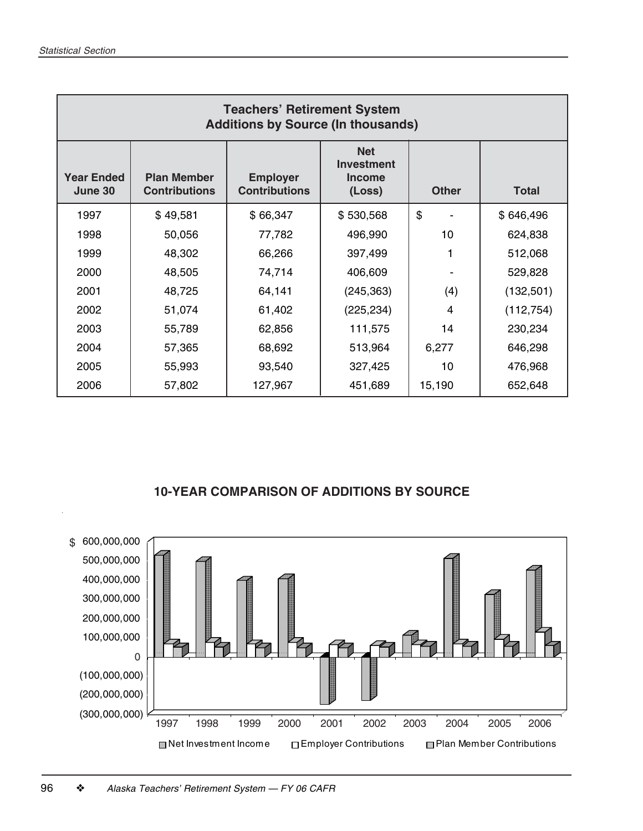| <b>Teachers' Retirement System</b><br><b>Additions by Source (In thousands)</b> |                                            |                                         |                                                            |              |              |  |  |  |  |
|---------------------------------------------------------------------------------|--------------------------------------------|-----------------------------------------|------------------------------------------------------------|--------------|--------------|--|--|--|--|
| <b>Year Ended</b><br>June 30                                                    | <b>Plan Member</b><br><b>Contributions</b> | <b>Employer</b><br><b>Contributions</b> | <b>Net</b><br><b>Investment</b><br><b>Income</b><br>(Loss) | <b>Other</b> | <b>Total</b> |  |  |  |  |
| 1997                                                                            | \$49,581                                   | \$66,347                                | \$530,568                                                  | \$           | \$646,496    |  |  |  |  |
| 1998                                                                            | 50,056                                     | 77,782                                  | 496,990                                                    | 10           | 624,838      |  |  |  |  |
| 1999                                                                            | 48,302                                     | 66,266                                  | 397,499                                                    |              | 512,068      |  |  |  |  |
| 2000                                                                            | 48,505                                     | 74,714                                  | 406,609                                                    |              | 529,828      |  |  |  |  |
| 2001                                                                            | 48,725                                     | 64,141                                  | (245, 363)                                                 | (4)          | (132, 501)   |  |  |  |  |
| 2002                                                                            | 51,074                                     | 61,402                                  | (225, 234)                                                 | 4            | (112, 754)   |  |  |  |  |
| 2003                                                                            | 55,789                                     | 62,856                                  | 111,575                                                    | 14           | 230,234      |  |  |  |  |
| 2004                                                                            | 57,365                                     | 68,692                                  | 513,964                                                    | 6,277        | 646,298      |  |  |  |  |
| 2005                                                                            | 55,993                                     | 93,540                                  | 327,425                                                    | 10           | 476,968      |  |  |  |  |
| 2006                                                                            | 57,802                                     | 127,967                                 | 451,689                                                    | 15,190       | 652,648      |  |  |  |  |

## **10-YEAR COMPARISON OF ADDITIONS BY SOURCE**

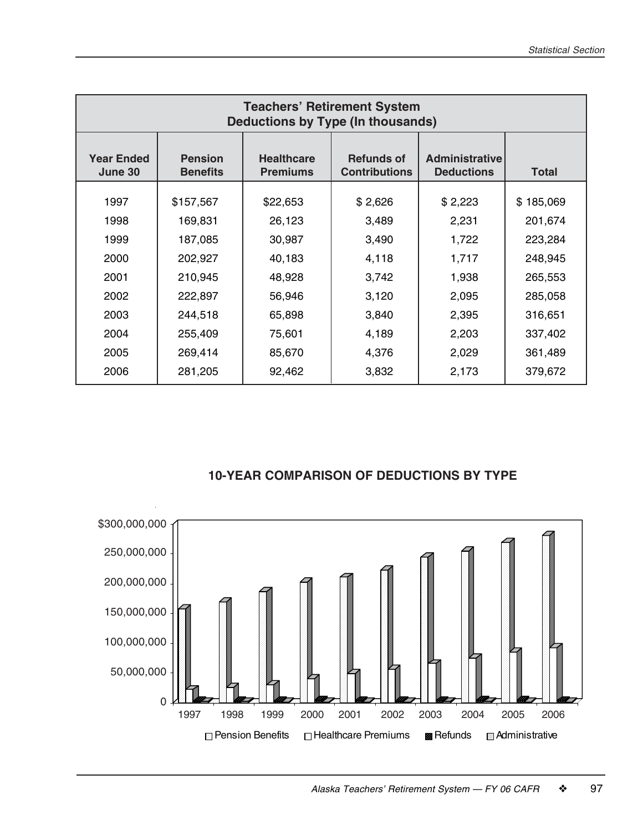| <b>Teachers' Retirement System</b><br><b>Deductions by Type (In thousands)</b> |                                   |                                      |                                           |                                            |              |  |  |  |  |
|--------------------------------------------------------------------------------|-----------------------------------|--------------------------------------|-------------------------------------------|--------------------------------------------|--------------|--|--|--|--|
| <b>Year Ended</b><br>June 30                                                   | <b>Pension</b><br><b>Benefits</b> | <b>Healthcare</b><br><b>Premiums</b> | <b>Refunds of</b><br><b>Contributions</b> | <b>Administrative</b><br><b>Deductions</b> | <b>Total</b> |  |  |  |  |
| 1997                                                                           | \$157,567                         | \$22,653                             | \$2,626                                   | \$2,223                                    | \$185,069    |  |  |  |  |
| 1998                                                                           | 169,831                           | 26,123                               | 3,489                                     | 2,231                                      | 201,674      |  |  |  |  |
| 1999                                                                           | 187,085                           | 30,987                               | 3,490                                     | 1,722                                      | 223,284      |  |  |  |  |
| 2000                                                                           | 202,927                           | 40,183                               | 4,118                                     | 1,717                                      | 248,945      |  |  |  |  |
| 2001                                                                           | 210,945                           | 48,928                               | 3,742                                     | 1,938                                      | 265,553      |  |  |  |  |
| 2002                                                                           | 222,897                           | 56,946                               | 3,120                                     | 2,095                                      | 285,058      |  |  |  |  |
| 2003                                                                           | 244,518                           | 65,898                               | 3,840                                     | 2,395                                      | 316,651      |  |  |  |  |
| 2004                                                                           | 255,409                           | 75,601                               | 4,189                                     | 2,203                                      | 337,402      |  |  |  |  |
| 2005                                                                           | 269,414                           | 85,670                               | 4,376                                     | 2,029                                      | 361,489      |  |  |  |  |
| 2006                                                                           | 281,205                           | 92,462                               | 3,832                                     | 2,173                                      | 379,672      |  |  |  |  |

## **10-YEAR COMPARISON OF DEDUCTIONS BY TYPE**

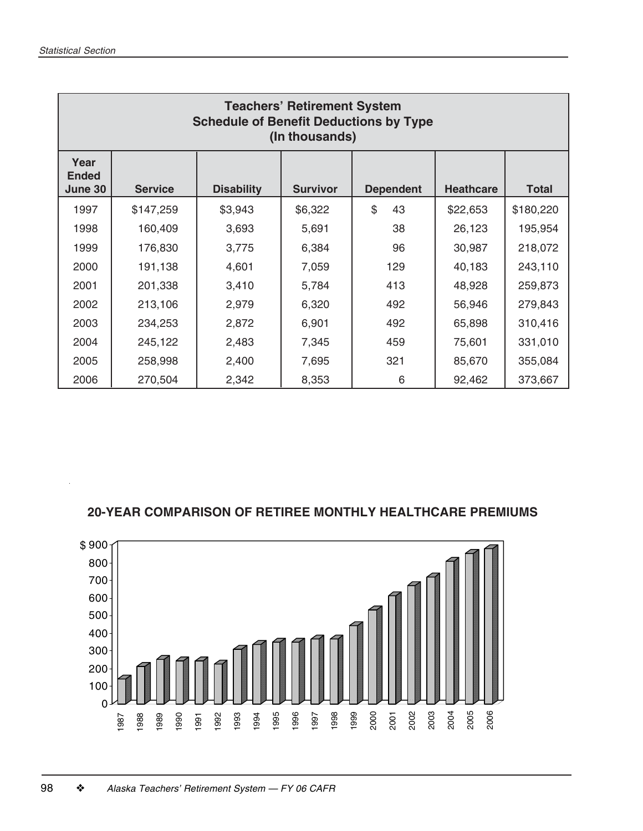$\overline{\phantom{a}}$ 

| <b>Teachers' Retirement System</b><br><b>Schedule of Benefit Deductions by Type</b><br>(In thousands) |                                                                                                                |         |         |          |          |           |  |  |  |  |
|-------------------------------------------------------------------------------------------------------|----------------------------------------------------------------------------------------------------------------|---------|---------|----------|----------|-----------|--|--|--|--|
| Year<br><b>Ended</b><br>June 30                                                                       | <b>Service</b><br><b>Survivor</b><br><b>Heathcare</b><br><b>Total</b><br><b>Disability</b><br><b>Dependent</b> |         |         |          |          |           |  |  |  |  |
| 1997                                                                                                  | \$147,259                                                                                                      | \$3,943 | \$6,322 | \$<br>43 | \$22,653 | \$180,220 |  |  |  |  |
| 1998                                                                                                  | 160,409                                                                                                        | 3,693   | 5,691   | 38       | 26,123   | 195,954   |  |  |  |  |
| 1999                                                                                                  | 176,830                                                                                                        | 3,775   | 6,384   | 96       | 30,987   | 218,072   |  |  |  |  |
| 2000                                                                                                  | 191,138                                                                                                        | 4,601   | 7,059   | 129      | 40,183   | 243,110   |  |  |  |  |
| 2001                                                                                                  | 201,338                                                                                                        | 3,410   | 5,784   | 413      | 48,928   | 259,873   |  |  |  |  |
| 2002                                                                                                  | 213,106                                                                                                        | 2,979   | 6,320   | 492      | 56,946   | 279,843   |  |  |  |  |
| 2003                                                                                                  | 234,253                                                                                                        | 2,872   | 6,901   | 492      | 65,898   | 310,416   |  |  |  |  |
| 2004                                                                                                  | 245,122                                                                                                        | 2,483   | 7,345   | 459      | 75,601   | 331,010   |  |  |  |  |
| 2005                                                                                                  | 258,998                                                                                                        | 2,400   | 7,695   | 321      | 85,670   | 355,084   |  |  |  |  |
| 2006                                                                                                  | 270,504                                                                                                        | 2,342   | 8,353   | 6        | 92,462   | 373,667   |  |  |  |  |

## **20-YEAR COMPARISON OF RETIREE MONTHLY HEALTHCARE PREMIUMS**

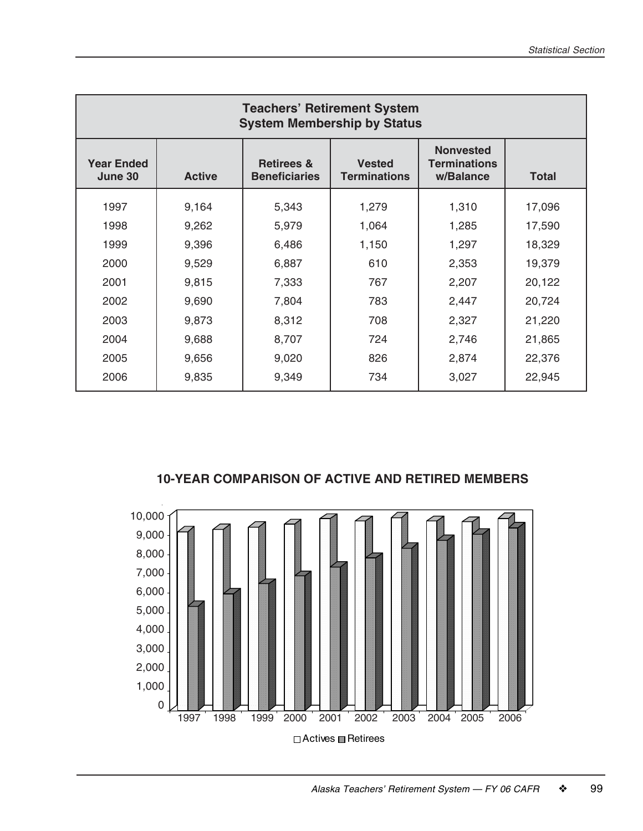| <b>Teachers' Retirement System</b><br><b>System Membership by Status</b> |               |                                               |                                      |                                                      |              |  |  |  |  |
|--------------------------------------------------------------------------|---------------|-----------------------------------------------|--------------------------------------|------------------------------------------------------|--------------|--|--|--|--|
| <b>Year Ended</b><br>June 30                                             | <b>Active</b> | <b>Retirees &amp;</b><br><b>Beneficiaries</b> | <b>Vested</b><br><b>Terminations</b> | <b>Nonvested</b><br><b>Terminations</b><br>w/Balance | <b>Total</b> |  |  |  |  |
| 1997                                                                     | 9,164         | 5,343                                         | 1,279                                | 1,310                                                | 17,096       |  |  |  |  |
| 1998                                                                     | 9,262         | 5,979                                         | 1,064                                | 1,285                                                | 17,590       |  |  |  |  |
| 1999                                                                     | 9,396         | 6,486                                         | 1,150                                | 1,297                                                | 18,329       |  |  |  |  |
| 2000                                                                     | 9,529         | 6,887                                         | 610                                  | 2,353                                                | 19,379       |  |  |  |  |
| 2001                                                                     | 9,815         | 7,333                                         | 767                                  | 2,207                                                | 20,122       |  |  |  |  |
| 2002                                                                     | 9,690         | 7,804                                         | 783                                  | 2,447                                                | 20,724       |  |  |  |  |
| 2003                                                                     | 9,873         | 8,312                                         | 708                                  | 2,327                                                | 21,220       |  |  |  |  |
| 2004                                                                     | 9,688         | 8,707                                         | 724                                  | 2,746                                                | 21,865       |  |  |  |  |
| 2005                                                                     | 9,656         | 9,020                                         | 826                                  | 2,874                                                | 22,376       |  |  |  |  |
| 2006                                                                     | 9,835         | 9,349                                         | 734                                  | 3,027                                                | 22,945       |  |  |  |  |

**10-YEAR COMPARISON OF ACTIVE AND RETIRED MEMBERS**

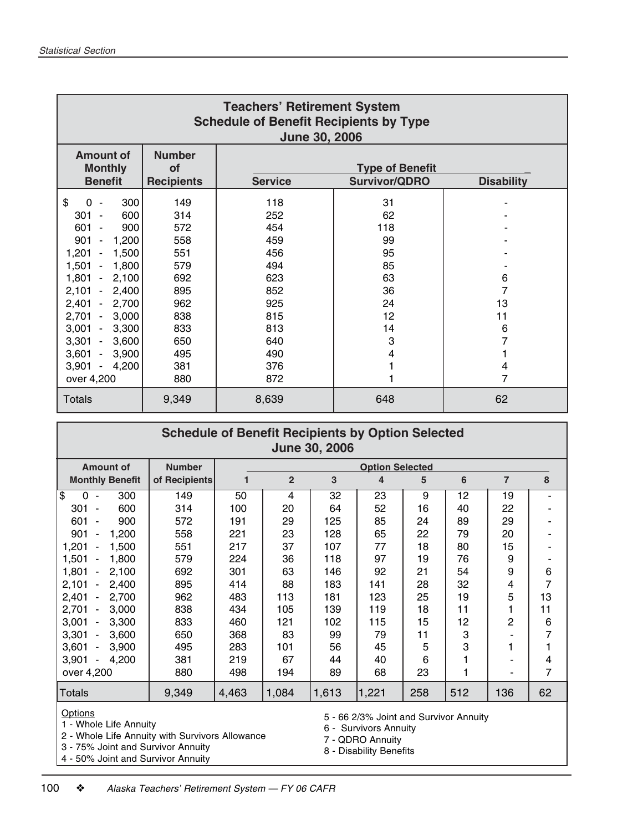| <b>Teachers' Retirement System</b><br><b>Schedule of Benefit Recipients by Type</b><br><b>June 30, 2006</b>                                                                                                                                                                                     |                                                                                                       |                                                                                                       |                                                                           |                                   |  |  |  |  |  |
|-------------------------------------------------------------------------------------------------------------------------------------------------------------------------------------------------------------------------------------------------------------------------------------------------|-------------------------------------------------------------------------------------------------------|-------------------------------------------------------------------------------------------------------|---------------------------------------------------------------------------|-----------------------------------|--|--|--|--|--|
| <b>Amount of</b><br><b>Monthly</b>                                                                                                                                                                                                                                                              | <b>Number</b><br><b>of</b>                                                                            | <b>Type of Benefit</b>                                                                                |                                                                           |                                   |  |  |  |  |  |
| <b>Benefit</b>                                                                                                                                                                                                                                                                                  | <b>Recipients</b>                                                                                     | <b>Service</b>                                                                                        | <b>Survivor/QDRO</b><br><b>Disability</b>                                 |                                   |  |  |  |  |  |
| $\mathfrak{S}$<br>300<br>$0 -$<br>$301 -$<br>600<br>900<br>$601 -$<br>$901 -$<br>1,200<br>1,500<br>$1,201 -$<br>$1,501 - 1,800$<br>$1,801 - 2,100$<br>2,101 - 2,400<br>2,401 - 2,700<br>2,701 - 3,000<br>$3,001 - 3,300$<br>$3,301 - 3,600$<br>$3,601 - 3,900$<br>$3,901 - 4,200$<br>over 4,200 | 149<br>314<br>572<br>558<br>551<br>579<br>692<br>895<br>962<br>838<br>833<br>650<br>495<br>381<br>880 | 118<br>252<br>454<br>459<br>456<br>494<br>623<br>852<br>925<br>815<br>813<br>640<br>490<br>376<br>872 | 31<br>62<br>118<br>99<br>95<br>85<br>63<br>36<br>24<br>12<br>14<br>3<br>4 | 6<br>7<br>13<br>11<br>6<br>4<br>7 |  |  |  |  |  |
| <b>Totals</b>                                                                                                                                                                                                                                                                                   | 9,349                                                                                                 | 8,639                                                                                                 | 648                                                                       | 62                                |  |  |  |  |  |

| <b>Schedule of Benefit Recipients by Option Selected</b><br><b>June 30, 2006</b> |               |                        |                |       |       |     |     |                |    |
|----------------------------------------------------------------------------------|---------------|------------------------|----------------|-------|-------|-----|-----|----------------|----|
| <b>Amount of</b>                                                                 | <b>Number</b> | <b>Option Selected</b> |                |       |       |     |     |                |    |
| <b>Monthly Benefit</b>                                                           | of Recipients |                        | $\overline{2}$ | 3     | 4     | 5   | 6   | $\overline{7}$ | 8  |
| 5<br>300<br>0                                                                    | 149           | 50                     | 4              | 32    | 23    | 9   | 12  | 19             |    |
| 600<br>301<br>$\blacksquare$                                                     | 314           | 100                    | 20             | 64    | 52    | 16  | 40  | 22             |    |
| 601<br>900                                                                       | 572           | 191                    | 29             | 125   | 85    | 24  | 89  | 29             |    |
| 901<br>1,200<br>$\blacksquare$                                                   | 558           | 221                    | 23             | 128   | 65    | 22  | 79  | 20             |    |
| 1,201<br>1,500                                                                   | 551           | 217                    | 37             | 107   | 77    | 18  | 80  | 15             |    |
| 1,501<br>1.800                                                                   | 579           | 224                    | 36             | 118   | 97    | 19  | 76  | 9              |    |
| 1,801<br>2.100                                                                   | 692           | 301                    | 63             | 146   | 92    | 21  | 54  | 9              | 6  |
| 2,101<br>2,400                                                                   | 895           | 414                    | 88             | 183   | 141   | 28  | 32  | 4              |    |
| 2,401<br>2,700                                                                   | 962           | 483                    | 113            | 181   | 123   | 25  | 19  | 5              | 13 |
| 2,701<br>3.000<br>$\sim$                                                         | 838           | 434                    | 105            | 139   | 119   | 18  | 11  | 1              | 11 |
| 3,001<br>3,300                                                                   | 833           | 460                    | 121            | 102   | 115   | 15  | 12  | 2              | 6  |
| 3,301<br>3,600                                                                   | 650           | 368                    | 83             | 99    | 79    | 11  | 3   |                | 7  |
| 3,601<br>3,900<br>$\overline{\phantom{a}}$                                       | 495           | 283                    | 101            | 56    | 45    | 5   | 3   | 1              |    |
| 3,901<br>4,200<br>$\blacksquare$                                                 | 381           | 219                    | 67             | 44    | 40    | 6   |     |                | 4  |
| over 4,200                                                                       | 880           | 498                    | 194            | 89    | 68    | 23  |     |                | 7  |
| Totals                                                                           | 9,349         | 4,463                  | 1,084          | 1,613 | 1,221 | 258 | 512 | 136            | 62 |

**Options** 

1 - Whole Life Annuity

2 - Whole Life Annuity with Survivors Allowance

3 - 75% Joint and Survivor Annuity 4 - 50% Joint and Survivor Annuity 5 - 66 2/3% Joint and Survivor Annuity

6 - Survivors Annuity

7 - QDRO Annuity

8 - Disability Benefits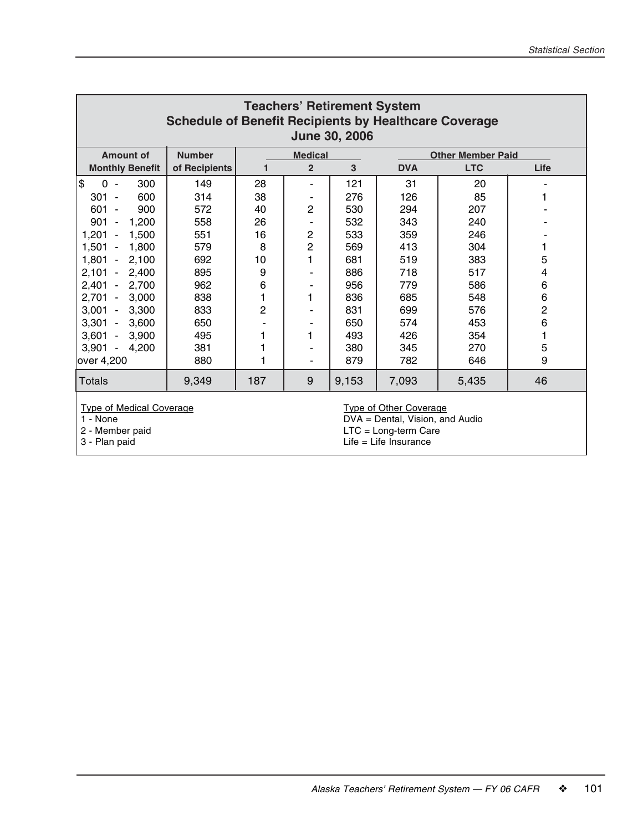| <b>Teachers' Retirement System</b><br><b>Schedule of Benefit Recipients by Healthcare Coverage</b><br><b>June 30, 2006</b> |                                                             |     |                |       |            |            |      |
|----------------------------------------------------------------------------------------------------------------------------|-------------------------------------------------------------|-----|----------------|-------|------------|------------|------|
| <b>Amount of</b>                                                                                                           | <b>Number</b><br><b>Medical</b><br><b>Other Member Paid</b> |     |                |       |            |            |      |
| <b>Monthly Benefit</b>                                                                                                     | of Recipients                                               |     | $\overline{2}$ | 3     | <b>DVA</b> | <b>LTC</b> | Life |
| $\mathbb{S}$<br>300<br>$\Omega$                                                                                            | 149                                                         | 28  |                | 121   | 31         | 20         |      |
| 600<br>$301 -$                                                                                                             | 314                                                         | 38  |                | 276   | 126        | 85         |      |
| 900<br>601<br>$\blacksquare$                                                                                               | 572                                                         | 40  | 2              | 530   | 294        | 207        |      |
| 901<br>1,200                                                                                                               | 558                                                         | 26  |                | 532   | 343        | 240        |      |
| 1,201<br>1,500                                                                                                             | 551                                                         | 16  | $\overline{c}$ | 533   | 359        | 246        |      |
| 1,501<br>1,800                                                                                                             | 579                                                         | 8   | $\overline{2}$ | 569   | 413        | 304        |      |
| 1,801<br>2,100<br>$\overline{\phantom{a}}$                                                                                 | 692                                                         | 10  |                | 681   | 519        | 383        | 5    |
| 2,101<br>2,400<br>$\sim$                                                                                                   | 895                                                         | 9   |                | 886   | 718        | 517        | 4    |
| 2,401<br>2,700<br>$\sim$ $\sim$                                                                                            | 962                                                         | 6   |                | 956   | 779        | 586        | 6    |
| 2,701<br>3,000<br>$\sim$                                                                                                   | 838                                                         |     |                | 836   | 685        | 548        | 6    |
| $3,001 -$<br>3,300                                                                                                         | 833                                                         | 2   |                | 831   | 699        | 576        | 2    |
| 3,301<br>3,600<br>$\sim$                                                                                                   | 650                                                         |     |                | 650   | 574        | 453        | 6    |
| 3,601<br>3,900<br>$\sim$                                                                                                   | 495                                                         |     |                | 493   | 426        | 354        |      |
| 3,901<br>4.200<br>$\sim$                                                                                                   | 381                                                         |     |                | 380   | 345        | 270        | 5    |
| over 4,200                                                                                                                 | 880                                                         |     |                | 879   | 782        | 646        | 9    |
| Totals                                                                                                                     | 9,349                                                       | 187 | 9              | 9,153 | 7,093      | 5,435      | 46   |

Type of Medical Coverage

1 - None

2 - Member paid

3 - Plan paid

Type of Other Coverage DVA = Dental, Vision, and Audio LTC = Long-term Care Life = Life Insurance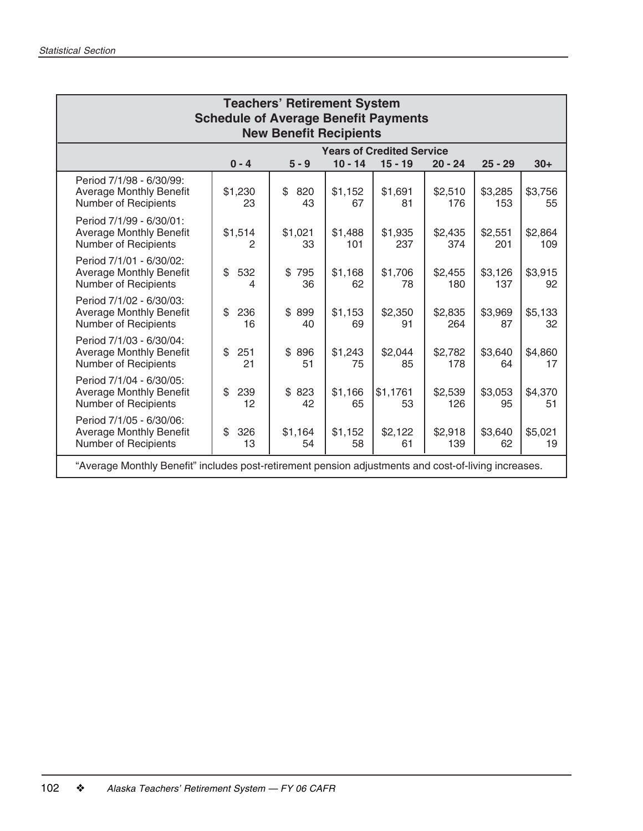| <b>Teachers' Retirement System</b><br><b>Schedule of Average Benefit Payments</b><br><b>New Benefit Recipients</b> |                                                                                 |                 |                |                |                |                |                |  |
|--------------------------------------------------------------------------------------------------------------------|---------------------------------------------------------------------------------|-----------------|----------------|----------------|----------------|----------------|----------------|--|
|                                                                                                                    | <b>Years of Credited Service</b>                                                |                 |                |                |                |                |                |  |
|                                                                                                                    | $0 - 4$<br>$10 - 14$<br>$15 - 19$<br>$5 - 9$<br>$20 - 24$<br>$25 - 29$<br>$30+$ |                 |                |                |                |                |                |  |
| Period 7/1/98 - 6/30/99:<br><b>Average Monthly Benefit</b><br><b>Number of Recipients</b>                          | \$1,230<br>23                                                                   | \$<br>820<br>43 | \$1,152<br>67  | \$1,691<br>81  | \$2,510<br>176 | \$3,285<br>153 | \$3,756<br>55  |  |
| Period 7/1/99 - 6/30/01:<br><b>Average Monthly Benefit</b><br><b>Number of Recipients</b>                          | \$1,514<br>2                                                                    | \$1,021<br>33   | \$1,488<br>101 | \$1,935<br>237 | \$2,435<br>374 | \$2,551<br>201 | \$2,864<br>109 |  |
| Period 7/1/01 - 6/30/02:<br><b>Average Monthly Benefit</b><br>Number of Recipients                                 | \$<br>532<br>4                                                                  | \$<br>795<br>36 | \$1,168<br>62  | \$1,706<br>78  | \$2,455<br>180 | \$3,126<br>137 | \$3,915<br>92  |  |
| Period 7/1/02 - 6/30/03:<br><b>Average Monthly Benefit</b><br>Number of Recipients                                 | \$<br>236<br>16                                                                 | \$<br>899<br>40 | \$1,153<br>69  | \$2,350<br>91  | \$2,835<br>264 | \$3,969<br>87  | \$5,133<br>32  |  |
| Period 7/1/03 - 6/30/04:<br><b>Average Monthly Benefit</b><br>Number of Recipients                                 | \$<br>251<br>21                                                                 | \$<br>896<br>51 | \$1,243<br>75  | \$2,044<br>85  | \$2,782<br>178 | \$3,640<br>64  | \$4,860<br>17  |  |
| Period 7/1/04 - 6/30/05:<br><b>Average Monthly Benefit</b><br>Number of Recipients                                 | \$<br>239<br>12                                                                 | \$<br>823<br>42 | \$1,166<br>65  | \$1,1761<br>53 | \$2,539<br>126 | \$3,053<br>95  | \$4,370<br>51  |  |
| Period 7/1/05 - 6/30/06:<br><b>Average Monthly Benefit</b><br>Number of Recipients                                 | \$<br>326<br>13                                                                 | \$1,164<br>54   | \$1,152<br>58  | \$2,122<br>61  | \$2,918<br>139 | \$3,640<br>62  | \$5,021<br>19  |  |
| "Average Monthly Benefit" includes post-retirement pension adjustments and cost-of-living increases.               |                                                                                 |                 |                |                |                |                |                |  |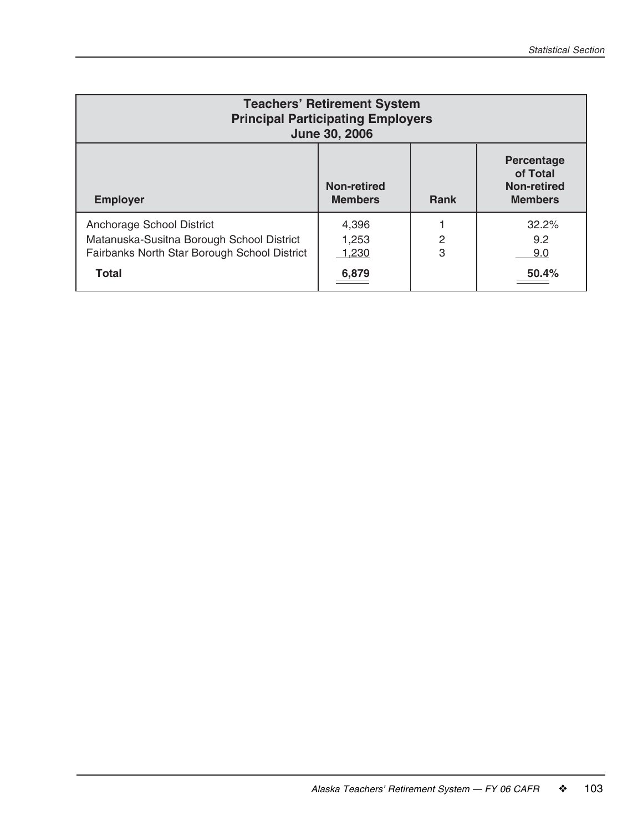| <b>Teachers' Retirement System</b><br><b>Principal Participating Employers</b><br><b>June 30, 2006</b> |                               |                |                                                         |  |  |  |
|--------------------------------------------------------------------------------------------------------|-------------------------------|----------------|---------------------------------------------------------|--|--|--|
| <b>Employer</b>                                                                                        | Non-retired<br><b>Members</b> | <b>Rank</b>    | Percentage<br>of Total<br>Non-retired<br><b>Members</b> |  |  |  |
| Anchorage School District                                                                              | 4,396                         |                | 32.2%                                                   |  |  |  |
| Matanuska-Susitna Borough School District                                                              | 1,253                         | $\overline{2}$ | 9.2                                                     |  |  |  |
| Fairbanks North Star Borough School District                                                           | 1,230                         | 3              | 9.0                                                     |  |  |  |
| <b>Total</b>                                                                                           | 6,879                         |                | 50.4%                                                   |  |  |  |